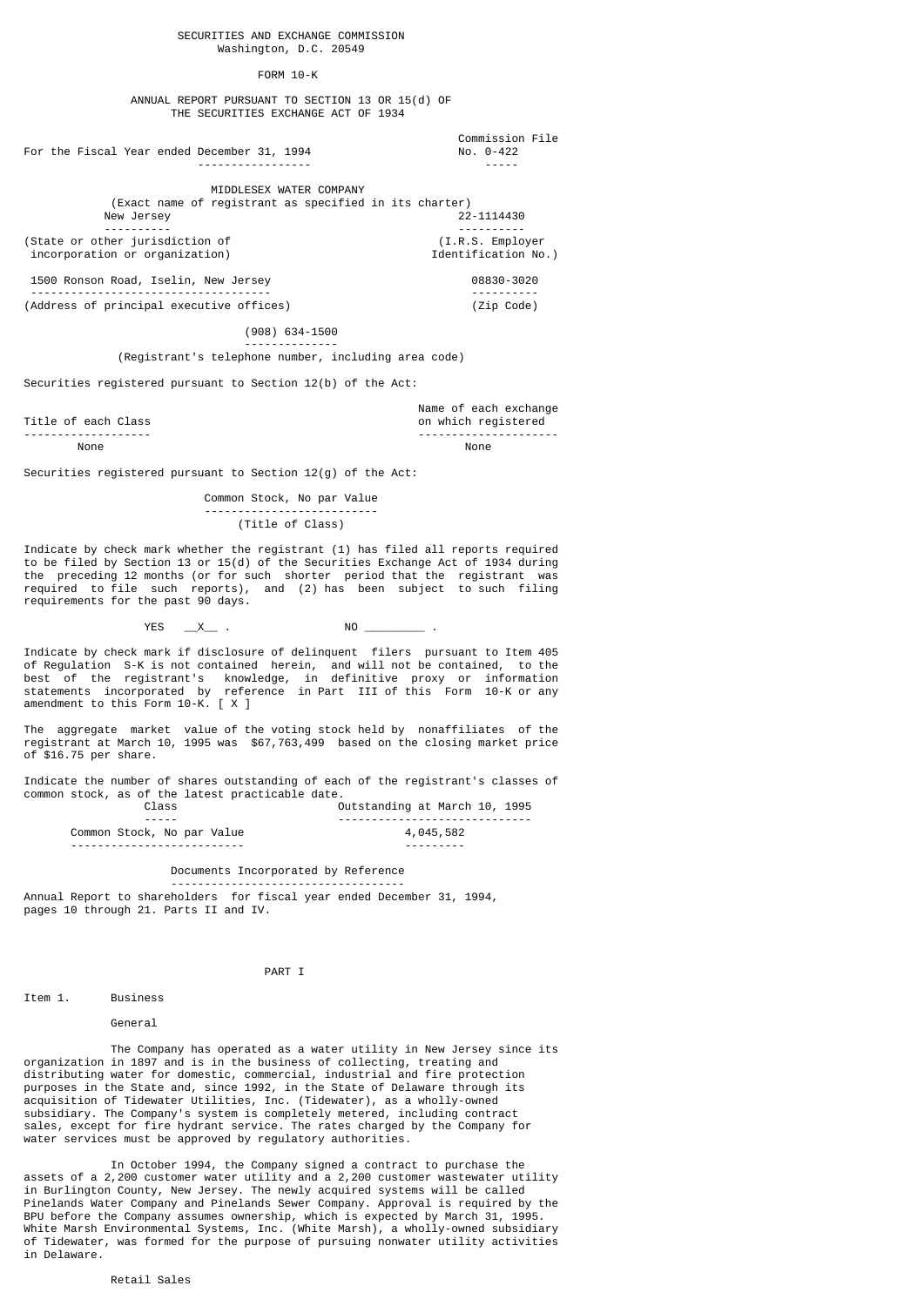#### SECURITIES AND EXCHANGE COMMISSION Washington, D.C. 20549

#### FORM 10-K

 ANNUAL REPORT PURSUANT TO SECTION 13 OR 15(d) OF THE SECURITIES EXCHANGE ACT OF 1934

 Commission File ----------------- -----

> MIDDLESEX WATER COMPANY (Exact name of registrant as specified in its charter)<br>lew Jersey 22-1114430 New Jersey

 ---------- ---------- (State or other jurisdiction of (I.R.S. Employer incorporation or organization) and the matrix of the Identification No.) 1500 Ronson Road, Iselin, New Jersey 08830-3020

 ------------------------------------ ---------- (Address of principal executive offices) (Zip Code)

For the Fiscal Year ended December 31, 1994

(908) 634-1500

 -------------- (Registrant's telephone number, including area code)

Securities registered pursuant to Section 12(b) of the Act:

Title of each Class and the control of the control of each exchange of each exchange of each exchange of each exchange of each exchange of each exchange of each exchange of  $\alpha$ tle of each Class on which registered<br>  $\overline{a}$ ------------------- --------------------- None None

Securities registered pursuant to Section 12(g) of the Act:

 Common Stock, No par Value -------------------------- (Title of Class)

Indicate by check mark whether the registrant (1) has filed all reports required to be filed by Section 13 or 15(d) of the Securities Exchange Act of 1934 during the preceding 12 months (or for such shorter period that the registrant was required to file such reports), and (2) has been subject to such filing requirements for the past 90 days.

YES \_\_X\_\_ . NO \_\_\_\_\_\_\_\_\_ .

Indicate by check mark if disclosure of delinquent filers pursuant to Item 405 of Regulation S-K is not contained herein, and will not be contained, to the best of the registrant's knowledge, in definitive proxy or information statements incorporated by reference in Part III of this Form 10-K or any amendment to this Form 10-K. [ X ]

The aggregate market value of the voting stock held by nonaffiliates of the registrant at March 10, 1995 was \$67,763,499 based on the closing market price of \$16.75 per share.

Indicate the number of shares outstanding of each of the registrant's classes of common stock, as of the latest practicable date.

| Class                      | Outstanding at March 10, 1995 |
|----------------------------|-------------------------------|
| -----                      |                               |
| Common Stock, No par Value | 4,045,582                     |
|                            |                               |

Documents Incorporated by Reference

 ----------------------------------- Annual Report to shareholders for fiscal year ended December 31, 1994, pages 10 through 21. Parts II and IV.

PART I

#### Item 1. Business

#### General

 The Company has operated as a water utility in New Jersey since its organization in 1897 and is in the business of collecting, treating and distributing water for domestic, commercial, industrial and fire protection purposes in the State and, since 1992, in the State of Delaware through its acquisition of Tidewater Utilities, Inc. (Tidewater), as a wholly-owned subsidiary. The Company's system is completely metered, including contract sales, except for fire hydrant service. The rates charged by the Company for water services must be approved by regulatory authorities.

 In October 1994, the Company signed a contract to purchase the assets of a 2,200 customer water utility and a 2,200 customer wastewater utility in Burlington County, New Jersey. The newly acquired systems will be called Pinelands Water Company and Pinelands Sewer Company. Approval is required by the BPU before the Company assumes ownership, which is expected by March 31, 1995. White Marsh Environmental Systems, Inc. (White Marsh), a wholly-owned subsidiary of Tidewater, was formed for the purpose of pursuing nonwater utility activities in Delaware.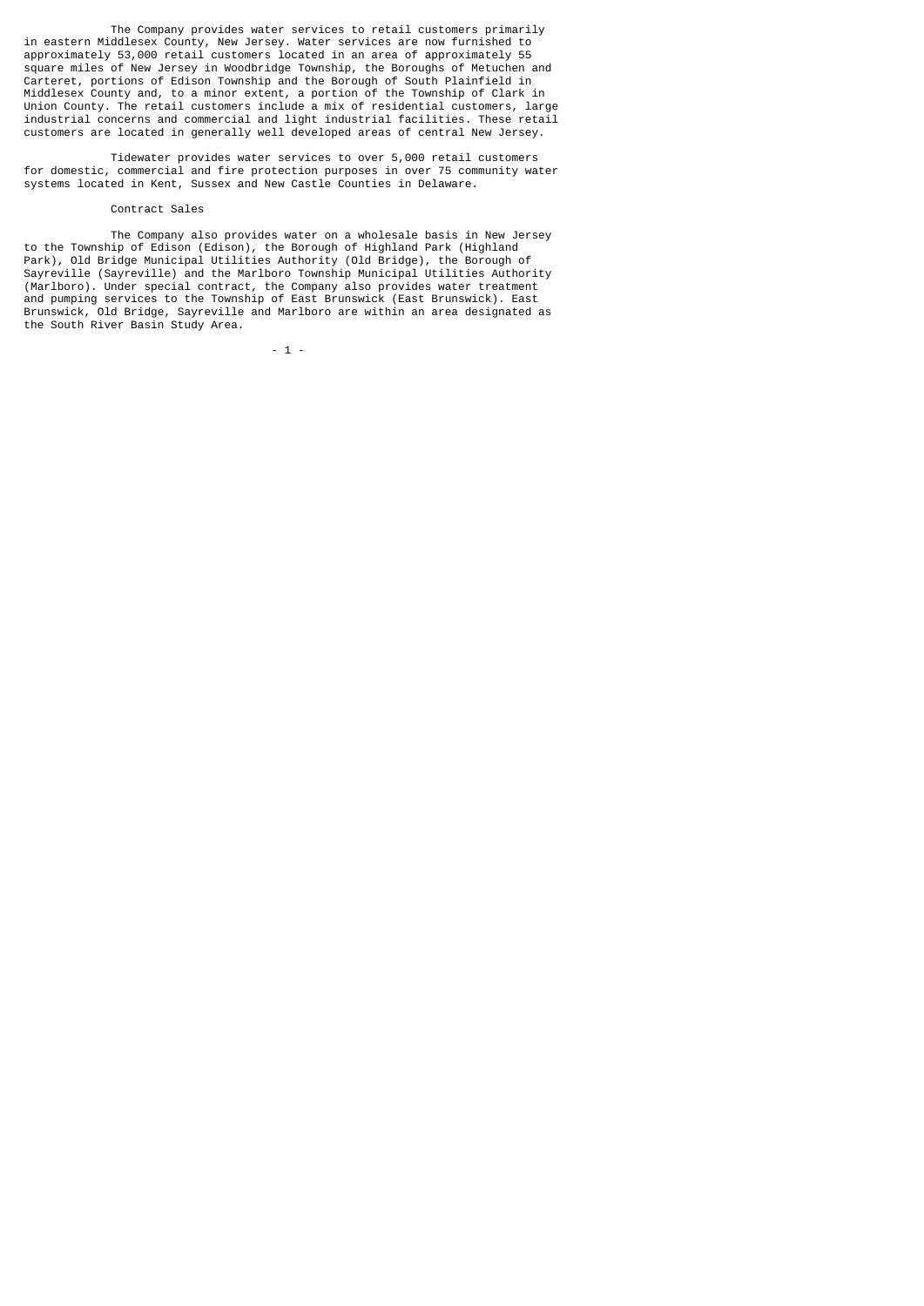The Company provides water services to retail customers primarily in eastern Middlesex County, New Jersey. Water services are now furnished to approximately 53,000 retail customers located in an area of approximately 55 square miles of New Jersey in Woodbridge Township, the Boroughs of Metuchen and Carteret, portions of Edison Township and the Borough of South Plainfield in Middlesex County and, to a minor extent, a portion of the Township of Clark in Union County. The retail customers include a mix of residential customers, large industrial concerns and commercial and light industrial facilities. These retail customers are located in generally well developed areas of central New Jersey.

 Tidewater provides water services to over 5,000 retail customers for domestic, commercial and fire protection purposes in over 75 community water systems located in Kent, Sussex and New Castle Counties in Delaware.

#### Contract Sales

 The Company also provides water on a wholesale basis in New Jersey to the Township of Edison (Edison), the Borough of Highland Park (Highland Park), Old Bridge Municipal Utilities Authority (Old Bridge), the Borough of Sayreville (Sayreville) and the Marlboro Township Municipal Utilities Authority (Marlboro). Under special contract, the Company also provides water treatment and pumping services to the Township of East Brunswick (East Brunswick). East Brunswick, Old Bridge, Sayreville and Marlboro are within an area designated as the South River Basin Study Area.

 $-1$  -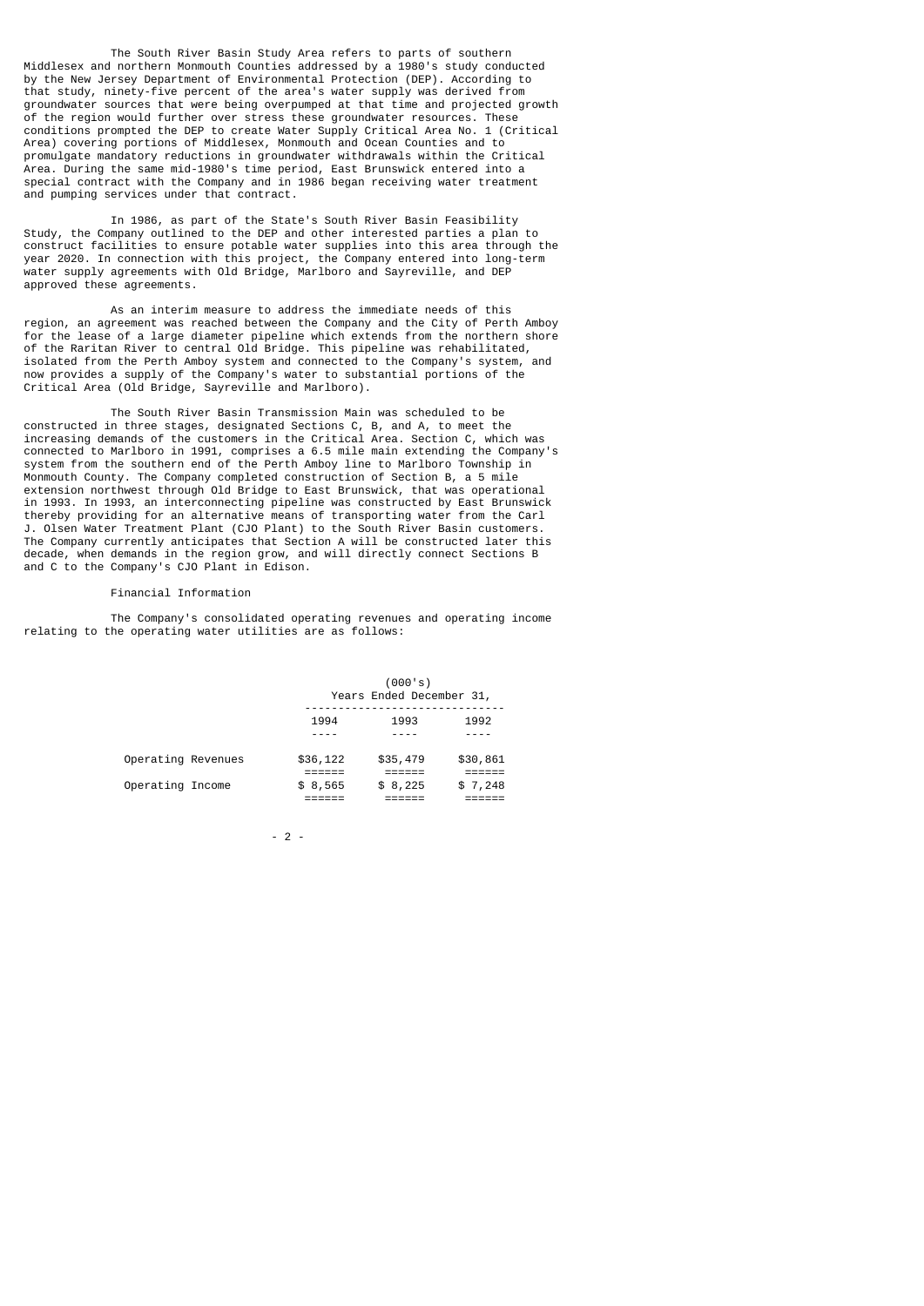The South River Basin Study Area refers to parts of southern Middlesex and northern Monmouth Counties addressed by a 1980's study conducted by the New Jersey Department of Environmental Protection (DEP). According to that study, ninety-five percent of the area's water supply was derived from groundwater sources that were being overpumped at that time and projected growth of the region would further over stress these groundwater resources. These conditions prompted the DEP to create Water Supply Critical Area No. 1 (Critical Area) covering portions of Middlesex, Monmouth and Ocean Counties and to promulgate mandatory reductions in groundwater withdrawals within the Critical Area. During the same mid-1980's time period, East Brunswick entered into a special contract with the Company and in 1986 began receiving water treatment and pumping services under that contract.

 In 1986, as part of the State's South River Basin Feasibility Study, the Company outlined to the DEP and other interested parties a plan to construct facilities to ensure potable water supplies into this area through the year 2020. In connection with this project, the Company entered into long-term water supply agreements with Old Bridge, Marlboro and Sayreville, and DEP approved these agreements

 As an interim measure to address the immediate needs of this region, an agreement was reached between the Company and the City of Perth Amboy for the lease of a large diameter pipeline which extends from the northern shore of the Raritan River to central Old Bridge. This pipeline was rehabilitated, isolated from the Perth Amboy system and connected to the Company's system, and now provides a supply of the Company's water to substantial portions of the Critical Area (Old Bridge, Sayreville and Marlboro).

 The South River Basin Transmission Main was scheduled to be constructed in three stages, designated Sections C, B, and A, to meet the increasing demands of the customers in the Critical Area. Section C, which was connected to Marlboro in 1991, comprises a 6.5 mile main extending the Company's system from the southern end of the Perth Amboy line to Marlboro Township in Monmouth County. The Company completed construction of Section B, a 5 mile extension northwest through Old Bridge to East Brunswick, that was operational in 1993. In 1993, an interconnecting pipeline was constructed by East Brunswick thereby providing for an alternative means of transporting water from the Carl J. Olsen Water Treatment Plant (CJO Plant) to the South River Basin customers. The Company currently anticipates that Section A will be constructed later this decade, when demands in the region grow, and will directly connect Sections B and C to the Company's CJO Plant in Edison.

## Financial Information

 The Company's consolidated operating revenues and operating income relating to the operating water utilities are as follows:

|                    | (000's)<br>Years Ended December 31, |          |          |  |
|--------------------|-------------------------------------|----------|----------|--|
|                    | 1994                                | 1993     | 1992     |  |
| Operating Revenues | \$36,122                            | \$35,479 | \$30,861 |  |
| Operating Income   | \$8,565                             | \$8,225  | \$7,248  |  |

- 2 -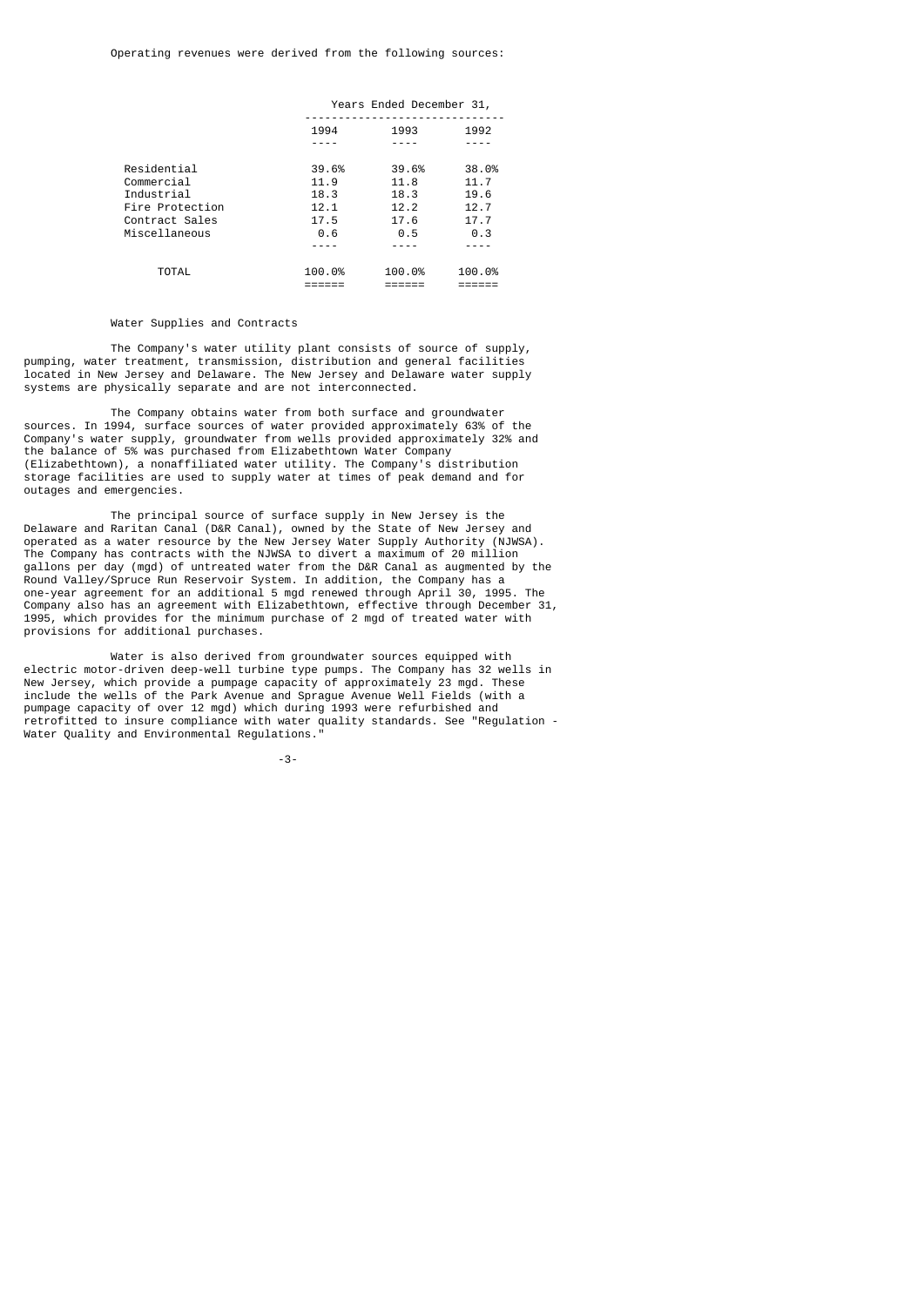|                 | Years Ended December 31, |        |        |
|-----------------|--------------------------|--------|--------|
|                 | 1994                     | 1993   | 1992   |
|                 |                          |        |        |
| Residential     | 39.6%                    | 39.6%  | 38.0%  |
| Commercial      | 11.9                     | 11.8   | 11.7   |
| Industrial      | 18.3                     | 18.3   | 19.6   |
| Fire Protection | 12.1                     | 12.2   | 12.7   |
| Contract Sales  | 17.5                     | 17.6   | 17.7   |
| Miscellaneous   | 0.6                      | 0.5    | 0.3    |
|                 |                          |        |        |
| TOTAL           | 100.0%                   | 100.0% | 100.0% |

#### Water Supplies and Contracts

 The Company's water utility plant consists of source of supply, pumping, water treatment, transmission, distribution and general facilities located in New Jersey and Delaware. The New Jersey and Delaware water supply systems are physically separate and are not interconnected.

 The Company obtains water from both surface and groundwater sources. In 1994, surface sources of water provided approximately 63% of the Company's water supply, groundwater from wells provided approximately 32% and the balance of 5% was purchased from Elizabethtown Water Company (Elizabethtown), a nonaffiliated water utility. The Company's distribution storage facilities are used to supply water at times of peak demand and for outages and emergencies.

 The principal source of surface supply in New Jersey is the Delaware and Raritan Canal (D&R Canal), owned by the State of New Jersey and operated as a water resource by the New Jersey Water Supply Authority (NJWSA). The Company has contracts with the NJWSA to divert a maximum of 20 million gallons per day (mgd) of untreated water from the D&R Canal as augmented by the Round Valley/Spruce Run Reservoir System. In addition, the Company has a one-year agreement for an additional 5 mgd renewed through April 30, 1995. The Company also has an agreement with Elizabethtown, effective through December 31, 1995, which provides for the minimum purchase of 2 mgd of treated water with provisions for additional purchases.

 Water is also derived from groundwater sources equipped with electric motor-driven deep-well turbine type pumps. The Company has 32 wells in New Jersey, which provide a pumpage capacity of approximately 23 mgd. These include the wells of the Park Avenue and Sprague Avenue Well Fields (with a pumpage capacity of over 12 mgd) which during 1993 were refurbished and retrofitted to insure compliance with water quality standards. See "Regulation - Water Quality and Environmental Regulations.

-3-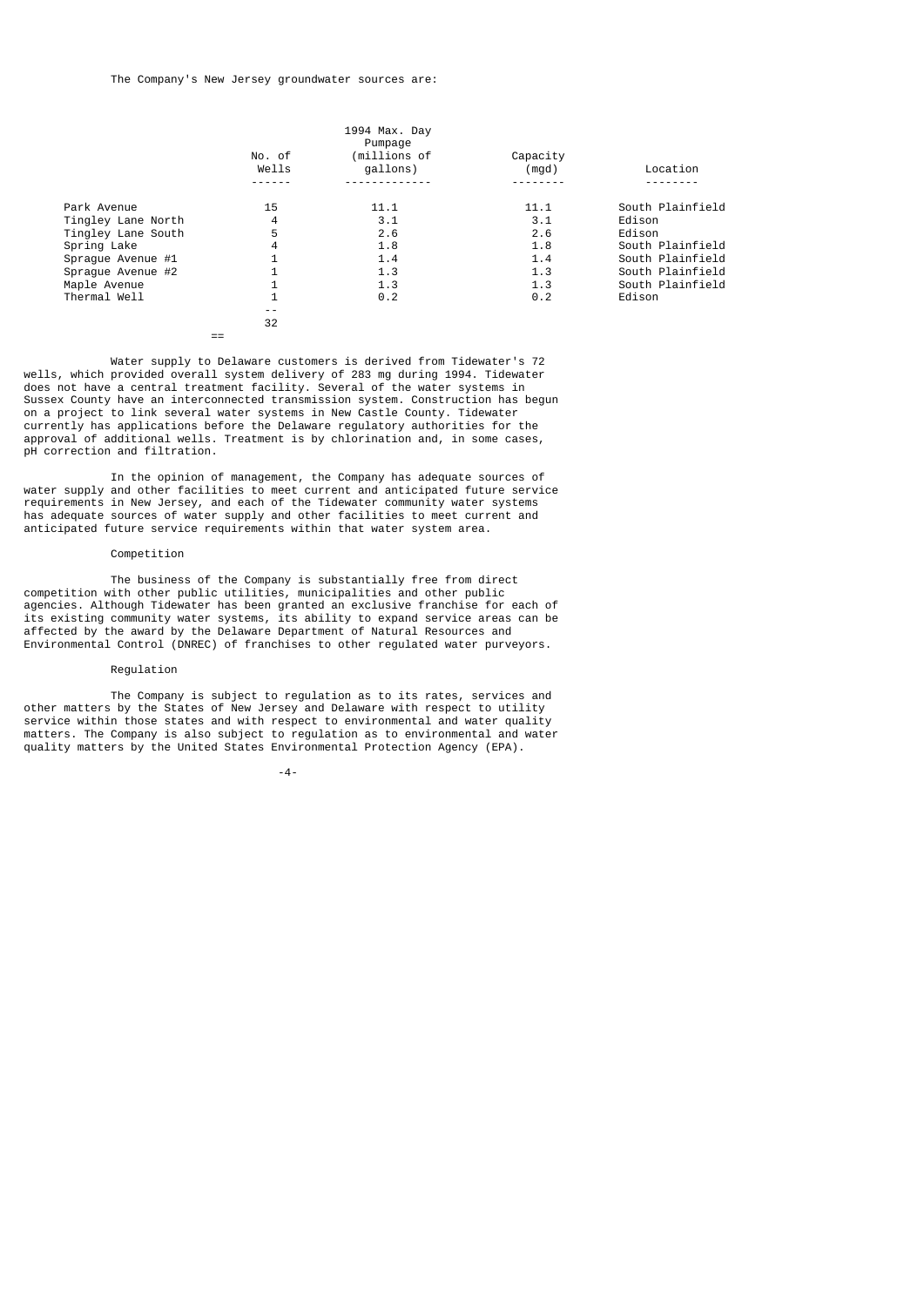|                    |                 | 1994 Max. Day<br>Pumpage |                   |                  |
|--------------------|-----------------|--------------------------|-------------------|------------------|
|                    | No. of<br>Wells | (millions of<br>qallons) | Capacity<br>(mgd) | Location         |
|                    |                 |                          |                   |                  |
| Park Avenue        | 15              | 11.1                     | 11.1              | South Plainfield |
| Tingley Lane North | 4               | 3.1                      | 3.1               | Edison           |
| Tingley Lane South | 5               | 2.6                      | 2.6               | Edison           |
| Spring Lake        | 4               | 1.8                      | 1.8               | South Plainfield |
| Spraque Avenue #1  | $\mathbf{1}$    | 1.4                      | 1.4               | South Plainfield |
| Spraque Avenue #2  |                 | 1.3                      | 1.3               | South Plainfield |
| Maple Avenue       |                 | 1.3                      | 1.3               | South Plainfield |
| Thermal Well       | $\mathbf{1}$    | 0.2                      | 0.2               | Edison           |
|                    |                 |                          |                   |                  |
|                    | 32              |                          |                   |                  |

==

 Water supply to Delaware customers is derived from Tidewater's 72 wells, which provided overall system delivery of 283 mg during 1994. Tidewater does not have a central treatment facility. Several of the water systems in Sussex County have an interconnected transmission system. Construction has begun on a project to link several water systems in New Castle County. Tidewater currently has applications before the Delaware regulatory authorities for the approval of additional wells. Treatment is by chlorination and, in some cases, pH correction and filtration.

 In the opinion of management, the Company has adequate sources of water supply and other facilities to meet current and anticipated future service requirements in New Jersey, and each of the Tidewater community water systems has adequate sources of water supply and other facilities to meet current and anticipated future service requirements within that water system area.

#### Competition

 The business of the Company is substantially free from direct competition with other public utilities, municipalities and other public agencies. Although Tidewater has been granted an exclusive franchise for each of its existing community water systems, its ability to expand service areas can be affected by the award by the Delaware Department of Natural Resources and Environmental Control (DNREC) of franchises to other regulated water purveyors.

## Regulation

 The Company is subject to regulation as to its rates, services and other matters by the States of New Jersey and Delaware with respect to utility service within those states and with respect to environmental and water quality matters. The Company is also subject to regulation as to environmental and water quality matters by the United States Environmental Protection Agency (EPA).

-4-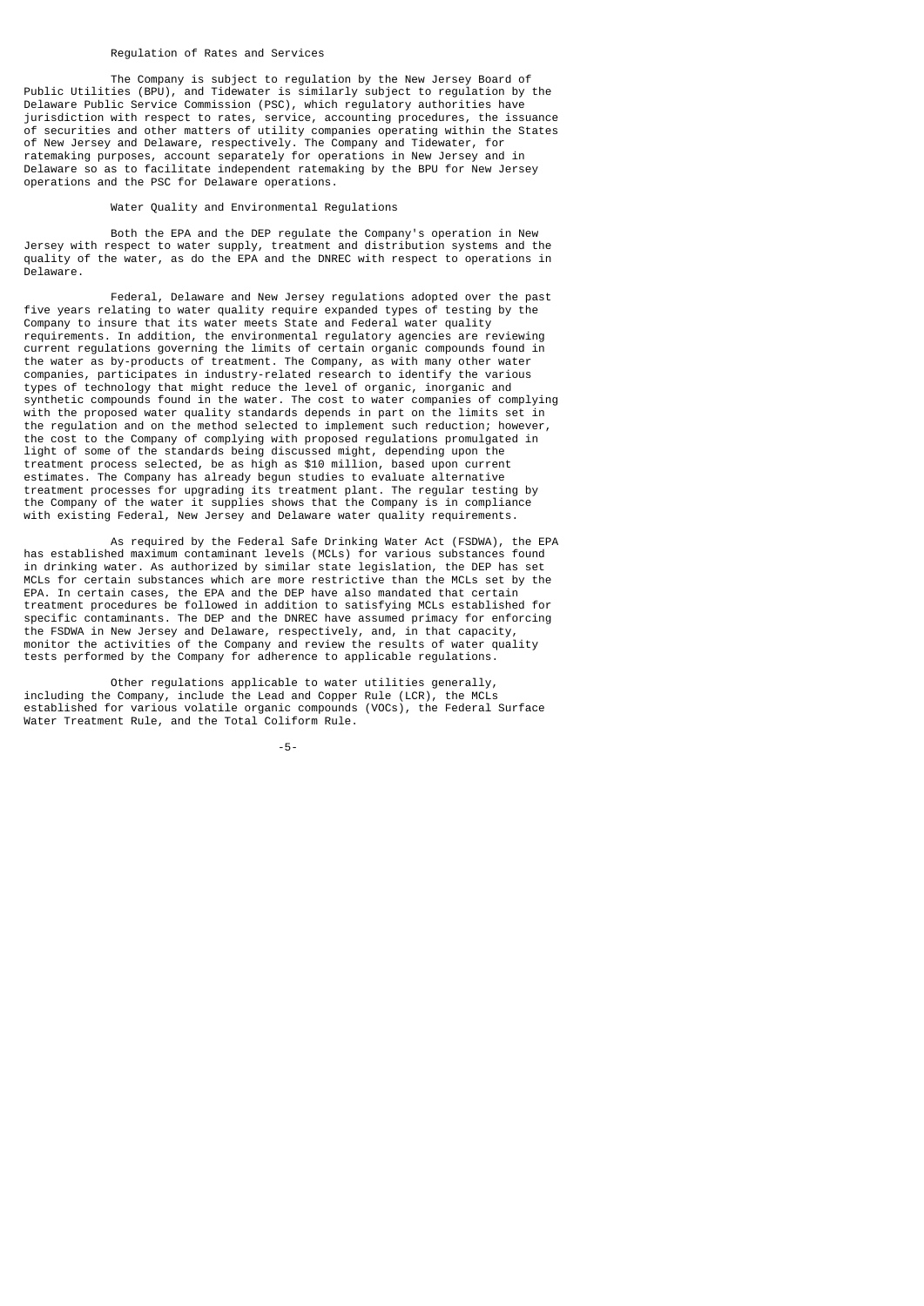#### Regulation of Rates and Services

 The Company is subject to regulation by the New Jersey Board of Public Utilities (BPU), and Tidewater is similarly subject to regulation by the Delaware Public Service Commission (PSC), which regulatory authorities have jurisdiction with respect to rates, service, accounting procedures, the issuance of securities and other matters of utility companies operating within the States of New Jersey and Delaware, respectively. The Company and Tidewater, for ratemaking purposes, account separately for operations in New Jersey and in Delaware so as to facilitate independent ratemaking by the BPU for New Jersey operations and the PSC for Delaware operations.

#### Water Quality and Environmental Regulations

 Both the EPA and the DEP regulate the Company's operation in New Jersey with respect to water supply, treatment and distribution systems and the quality of the water, as do the EPA and the DNREC with respect to operations in Delaware.

 Federal, Delaware and New Jersey regulations adopted over the past five years relating to water quality require expanded types of testing by the Company to insure that its water meets State and Federal water quality requirements. In addition, the environmental regulatory agencies are reviewing current regulations governing the limits of certain organic compounds found in the water as by-products of treatment. The Company, as with many other water companies, participates in industry-related research to identify the various types of technology that might reduce the level of organic, inorganic and synthetic compounds found in the water. The cost to water companies of complying with the proposed water quality standards depends in part on the limits set in the regulation and on the method selected to implement such reduction; however, the cost to the Company of complying with proposed regulations promulgated in light of some of the standards being discussed might, depending upon the treatment process selected, be as high as \$10 million, based upon current estimates. The Company has already begun studies to evaluate alternative treatment processes for upgrading its treatment plant. The regular testing by the Company of the water it supplies shows that the Company is in compliance with existing Federal, New Jersey and Delaware water quality requirements.

 As required by the Federal Safe Drinking Water Act (FSDWA), the EPA has established maximum contaminant levels (MCLs) for various substances found in drinking water. As authorized by similar state legislation, the DEP has set MCLs for certain substances which are more restrictive than the MCLs set by the EPA. In certain cases, the EPA and the DEP have also mandated that certain treatment procedures be followed in addition to satisfying MCLs established for specific contaminants. The DEP and the DNREC have assumed primacy for enforcing the FSDWA in New Jersey and Delaware, respectively, and, in that capacity, monitor the activities of the Company and review the results of water quality tests performed by the Company for adherence to applicable regulations.

 Other regulations applicable to water utilities generally, including the Company, include the Lead and Copper Rule (LCR), the MCLs established for various volatile organic compounds (VOCs), the Federal Surface Water Treatment Rule, and the Total Coliform Rule.

-5-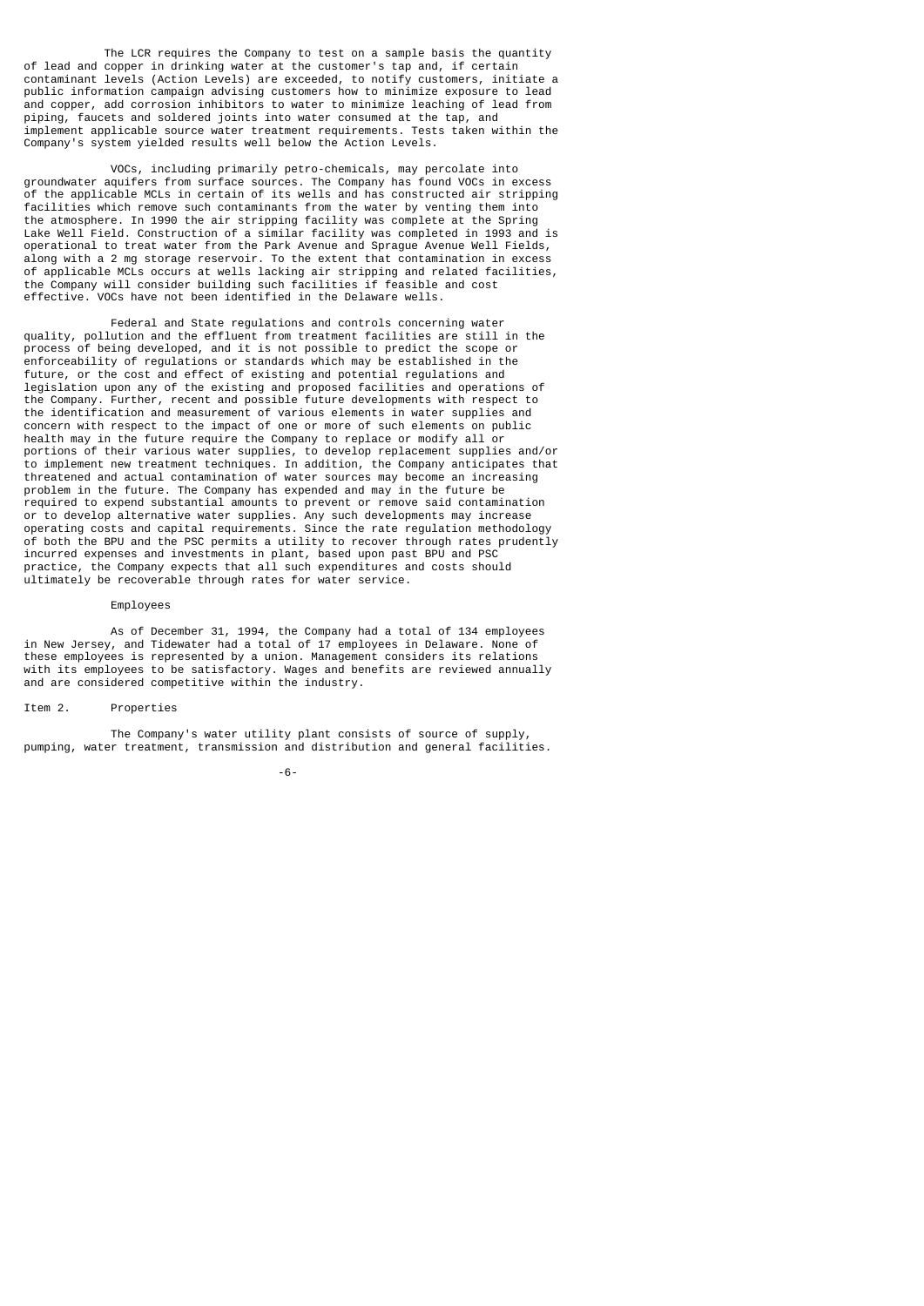The LCR requires the Company to test on a sample basis the quantity of lead and copper in drinking water at the customer's tap and, if certain contaminant levels (Action Levels) are exceeded, to notify customers, initiate a public information campaign advising customers how to minimize exposure to lead and copper, add corrosion inhibitors to water to minimize leaching of lead from piping, faucets and soldered joints into water consumed at the tap, and implement applicable source water treatment requirements. Tests taken within the Company's system yielded results well below the Action Levels.

 VOCs, including primarily petro-chemicals, may percolate into groundwater aquifers from surface sources. The Company has found VOCs in excess of the applicable MCLs in certain of its wells and has constructed air stripping facilities which remove such contaminants from the water by venting them into the atmosphere. In 1990 the air stripping facility was complete at the Spring Lake Well Field. Construction of a similar facility was completed in 1993 and is operational to treat water from the Park Avenue and Sprague Avenue Well Fields, along with a 2 mg storage reservoir. To the extent that contamination in excess of applicable MCLs occurs at wells lacking air stripping and related facilities, the Company will consider building such facilities if feasible and cost effective. VOCs have not been identified in the Delaware wells.

 Federal and State regulations and controls concerning water quality, pollution and the effluent from treatment facilities are still in the process of being developed, and it is not possible to predict the scope or enforceability of regulations or standards which may be established in the future, or the cost and effect of existing and potential regulations and legislation upon any of the existing and proposed facilities and operations of the Company. Further, recent and possible future developments with respect to the identification and measurement of various elements in water supplies and concern with respect to the impact of one or more of such elements on public health may in the future require the Company to replace or modify all or portions of their various water supplies, to develop replacement supplies and/or to implement new treatment techniques. In addition, the Company anticipates that threatened and actual contamination of water sources may become an increasing problem in the future. The Company has expended and may in the future be required to expend substantial amounts to prevent or remove said contamination or to develop alternative water supplies. Any such developments may increase operating costs and capital requirements. Since the rate regulation methodology of both the BPU and the PSC permits a utility to recover through rates prudently incurred expenses and investments in plant, based upon past BPU and PSC practice, the Company expects that all such expenditures and costs should ultimately be recoverable through rates for water service.

#### Employees

 As of December 31, 1994, the Company had a total of 134 employees in New Jersey, and Tidewater had a total of 17 employees in Delaware. None of these employees is represented by a union. Management considers its relations with its employees to be satisfactory. Wages and benefits are reviewed annually and are considered competitive within the industry.

#### Item 2. Properties

 The Company's water utility plant consists of source of supply, pumping, water treatment, transmission and distribution and general facilities.

-6-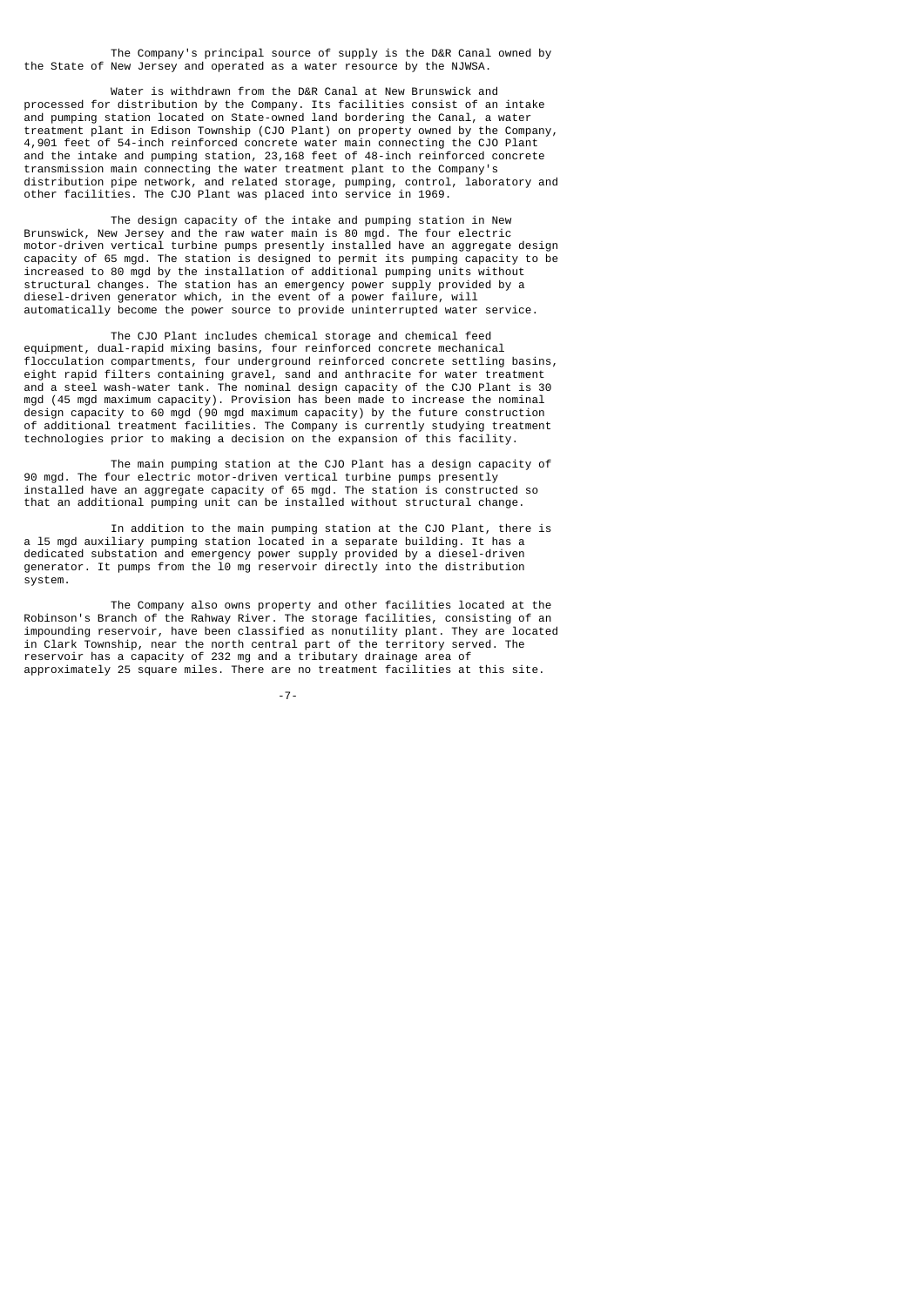The Company's principal source of supply is the D&R Canal owned by the State of New Jersey and operated as a water resource by the NJWSA.

 Water is withdrawn from the D&R Canal at New Brunswick and processed for distribution by the Company. Its facilities consist of an intake and pumping station located on State-owned land bordering the Canal, a water treatment plant in Edison Township (CJO Plant) on property owned by the Company, 4,901 feet of 54-inch reinforced concrete water main connecting the CJO Plant and the intake and pumping station, 23,168 feet of 48-inch reinforced concrete transmission main connecting the water treatment plant to the Company's distribution pipe network, and related storage, pumping, control, laboratory and other facilities. The CJO Plant was placed into service in 1969.

 The design capacity of the intake and pumping station in New Brunswick, New Jersey and the raw water main is 80 mgd. The four electric motor-driven vertical turbine pumps presently installed have an aggregate design capacity of 65 mgd. The station is designed to permit its pumping capacity to be increased to 80 mgd by the installation of additional pumping units without structural changes. The station has an emergency power supply provided by a diesel-driven generator which, in the event of a power failure, will automatically become the power source to provide uninterrupted water service.

 The CJO Plant includes chemical storage and chemical feed equipment, dual-rapid mixing basins, four reinforced concrete mechanical flocculation compartments, four underground reinforced concrete settling basins, eight rapid filters containing gravel, sand and anthracite for water treatment and a steel wash-water tank. The nominal design capacity of the CJO Plant is 30 mgd (45 mgd maximum capacity). Provision has been made to increase the nominal design capacity to 60 mgd (90 mgd maximum capacity) by the future construction of additional treatment facilities. The Company is currently studying treatment technologies prior to making a decision on the expansion of this facility.

 The main pumping station at the CJO Plant has a design capacity of 90 mgd. The four electric motor-driven vertical turbine pumps presently installed have an aggregate capacity of 65 mgd. The station is constructed so that an additional pumping unit can be installed without structural change.

 In addition to the main pumping station at the CJO Plant, there is a l5 mgd auxiliary pumping station located in a separate building. It has a dedicated substation and emergency power supply provided by a diesel-driven generator. It pumps from the l0 mg reservoir directly into the distribution system.

 The Company also owns property and other facilities located at the Robinson's Branch of the Rahway River. The storage facilities, consisting of an impounding reservoir, have been classified as nonutility plant. They are located in Clark Township, near the north central part of the territory served. The reservoir has a capacity of 232 mg and a tributary drainage area of approximately 25 square miles. There are no treatment facilities at this site.

-7-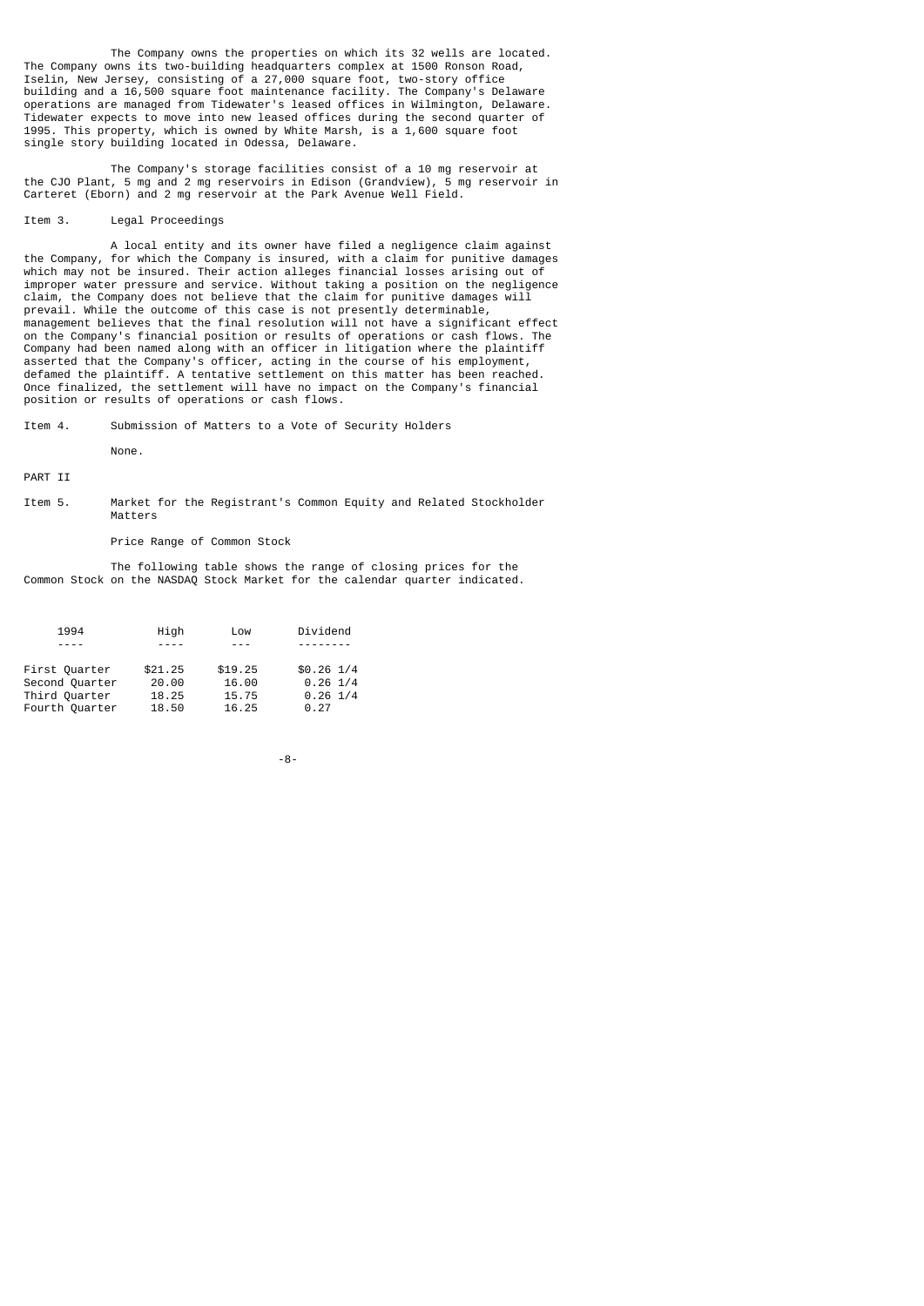The Company owns the properties on which its 32 wells are located. The Company owns its two-building headquarters complex at 1500 Ronson Road, Iselin, New Jersey, consisting of a 27,000 square foot, two-story office building and a 16,500 square foot maintenance facility. The Company's Delaware operations are managed from Tidewater's leased offices in Wilmington, Delaware. Tidewater expects to move into new leased offices during the second quarter of 1995. This property, which is owned by White Marsh, is a 1,600 square foot single story building located in Odessa, Delaware.

 The Company's storage facilities consist of a 10 mg reservoir at the CJO Plant, 5 mg and 2 mg reservoirs in Edison (Grandview), 5 mg reservoir in Carteret (Eborn) and 2 mg reservoir at the Park Avenue Well Field.

#### Item 3. Legal Proceedings

 A local entity and its owner have filed a negligence claim against the Company, for which the Company is insured, with a claim for punitive damages which may not be insured. Their action alleges financial losses arising out of improper water pressure and service. Without taking a position on the negligence claim, the Company does not believe that the claim for punitive damages will prevail. While the outcome of this case is not presently determinable, management believes that the final resolution will not have a significant effect on the Company's financial position or results of operations or cash flows. The Company had been named along with an officer in litigation where the plaintiff asserted that the Company's officer, acting in the course of his employment, defamed the plaintiff. A tentative settlement on this matter has been reached. Once finalized, the settlement will have no impact on the Company's financial position or results of operations or cash flows.

Item 4. Submission of Matters to a Vote of Security Holders

None.

PART II

Item 5. Market for the Registrant's Common Equity and Related Stockholder Matters

## Price Range of Common Stock

 The following table shows the range of closing prices for the Common Stock on the NASDAQ Stock Market for the calendar quarter indicated.

| 1994           | High      | Low     | Dividend      |
|----------------|-----------|---------|---------------|
| $- - - -$      | $- - - -$ | $- - -$ | .             |
| First Quarter  | \$21.25   | \$19.25 | $$0.26$ $1/4$ |
| Second Quarter | 20.00     | 16.00   | $0.26$ 1/4    |
| Third Quarter  | 18.25     | 15.75   | $0.26$ 1/4    |
| Fourth Quarter | 18.50     | 16.25   | 0.27          |

-8-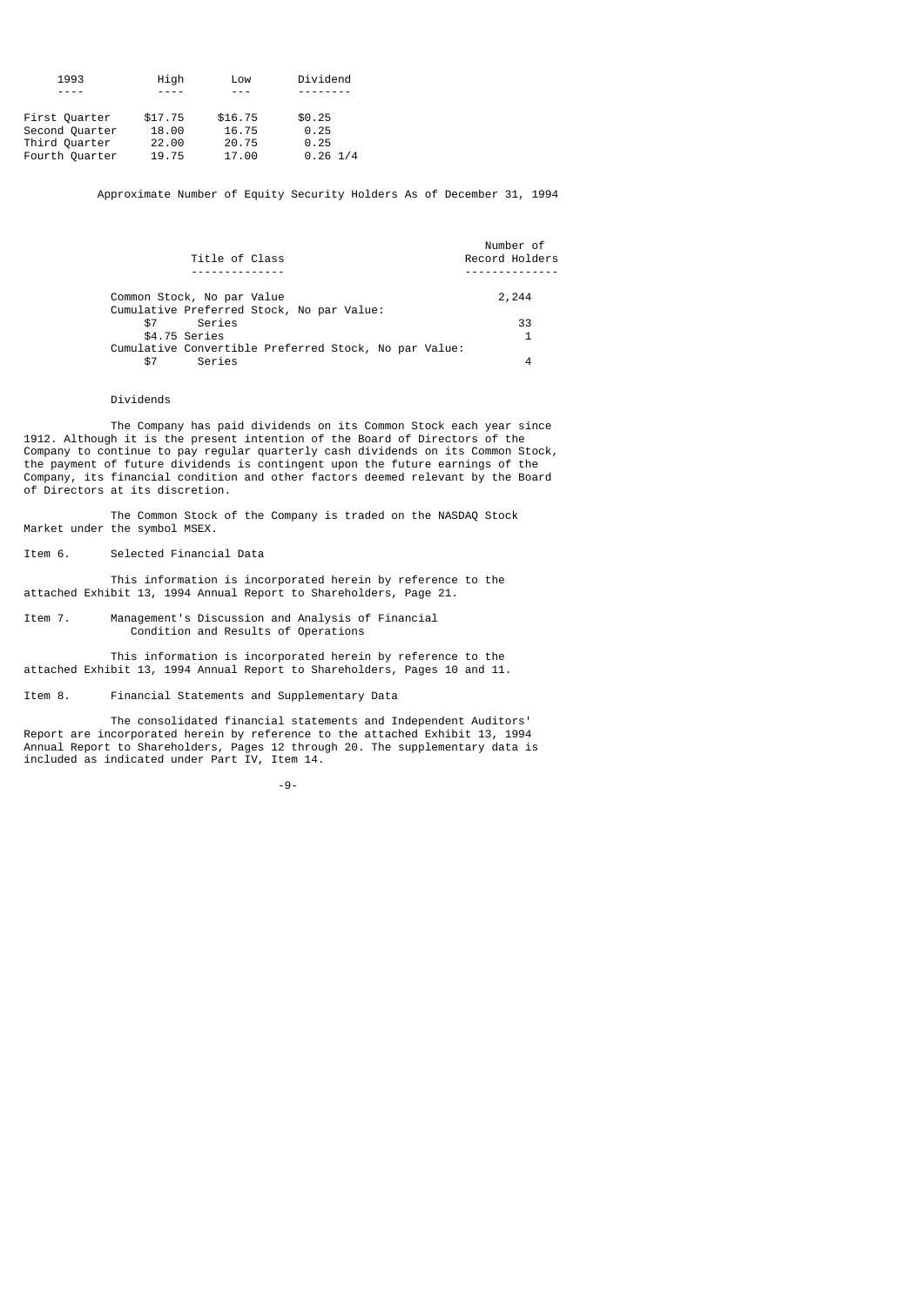| 1993           | High    | Low     | Dividend   |
|----------------|---------|---------|------------|
|                |         | ---     | -------    |
|                |         |         |            |
| First Quarter  | \$17.75 | \$16.75 | \$0.25     |
| Second Quarter | 18.00   | 16.75   | 0.25       |
| Third Quarter  | 22.00   | 20.75   | 0.25       |
| Fourth Quarter | 19.75   | 17.00   | $0.26$ 1/4 |

Approximate Number of Equity Security Holders As of December 31, 1994

| Title of Class                                        | Number of<br>Record Holders |
|-------------------------------------------------------|-----------------------------|
|                                                       |                             |
| Common Stock, No par Value                            | 2,244                       |
| Cumulative Preferred Stock, No par Value:             |                             |
| Series<br>\$7                                         | 33                          |
| \$4.75 Series                                         | $\mathbf{1}$                |
| Cumulative Convertible Preferred Stock, No par Value: |                             |
| Series<br>\$7                                         |                             |
|                                                       |                             |

## Dividends

 The Company has paid dividends on its Common Stock each year since 1912. Although it is the present intention of the Board of Directors of the Company to continue to pay regular quarterly cash dividends on its Common Stock, the payment of future dividends is contingent upon the future earnings of the Company, its financial condition and other factors deemed relevant by the Board of Directors at its discretion.

 The Common Stock of the Company is traded on the NASDAQ Stock Market under the symbol MSEX.

Item 6. Selected Financial Data

 This information is incorporated herein by reference to the attached Exhibit 13, 1994 Annual Report to Shareholders, Page 21.

Item 7. Management's Discussion and Analysis of Financial Condition and Results of Operations

 This information is incorporated herein by reference to the attached Exhibit 13, 1994 Annual Report to Shareholders, Pages 10 and 11.

Item 8. Financial Statements and Supplementary Data

 The consolidated financial statements and Independent Auditors' Report are incorporated herein by reference to the attached Exhibit 13, 1994 Annual Report to Shareholders, Pages 12 through 20. The supplementary data is included as indicated under Part IV, Item 14.

-9-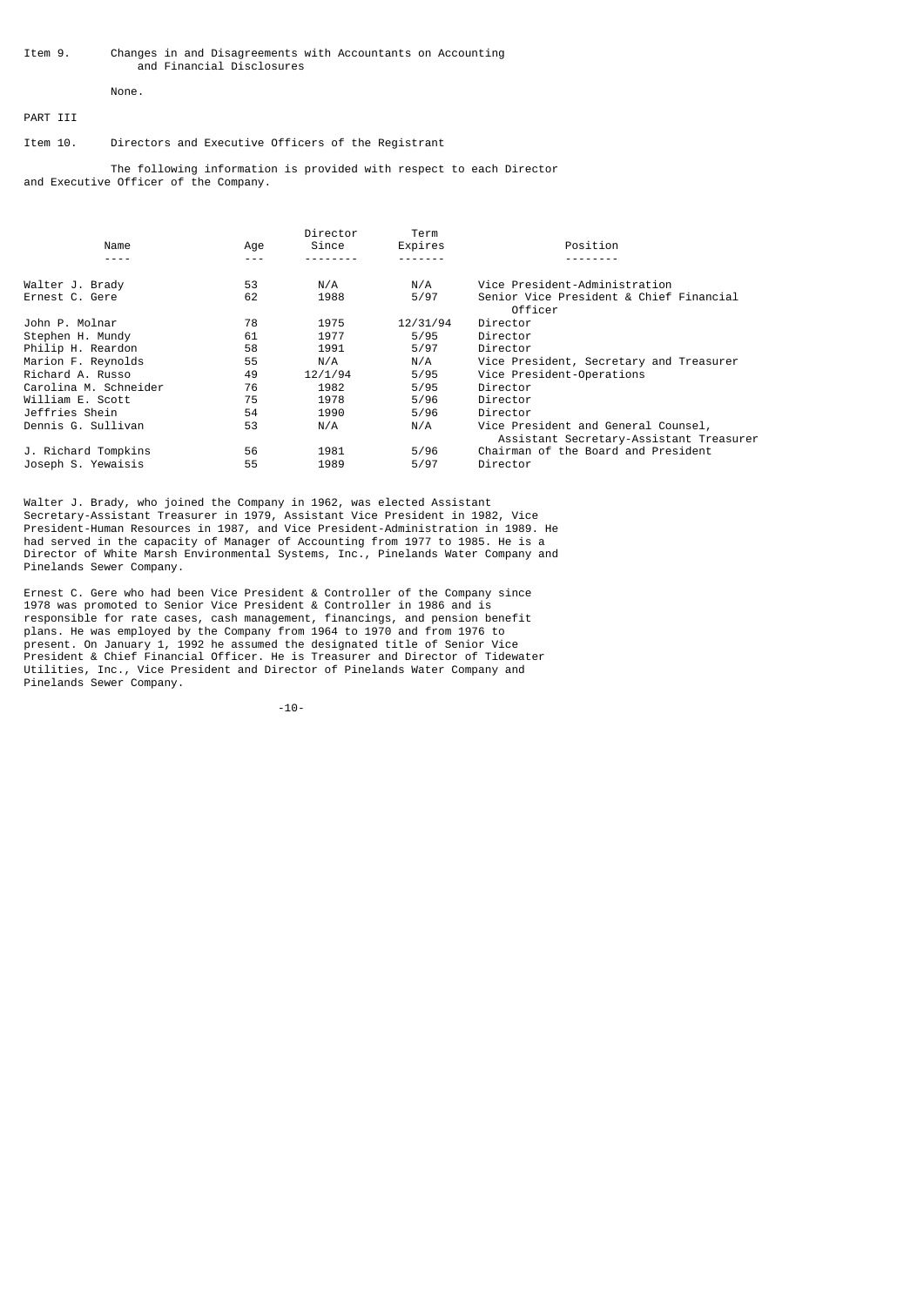#### Item 9. Changes in and Disagreements with Accountants on Accounting and Financial Disclosures

# None.

# PART III

## Item 10. Directors and Executive Officers of the Registrant

 The following information is provided with respect to each Director and Executive Officer of the Company.

|                       |     | Director | Term     |                                                                                |
|-----------------------|-----|----------|----------|--------------------------------------------------------------------------------|
| Name                  | Age | Since    | Expires  | Position                                                                       |
|                       |     |          |          |                                                                                |
| Walter J. Brady       | 53  | N/A      | N/A      | Vice President-Administration                                                  |
| Ernest C. Gere        | 62  | 1988     | 5/97     | Senior Vice President & Chief Financial<br>Officer                             |
| John P. Molnar        | 78  | 1975     | 12/31/94 | Director                                                                       |
| Stephen H. Mundy      | 61  | 1977     | 5/95     | Director                                                                       |
| Philip H. Reardon     | 58  | 1991     | 5/97     | Director                                                                       |
| Marion F. Reynolds    | 55  | N/A      | N/A      | Vice President, Secretary and Treasurer                                        |
| Richard A. Russo      | 49  | 12/1/94  | 5/95     | Vice President-Operations                                                      |
| Carolina M. Schneider | 76  | 1982     | 5/95     | Director                                                                       |
| William E. Scott      | 75  | 1978     | 5/96     | Director                                                                       |
| Jeffries Shein        | 54  | 1990     | 5/96     | Director                                                                       |
| Dennis G. Sullivan    | 53  | N/A      | N/A      | Vice President and General Counsel,<br>Assistant Secretary-Assistant Treasurer |
| J. Richard Tompkins   | 56  | 1981     | 5/96     | Chairman of the Board and President                                            |
| Joseph S. Yewaisis    | 55  | 1989     | 5/97     | Director                                                                       |

Walter J. Brady, who joined the Company in 1962, was elected Assistant Secretary-Assistant Treasurer in 1979, Assistant Vice President in 1982, Vice President-Human Resources in 1987, and Vice President-Administration in 1989. He had served in the capacity of Manager of Accounting from 1977 to 1985. He is a Director of White Marsh Environmental Systems, Inc., Pinelands Water Company and Pinelands Sewer Company.

Ernest C. Gere who had been Vice President & Controller of the Company since 1978 was promoted to Senior Vice President & Controller in 1986 and is responsible for rate cases, cash management, financings, and pension benefit plans. He was employed by the Company from 1964 to 1970 and from 1976 to present. On January 1, 1992 he assumed the designated title of Senior Vice President & Chief Financial Officer. He is Treasurer and Director of Tidewater Utilities, Inc., Vice President and Director of Pinelands Water Company and Pinelands Sewer Company.

-10-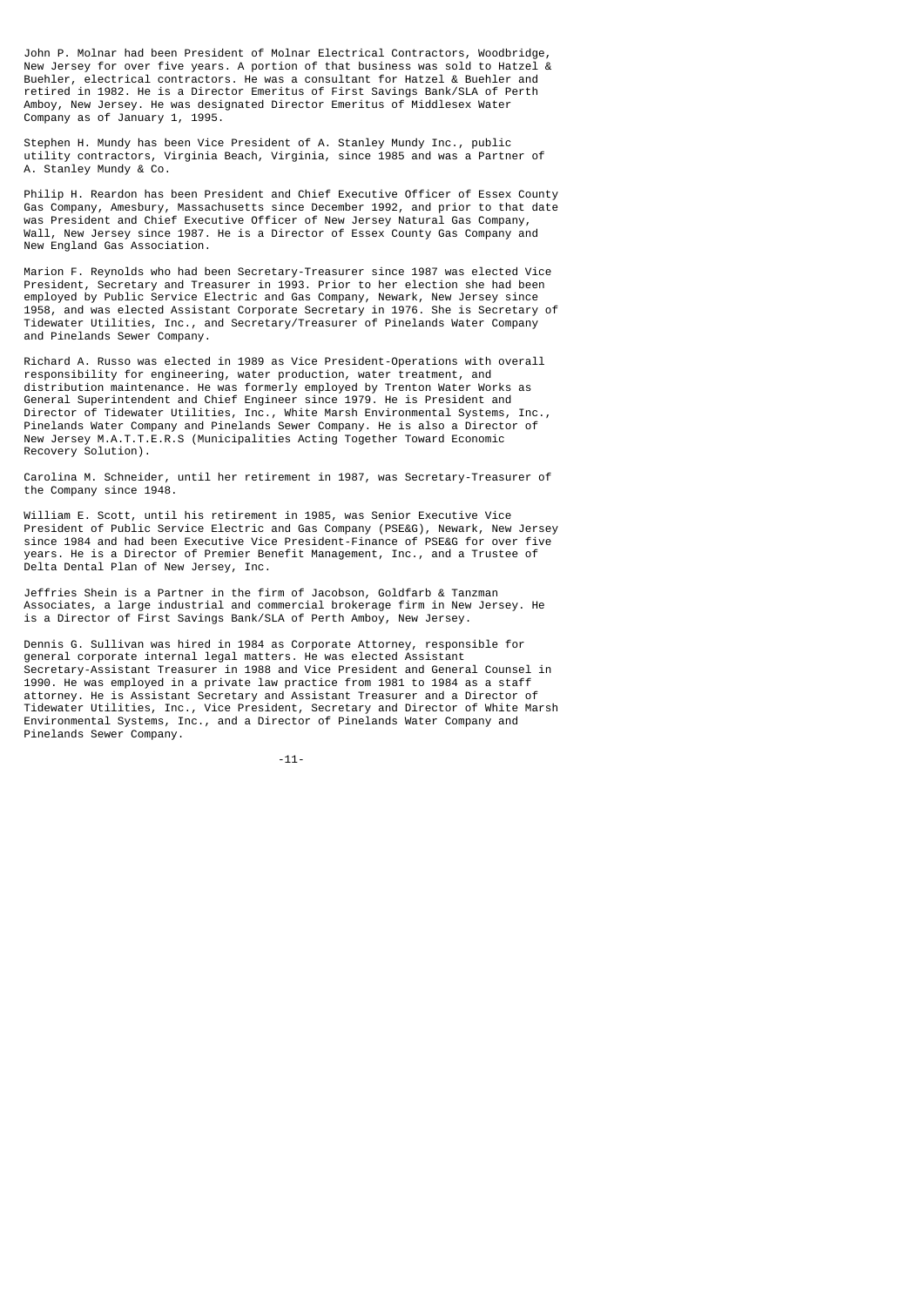John P. Molnar had been President of Molnar Electrical Contractors, Woodbridge, New Jersey for over five years. A portion of that business was sold to Hatzel & Buehler, electrical contractors. He was a consultant for Hatzel & Buehler and retired in 1982. He is a Director Emeritus of First Savings Bank/SLA of Perth Amboy, New Jersey. He was designated Director Emeritus of Middlesex Water Company as of January 1, 1995.

Stephen H. Mundy has been Vice President of A. Stanley Mundy Inc., public utility contractors, Virginia Beach, Virginia, since 1985 and was a Partner of A. Stanley Mundy & Co.

Philip H. Reardon has been President and Chief Executive Officer of Essex County Gas Company, Amesbury, Massachusetts since December 1992, and prior to that date was President and Chief Executive Officer of New Jersey Natural Gas Company, Wall, New Jersey since 1987. He is a Director of Essex County Gas Company and New England Gas Association.

Marion F. Reynolds who had been Secretary-Treasurer since 1987 was elected Vice President, Secretary and Treasurer in 1993. Prior to her election she had been employed by Public Service Electric and Gas Company, Newark, New Jersey since 1958, and was elected Assistant Corporate Secretary in 1976. She is Secretary of Tidewater Utilities, Inc., and Secretary/Treasurer of Pinelands Water Company and Pinelands Sewer Company.

Richard A. Russo was elected in 1989 as Vice President-Operations with overall responsibility for engineering, water production, water treatment, and distribution maintenance. He was formerly employed by Trenton Water Works as General Superintendent and Chief Engineer since 1979. He is President and Director of Tidewater Utilities, Inc., White Marsh Environmental Systems, Inc., Pinelands Water Company and Pinelands Sewer Company. He is also a Director of New Jersey M.A.T.T.E.R.S (Municipalities Acting Together Toward Economic Recovery Solution).

Carolina M. Schneider, until her retirement in 1987, was Secretary-Treasurer of the Company since 1948.

William E. Scott, until his retirement in 1985, was Senior Executive Vice President of Public Service Electric and Gas Company (PSE&G), Newark, New Jersey since 1984 and had been Executive Vice President-Finance of PSE&G for over five years. He is a Director of Premier Benefit Management, Inc., and a Trustee of Delta Dental Plan of New Jersey, Inc.

Jeffries Shein is a Partner in the firm of Jacobson, Goldfarb & Tanzman Associates, a large industrial and commercial brokerage firm in New Jersey. He is a Director of First Savings Bank/SLA of Perth Amboy, New Jersey.

Dennis G. Sullivan was hired in 1984 as Corporate Attorney, responsible for general corporate internal legal matters. He was elected Assistant Secretary-Assistant Treasurer in 1988 and Vice President and General Counsel in 1990. He was employed in a private law practice from 1981 to 1984 as a staff attorney. He is Assistant Secretary and Assistant Treasurer and a Director of Tidewater Utilities, Inc., Vice President, Secretary and Director of White Marsh Environmental Systems, Inc., and a Director of Pinelands Water Company and Pinelands Sewer Company.

-11-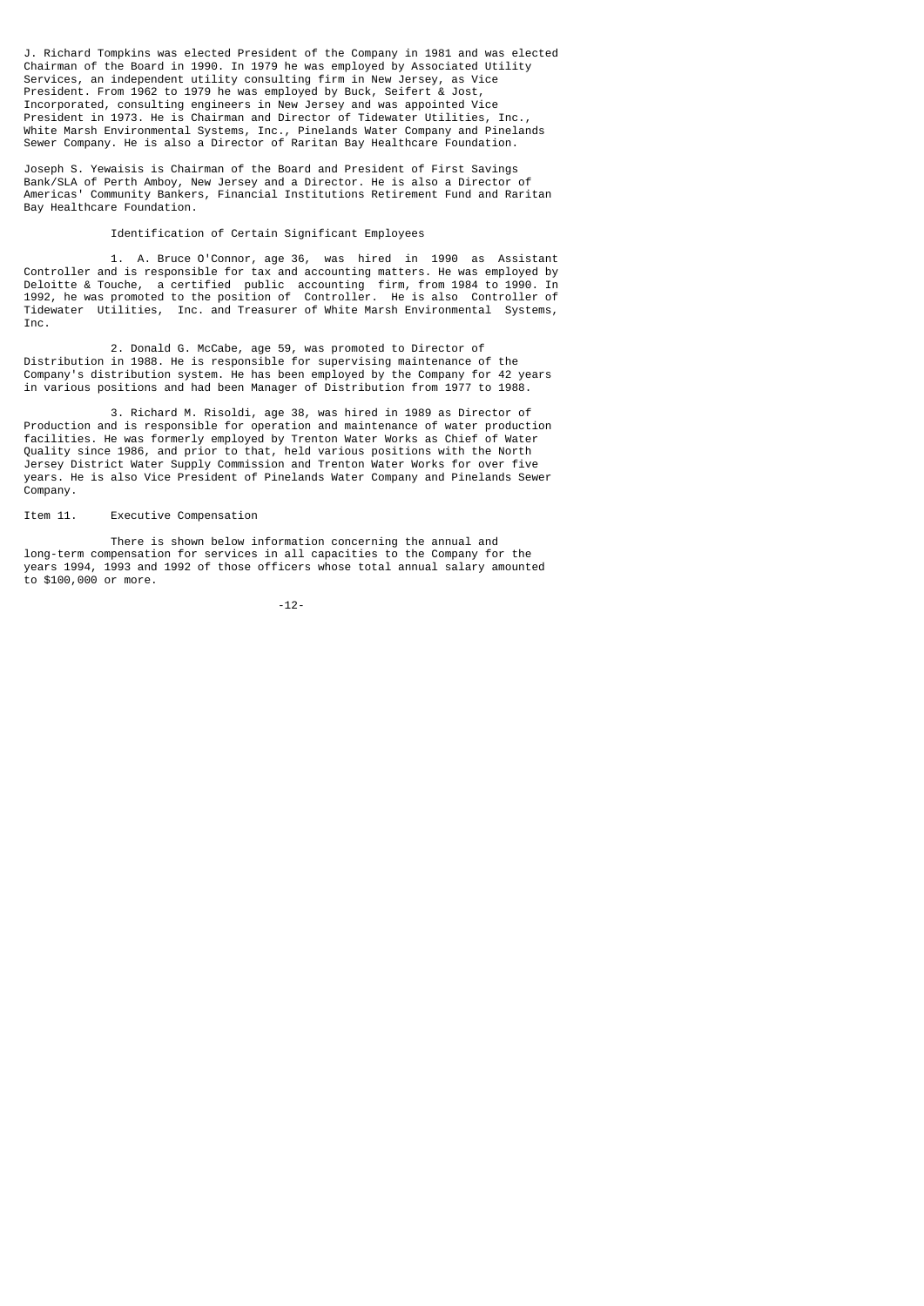J. Richard Tompkins was elected President of the Company in 1981 and was elected Chairman of the Board in 1990. In 1979 he was employed by Associated Utility Services, an independent utility consulting firm in New Jersey, as Vice President. From 1962 to 1979 he was employed by Buck, Seifert & Jost, Incorporated, consulting engineers in New Jersey and was appointed Vice President in 1973. He is Chairman and Director of Tidewater Utilities, Inc., White Marsh Environmental Systems, Inc., Pinelands Water Company and Pinelands Sewer Company. He is also a Director of Raritan Bay Healthcare Foundation.

Joseph S. Yewaisis is Chairman of the Board and President of First Savings Bank/SLA of Perth Amboy, New Jersey and a Director. He is also a Director of Americas' Community Bankers, Financial Institutions Retirement Fund and Raritan Bay Healthcare Foundation.

## Identification of Certain Significant Employees

 1. A. Bruce O'Connor, age 36, was hired in 1990 as Assistant Controller and is responsible for tax and accounting matters. He was employed by Deloitte & Touche, a certified public accounting firm, from 1984 to 1990. In 1992, he was promoted to the position of Controller. He is also Controller of Tidewater Utilities, Inc. and Treasurer of White Marsh Environmental Systems, Inc.

 2. Donald G. McCabe, age 59, was promoted to Director of Distribution in 1988. He is responsible for supervising maintenance of the Company's distribution system. He has been employed by the Company for 42 years in various positions and had been Manager of Distribution from 1977 to 1988.

 3. Richard M. Risoldi, age 38, was hired in 1989 as Director of Production and is responsible for operation and maintenance of water production facilities. He was formerly employed by Trenton Water Works as Chief of Water Quality since 1986, and prior to that, held various positions with the North Jersey District Water Supply Commission and Trenton Water Works for over five years. He is also Vice President of Pinelands Water Company and Pinelands Sewer Company.

## Item 11. Executive Compensation

 There is shown below information concerning the annual and long-term compensation for services in all capacities to the Company for the years 1994, 1993 and 1992 of those officers whose total annual salary amounted to \$100,000 or more.

-12-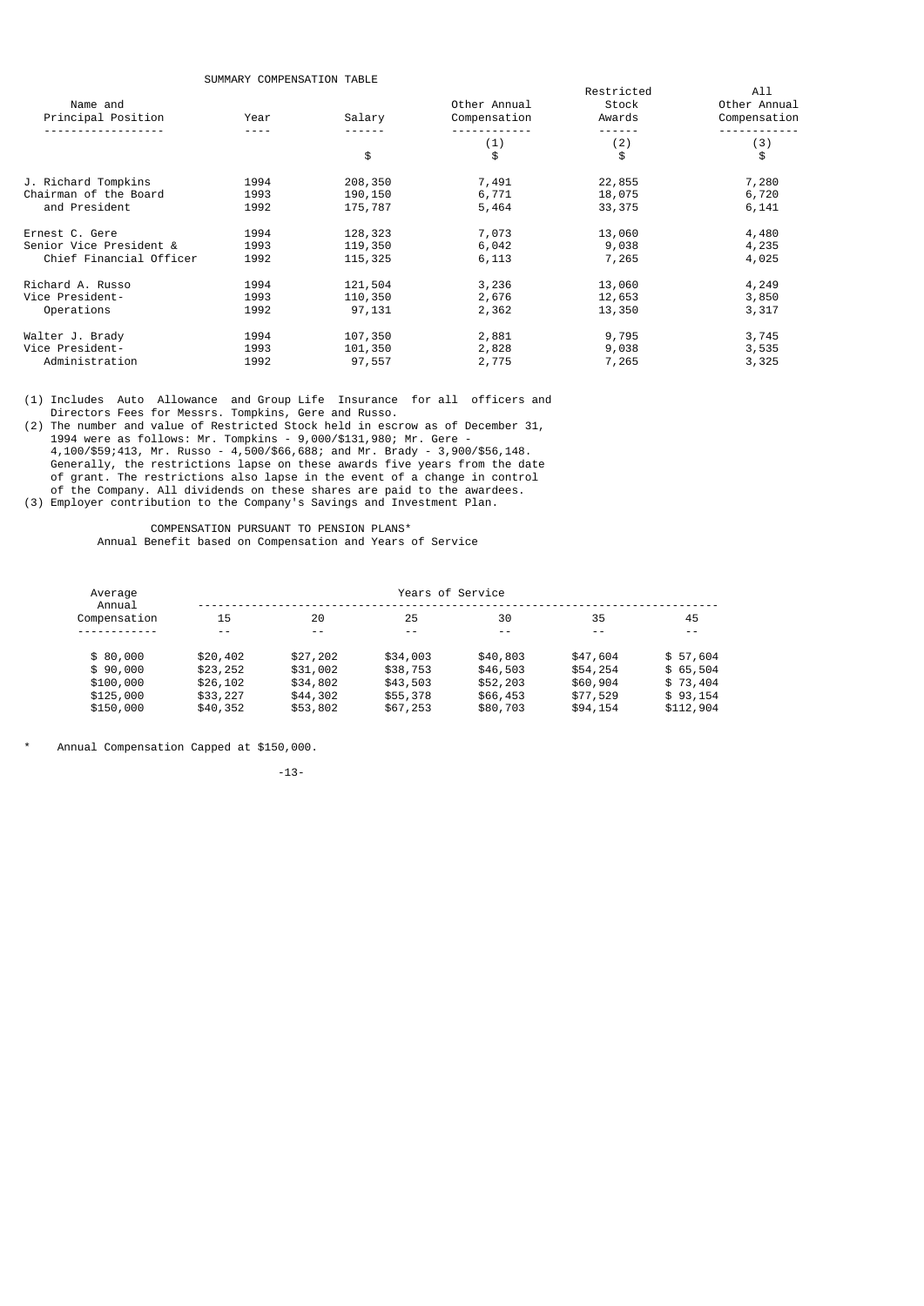SUMMARY COMPENSATION TABLE

|                         | <b>SUPIPIANT CUPIFENSATION TABLE</b> |          |              | Restricted | All          |
|-------------------------|--------------------------------------|----------|--------------|------------|--------------|
| Name and                |                                      |          | Other Annual | Stock      | Other Annual |
| Principal Position      | Year                                 | Salary   | Compensation | Awards     | Compensation |
|                         |                                      |          | (1)          | (2)        | (3)          |
|                         |                                      | \$       | \$           | \$         | \$           |
| J. Richard Tompkins     | 1994                                 | 208,350  | 7,491        | 22,855     | 7,280        |
| Chairman of the Board   | 1993                                 | 190, 150 | 6,771        | 18,075     | 6,720        |
| and President           | 1992                                 | 175,787  | 5,464        | 33, 375    | 6,141        |
| Ernest C. Gere          | 1994                                 | 128,323  | 7,073        | 13,060     | 4,480        |
| Senior Vice President & | 1993                                 | 119,350  | 6,042        | 9,038      | 4,235        |
| Chief Financial Officer | 1992                                 | 115,325  | 6,113        | 7,265      | 4,025        |
| Richard A. Russo        | 1994                                 | 121,504  | 3,236        | 13,060     | 4,249        |
| Vice President-         | 1993                                 | 110,350  | 2,676        | 12,653     | 3,850        |
| Operations              | 1992                                 | 97,131   | 2,362        | 13,350     | 3,317        |
| Walter J. Brady         | 1994                                 | 107,350  | 2,881        | 9,795      | 3,745        |
| Vice President-         | 1993                                 | 101,350  | 2,828        | 9,038      | 3,535        |
| Administration          | 1992                                 | 97,557   | 2,775        | 7,265      | 3,325        |

(1) Includes Auto Allowance and Group Life Insurance for all officers and Directors Fees for Messrs. Tompkins, Gere and Russo.

(2) The number and value of Restricted Stock held in escrow as of December 31, 1994 were as follows: Mr. Tompkins - 9,000/\$131,980; Mr. Gere - 4,100/\$59;413, Mr. Russo - 4,500/\$66,688; and Mr. Brady - 3,900/\$56,148. Generally, the restrictions lapse on these awards five years from the date of grant. The restrictions also lapse in the event of a change in control of the Company. All dividends on these shares are paid to the awardees. (3) Employer contribution to the Company's Savings and Investment Plan.

 COMPENSATION PURSUANT TO PENSION PLANS\* Annual Benefit based on Compensation and Years of Service

| Average<br>Annual | Years of Service |          |          |          |          |           |  |
|-------------------|------------------|----------|----------|----------|----------|-----------|--|
| Compensation      | 15               | 20       | 25       | 30       | 35       | 45        |  |
|                   |                  |          |          |          |          | $ -$      |  |
| \$80.000          | \$20,402         | \$27,202 | \$34,003 | \$40,803 | \$47,604 | \$57,604  |  |
| \$90.000          | \$23,252         | \$31,002 | \$38,753 | \$46,503 | \$54,254 | \$65,504  |  |
| \$100,000         | \$26,102         | \$34,802 | \$43,503 | \$52,203 | \$60,904 | \$73,404  |  |
| \$125,000         | \$33,227         | \$44,302 | \$55,378 | \$66,453 | \$77,529 | \$93,154  |  |
| \$150,000         | \$40,352         | \$53,802 | \$67,253 | \$80,703 | \$94,154 | \$112,904 |  |
|                   |                  |          |          |          |          |           |  |

\* Annual Compensation Capped at \$150,000.

-13-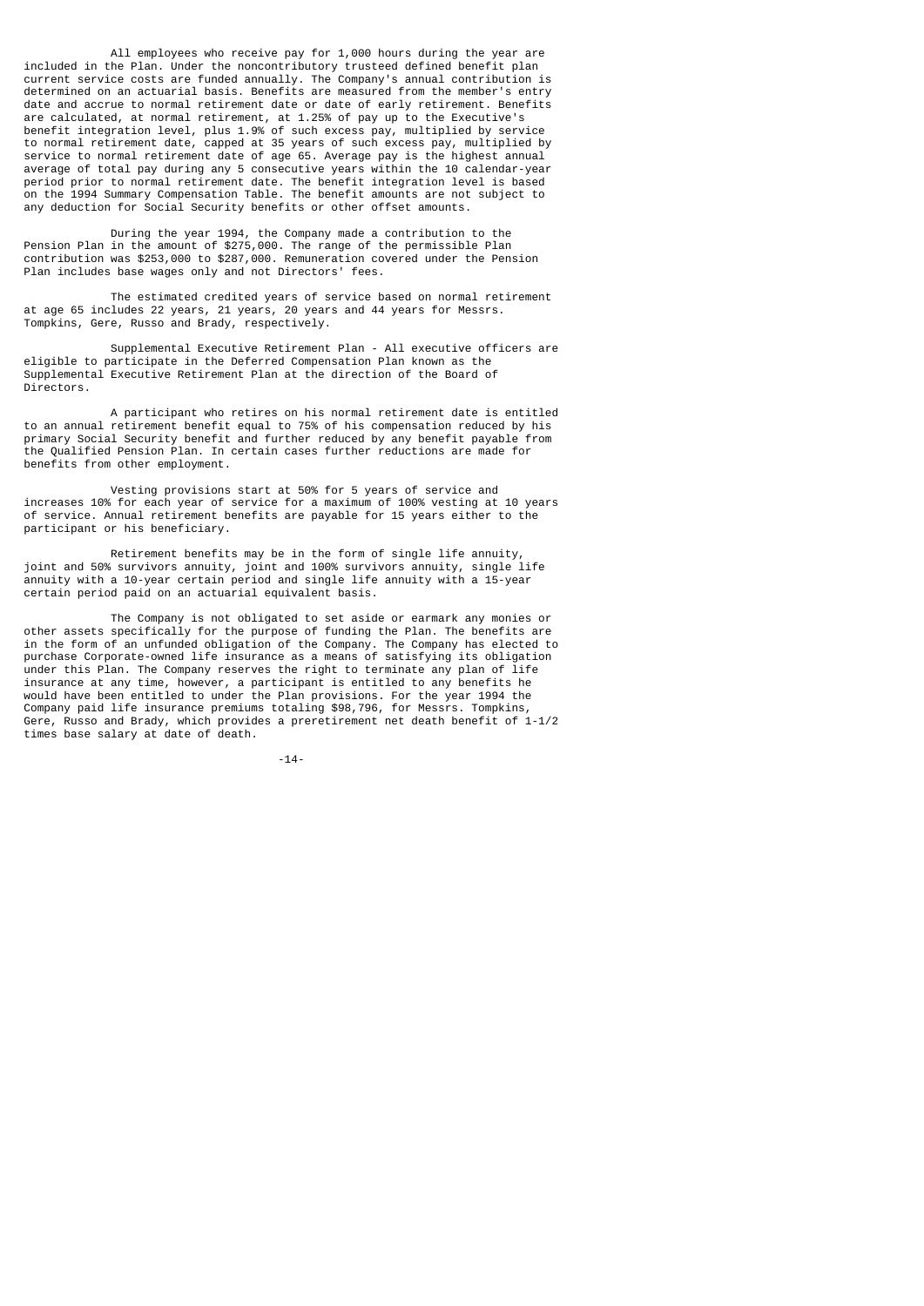All employees who receive pay for 1,000 hours during the year are included in the Plan. Under the noncontributory trusteed defined benefit plan current service costs are funded annually. The Company's annual contribution is determined on an actuarial basis. Benefits are measured from the member's entry date and accrue to normal retirement date or date of early retirement. Benefits are calculated, at normal retirement, at 1.25% of pay up to the Executive's benefit integration level, plus 1.9% of such excess pay, multiplied by service to normal retirement date, capped at 35 years of such excess pay, multiplied by service to normal retirement date of age 65. Average pay is the highest annual average of total pay during any 5 consecutive years within the 10 calendar-year period prior to normal retirement date. The benefit integration level is based on the 1994 Summary Compensation Table. The benefit amounts are not subject to any deduction for Social Security benefits or other offset amounts.

 During the year 1994, the Company made a contribution to the Pension Plan in the amount of \$275,000. The range of the permissible Plan contribution was \$253,000 to \$287,000. Remuneration covered under the Pension Plan includes base wages only and not Directors' fees.

 The estimated credited years of service based on normal retirement at age 65 includes 22 years, 21 years, 20 years and 44 years for Messrs. Tompkins, Gere, Russo and Brady, respectively.

 Supplemental Executive Retirement Plan - All executive officers are eligible to participate in the Deferred Compensation Plan known as the Supplemental Executive Retirement Plan at the direction of the Board of Directors.

 A participant who retires on his normal retirement date is entitled to an annual retirement benefit equal to 75% of his compensation reduced by his primary Social Security benefit and further reduced by any benefit payable from the Qualified Pension Plan. In certain cases further reductions are made for benefits from other employment.

 Vesting provisions start at 50% for 5 years of service and increases 10% for each year of service for a maximum of 100% vesting at 10 years of service. Annual retirement benefits are payable for 15 years either to the participant or his beneficiary.

 Retirement benefits may be in the form of single life annuity, joint and 50% survivors annuity, joint and 100% survivors annuity, single life annuity with a 10-year certain period and single life annuity with a 15-year certain period paid on an actuarial equivalent basis.

 The Company is not obligated to set aside or earmark any monies or other assets specifically for the purpose of funding the Plan. The benefits are in the form of an unfunded obligation of the Company. The Company has elected to purchase Corporate-owned life insurance as a means of satisfying its obligation under this Plan. The Company reserves the right to terminate any plan of life insurance at any time, however, a participant is entitled to any benefits he would have been entitled to under the Plan provisions. For the year 1994 the Company paid life insurance premiums totaling \$98,796, for Messrs. Tompkins, Gere, Russo and Brady, which provides a preretirement net death benefit of 1-1/2 times base salary at date of death.

-14-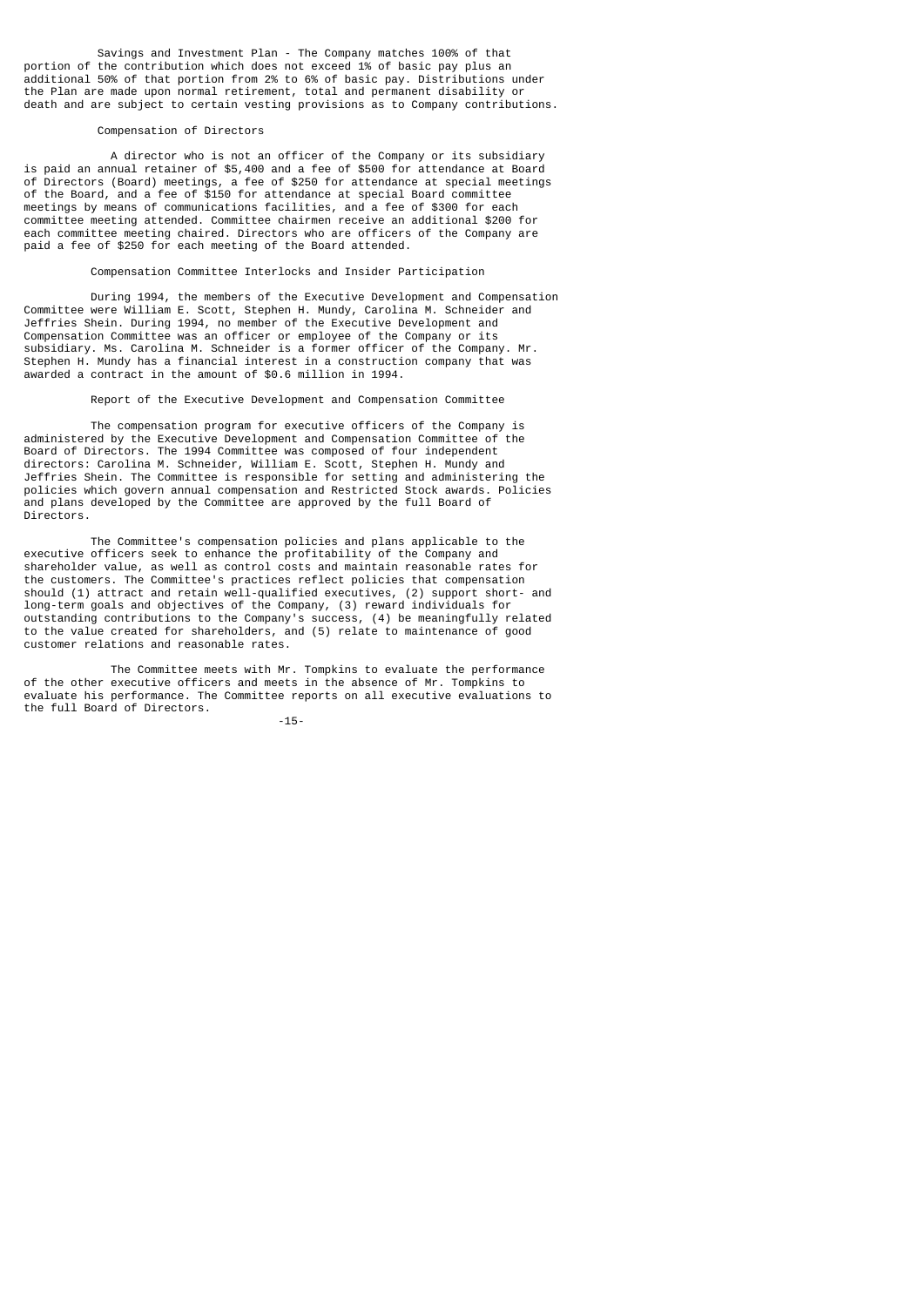Savings and Investment Plan - The Company matches 100% of that portion of the contribution which does not exceed 1% of basic pay plus an additional 50% of that portion from 2% to 6% of basic pay. Distributions under the Plan are made upon normal retirement, total and permanent disability or death and are subject to certain vesting provisions as to Company contributions.

## Compensation of Directors

 A director who is not an officer of the Company or its subsidiary is paid an annual retainer of \$5,400 and a fee of \$500 for attendance at Board of Directors (Board) meetings, a fee of \$250 for attendance at special meetings of the Board, and a fee of \$150 for attendance at special Board committee meetings by means of communications facilities, and a fee of \$300 for each committee meeting attended. Committee chairmen receive an additional \$200 for each committee meeting chaired. Directors who are officers of the Company are paid a fee of \$250 for each meeting of the Board attended.

Compensation Committee Interlocks and Insider Participation

 During 1994, the members of the Executive Development and Compensation Committee were William E. Scott, Stephen H. Mundy, Carolina M. Schneider and Jeffries Shein. During 1994, no member of the Executive Development and Compensation Committee was an officer or employee of the Company or its subsidiary. Ms. Carolina M. Schneider is a former officer of the Company. Mr. Stephen H. Mundy has a financial interest in a construction company that was awarded a contract in the amount of \$0.6 million in 1994.

Report of the Executive Development and Compensation Committee

 The compensation program for executive officers of the Company is administered by the Executive Development and Compensation Committee of the Board of Directors. The 1994 Committee was composed of four independent directors: Carolina M. Schneider, William E. Scott, Stephen H. Mundy and Jeffries Shein. The Committee is responsible for setting and administering the policies which govern annual compensation and Restricted Stock awards. Policies and plans developed by the Committee are approved by the full Board of Directors.

 The Committee's compensation policies and plans applicable to the executive officers seek to enhance the profitability of the Company and shareholder value, as well as control costs and maintain reasonable rates for the customers. The Committee's practices reflect policies that compensation should (1) attract and retain well-qualified executives, (2) support short- and long-term goals and objectives of the Company, (3) reward individuals for outstanding contributions to the Company's success, (4) be meaningfully related to the value created for shareholders, and (5) relate to maintenance of good customer relations and reasonable rates.

 The Committee meets with Mr. Tompkins to evaluate the performance of the other executive officers and meets in the absence of Mr. Tompkins to evaluate his performance. The Committee reports on all executive evaluations to the full Board of Directors.

-15-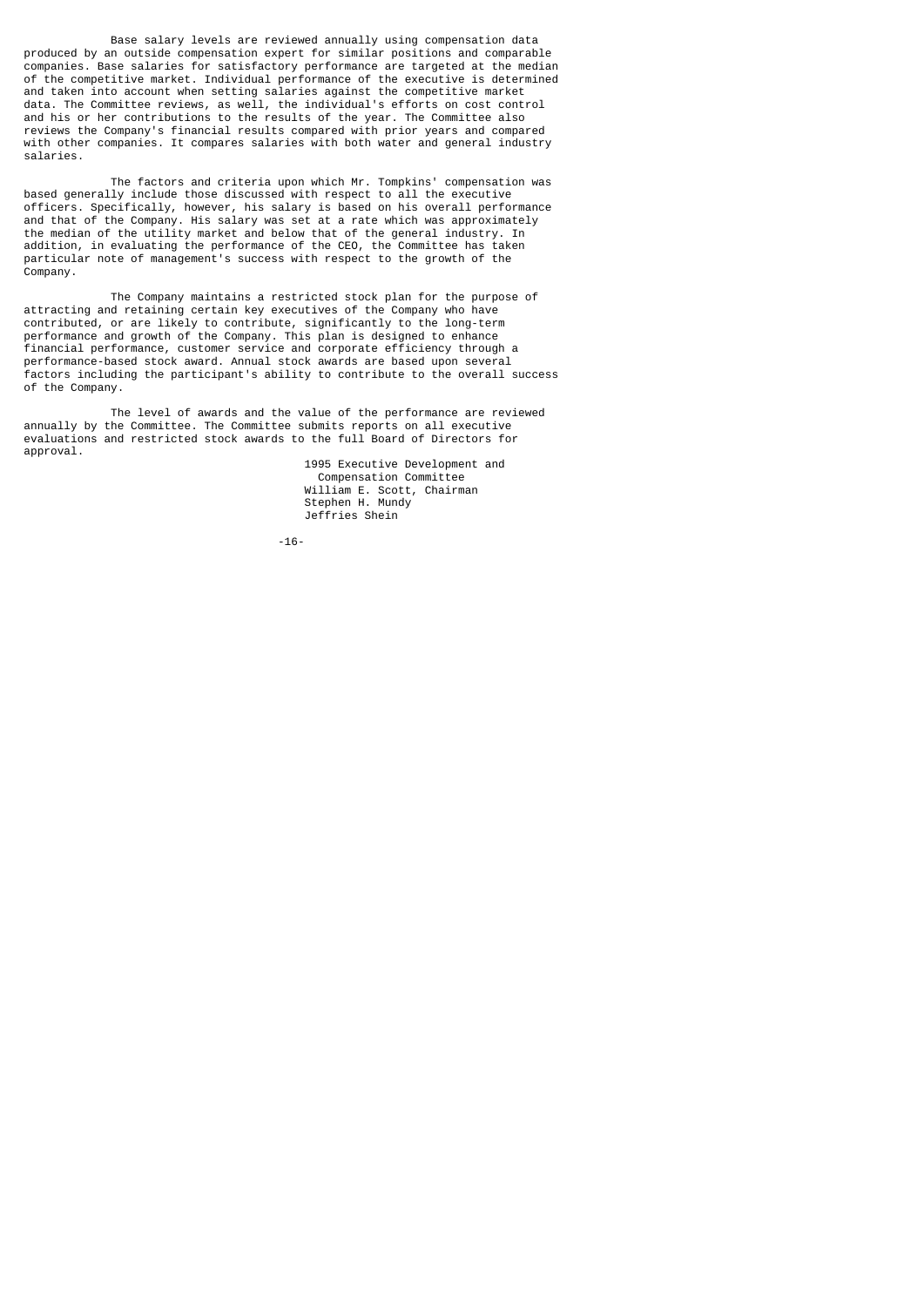Base salary levels are reviewed annually using compensation data produced by an outside compensation expert for similar positions and comparable companies. Base salaries for satisfactory performance are targeted at the median of the competitive market. Individual performance of the executive is determined and taken into account when setting salaries against the competitive market data. The Committee reviews, as well, the individual's efforts on cost control and his or her contributions to the results of the year. The Committee also reviews the Company's financial results compared with prior years and compared with other companies. It compares salaries with both water and general industry salaries.

 The factors and criteria upon which Mr. Tompkins' compensation was based generally include those discussed with respect to all the executive officers. Specifically, however, his salary is based on his overall performance and that of the Company. His salary was set at a rate which was approximately the median of the utility market and below that of the general industry. In addition, in evaluating the performance of the CEO, the Committee has taken particular note of management's success with respect to the growth of the Company.

 The Company maintains a restricted stock plan for the purpose of attracting and retaining certain key executives of the Company who have contributed, or are likely to contribute, significantly to the long-term performance and growth of the Company. This plan is designed to enhance financial performance, customer service and corporate efficiency through a performance-based stock award. Annual stock awards are based upon several factors including the participant's ability to contribute to the overall success of the Company.

 The level of awards and the value of the performance are reviewed annually by the Committee. The Committee submits reports on all executive evaluations and restricted stock awards to the full Board of Directors for approval.

 1995 Executive Development and Compensation Committee William E. Scott, Chairman Stephen H. Mundy Jeffries Shein

-16-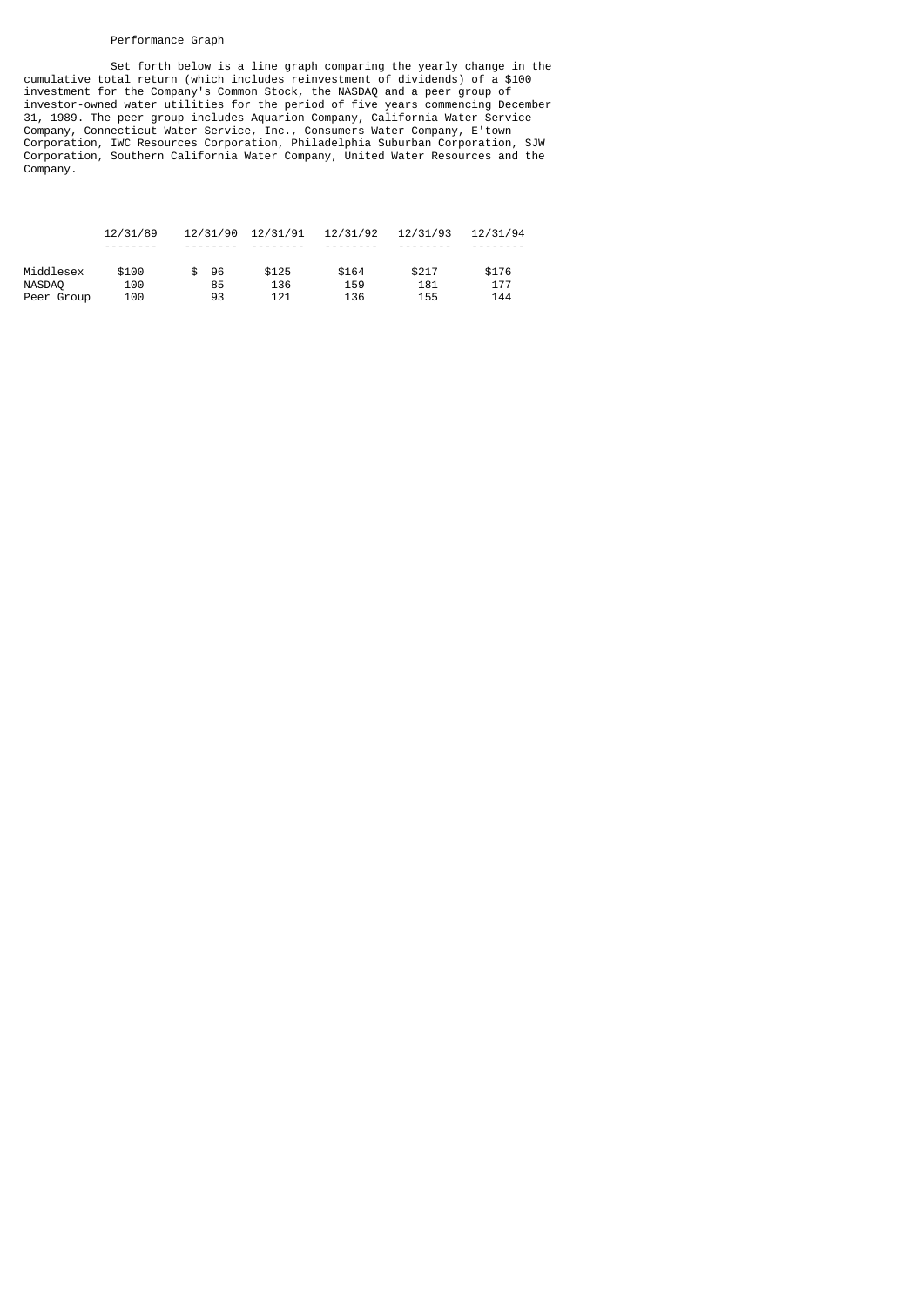## Performance Graph

 Set forth below is a line graph comparing the yearly change in the cumulative total return (which includes reinvestment of dividends) of a \$100 investment for the Company's Common Stock, the NASDAQ and a peer group of investor-owned water utilities for the period of five years commencing December 31, 1989. The peer group includes Aquarion Company, California Water Service Company, Connecticut Water Service, Inc., Consumers Water Company, E'town Corporation, IWC Resources Corporation, Philadelphia Suburban Corporation, SJW Corporation, Southern California Water Company, United Water Resources and the Company.

|            | 12/31/89 | 12/31/90 | 12/31/91 | 12/31/92 | 12/31/93 | 12/31/94 |
|------------|----------|----------|----------|----------|----------|----------|
|            |          |          |          |          |          |          |
| Middlesex  | \$100    | 96       | \$125    | \$164    | \$217    | \$176    |
| NASDAQ     | 100      | 85       | 136      | 159      | 181      | 177      |
| Peer Group | 100      | 93       | 121      | 136      | 155      | 144      |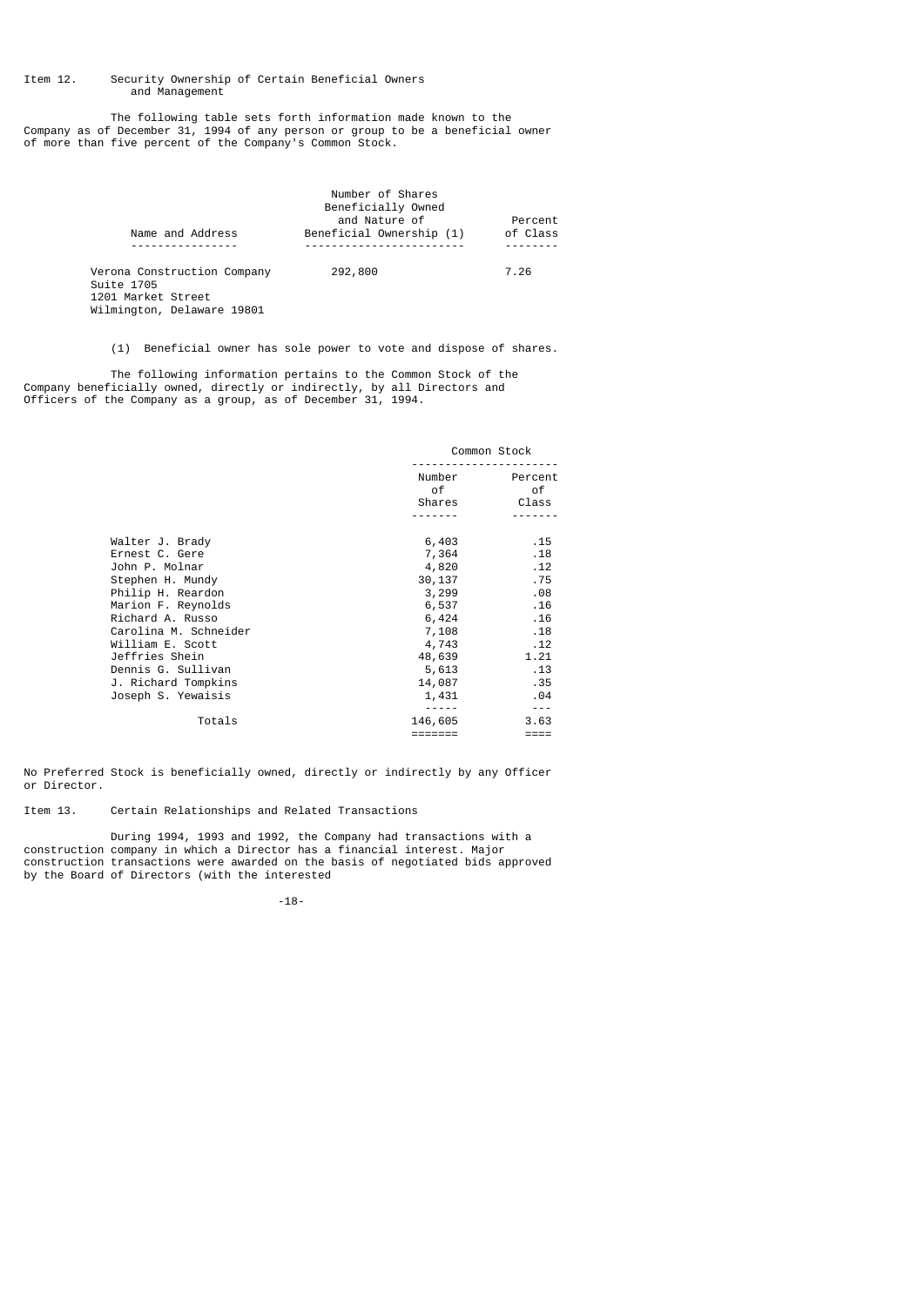## Item 12. Security Ownership of Certain Beneficial Owners and Management

 The following table sets forth information made known to the Company as of December 31, 1994 of any person or group to be a beneficial owner of more than five percent of the Company's Common Stock.

|                                                                                               | Number of Shares<br>Beneficially Owned    |                     |
|-----------------------------------------------------------------------------------------------|-------------------------------------------|---------------------|
| Name and Address                                                                              | and Nature of<br>Beneficial Ownership (1) | Percent<br>of Class |
|                                                                                               |                                           |                     |
| Verona Construction Company<br>Suite 1705<br>1201 Market Street<br>Wilmington, Delaware 19801 | 292,800                                   | 7.26                |

(1) Beneficial owner has sole power to vote and dispose of shares.

 The following information pertains to the Common Stock of the Company beneficially owned, directly or indirectly, by all Directors and Officers of the Company as a group, as of December 31, 1994.

|                       |                                                                                                                                                                                                                                          | Common Stock                                                                                                                                                                                                                                                                                                                                                                                 |
|-----------------------|------------------------------------------------------------------------------------------------------------------------------------------------------------------------------------------------------------------------------------------|----------------------------------------------------------------------------------------------------------------------------------------------------------------------------------------------------------------------------------------------------------------------------------------------------------------------------------------------------------------------------------------------|
|                       | of the contract of the contract of the contract of the contract of the contract of the contract of the contract of the contract of the contract of the contract of the contract of the contract of the contract of the contrac<br>Shares | Number Percent<br>0f<br>Class                                                                                                                                                                                                                                                                                                                                                                |
|                       |                                                                                                                                                                                                                                          |                                                                                                                                                                                                                                                                                                                                                                                              |
| Walter J. Brady       | 6,403                                                                                                                                                                                                                                    | .15                                                                                                                                                                                                                                                                                                                                                                                          |
| Ernest C. Gere        | 7,364                                                                                                                                                                                                                                    | .18                                                                                                                                                                                                                                                                                                                                                                                          |
| John P. Molnar        | 4,820                                                                                                                                                                                                                                    | .12                                                                                                                                                                                                                                                                                                                                                                                          |
| Stephen H. Mundy      | 30,137                                                                                                                                                                                                                                   | .75                                                                                                                                                                                                                                                                                                                                                                                          |
| Philip H. Reardon     | 3,299                                                                                                                                                                                                                                    | .08                                                                                                                                                                                                                                                                                                                                                                                          |
| Marion F. Reynolds    | 6,537                                                                                                                                                                                                                                    | .16                                                                                                                                                                                                                                                                                                                                                                                          |
| Richard A. Russo      | 6,424                                                                                                                                                                                                                                    | .16                                                                                                                                                                                                                                                                                                                                                                                          |
| Carolina M. Schneider | 7,108                                                                                                                                                                                                                                    | .18                                                                                                                                                                                                                                                                                                                                                                                          |
| William E. Scott      | 4,743                                                                                                                                                                                                                                    | .12                                                                                                                                                                                                                                                                                                                                                                                          |
| Jeffries Shein        | 48,639                                                                                                                                                                                                                                   | 1.21                                                                                                                                                                                                                                                                                                                                                                                         |
| Dennis G. Sullivan    | 5,613                                                                                                                                                                                                                                    | .13                                                                                                                                                                                                                                                                                                                                                                                          |
| J. Richard Tompkins   | 14,087                                                                                                                                                                                                                                   | .35                                                                                                                                                                                                                                                                                                                                                                                          |
| Joseph S. Yewaisis    | 1,431                                                                                                                                                                                                                                    | .04                                                                                                                                                                                                                                                                                                                                                                                          |
|                       |                                                                                                                                                                                                                                          | $\frac{1}{2} \frac{1}{2} \frac{1}{2} \frac{1}{2} \frac{1}{2} \frac{1}{2} \frac{1}{2} \frac{1}{2} \frac{1}{2} \frac{1}{2} \frac{1}{2} \frac{1}{2} \frac{1}{2} \frac{1}{2} \frac{1}{2} \frac{1}{2} \frac{1}{2} \frac{1}{2} \frac{1}{2} \frac{1}{2} \frac{1}{2} \frac{1}{2} \frac{1}{2} \frac{1}{2} \frac{1}{2} \frac{1}{2} \frac{1}{2} \frac{1}{2} \frac{1}{2} \frac{1}{2} \frac{1}{2} \frac{$ |
| Totals                | 146,605                                                                                                                                                                                                                                  | 3.63                                                                                                                                                                                                                                                                                                                                                                                         |
|                       | $=$ ======                                                                                                                                                                                                                               | $====$                                                                                                                                                                                                                                                                                                                                                                                       |

No Preferred Stock is beneficially owned, directly or indirectly by any Officer or Director.

Item 13. Certain Relationships and Related Transactions

 During 1994, 1993 and 1992, the Company had transactions with a construction company in which a Director has a financial interest. Major construction transactions were awarded on the basis of negotiated bids approved by the Board of Directors (with the interested

-18-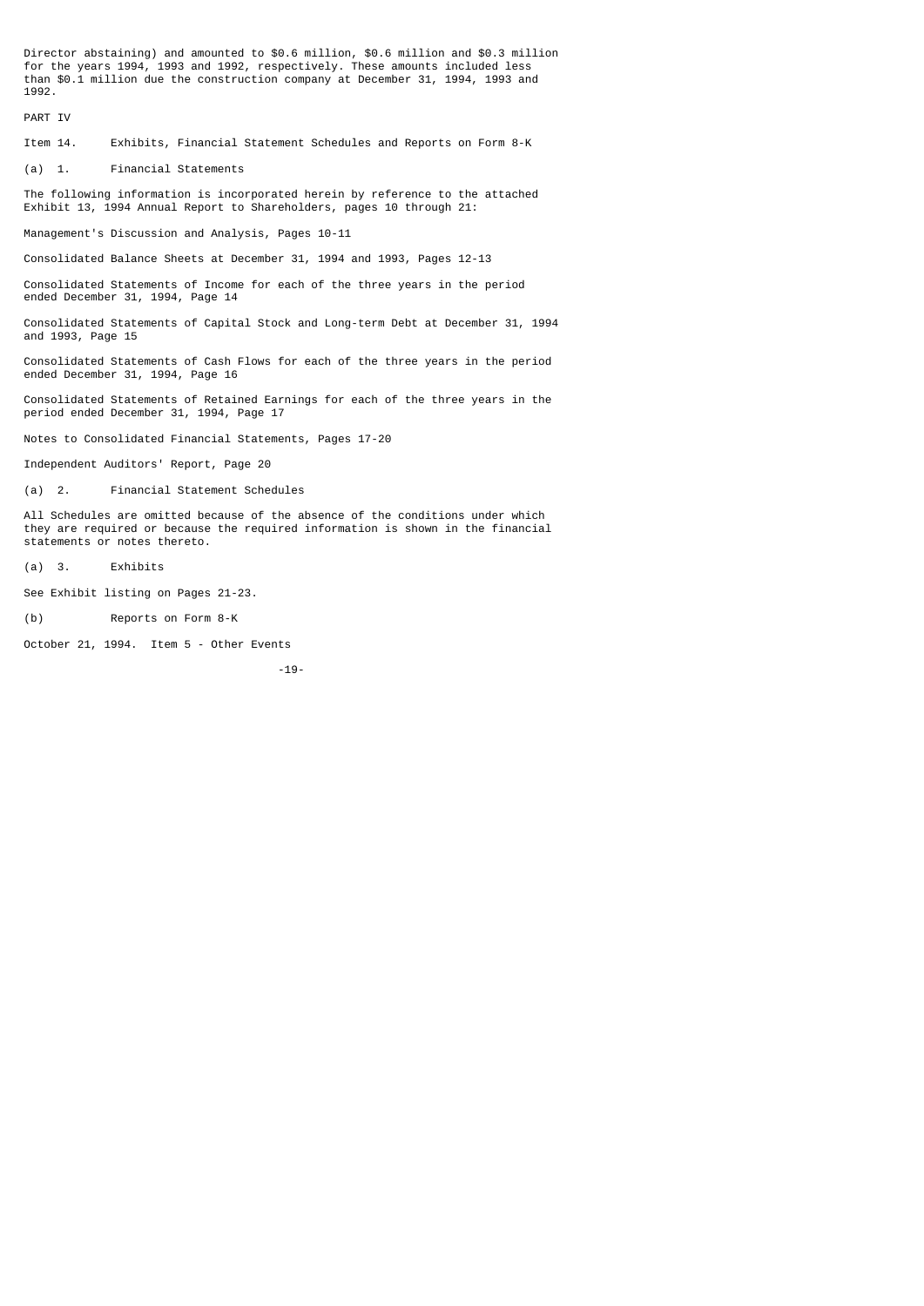Director abstaining) and amounted to \$0.6 million, \$0.6 million and \$0.3 million for the years 1994, 1993 and 1992, respectively. These amounts included less than \$0.1 million due the construction company at December 31, 1994, 1993 and 1992.

PART IV

Item 14. Exhibits, Financial Statement Schedules and Reports on Form 8-K

(a) 1. Financial Statements

The following information is incorporated herein by reference to the attached Exhibit 13, 1994 Annual Report to Shareholders, pages 10 through 21:

Management's Discussion and Analysis, Pages 10-11

Consolidated Balance Sheets at December 31, 1994 and 1993, Pages 12-13

Consolidated Statements of Income for each of the three years in the period ended December 31, 1994, Page 14

Consolidated Statements of Capital Stock and Long-term Debt at December 31, 1994 and 1993, Page 15

Consolidated Statements of Cash Flows for each of the three years in the period ended December 31, 1994, Page 16

Consolidated Statements of Retained Earnings for each of the three years in the period ended December 31, 1994, Page 17

Notes to Consolidated Financial Statements, Pages 17-20

Independent Auditors' Report, Page 20

(a) 2. Financial Statement Schedules

All Schedules are omitted because of the absence of the conditions under which they are required or because the required information is shown in the financial statements or notes thereto.

(a) 3. Exhibits

See Exhibit listing on Pages 21-23.

(b) Reports on Form 8-K

October 21, 1994. Item 5 - Other Events

-19-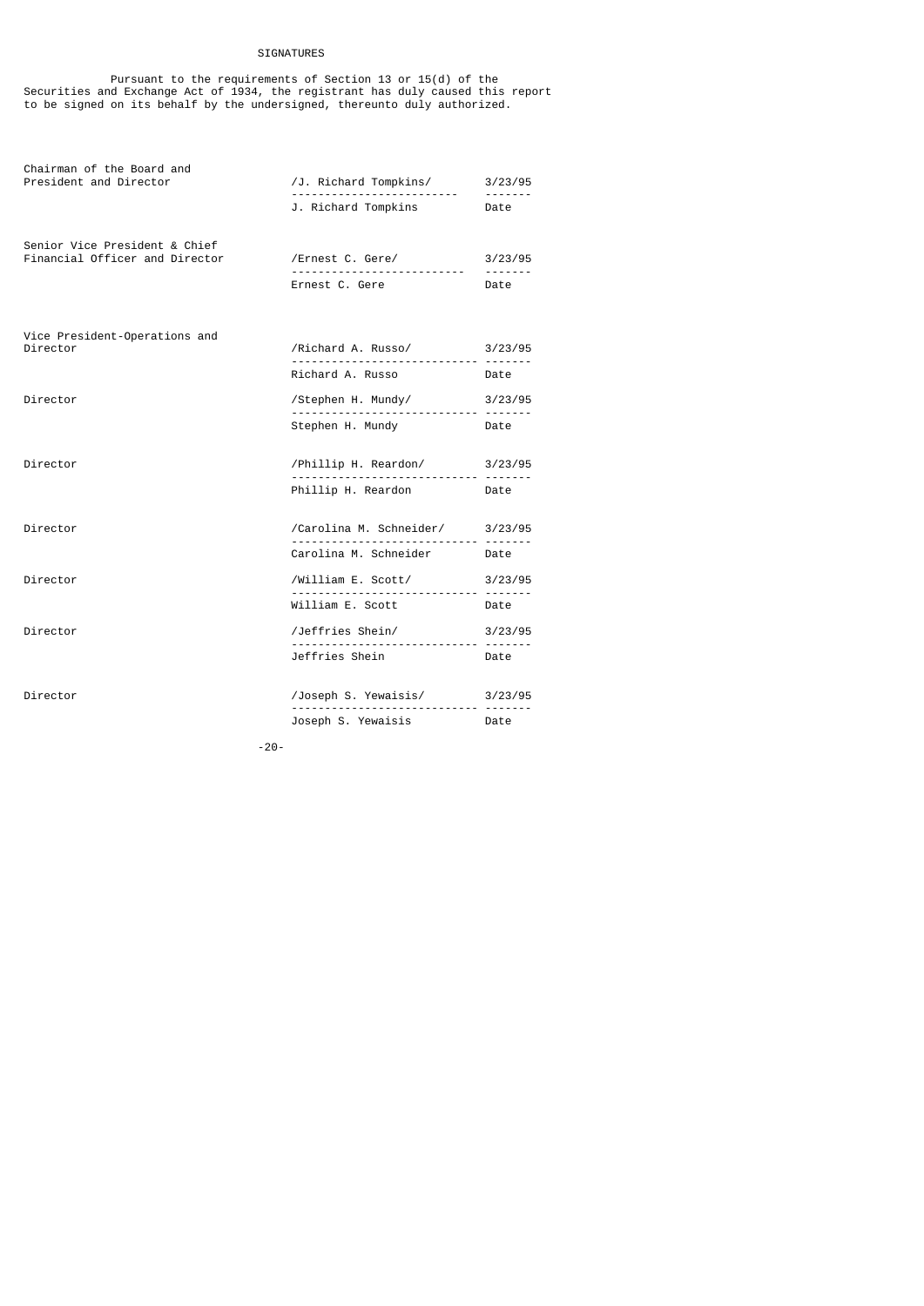## SIGNATURES

 Pursuant to the requirements of Section 13 or 15(d) of the Securities and Exchange Act of 1934, the registrant has duly caused this report to be signed on its behalf by the undersigned, thereunto duly authorized.

| Chairman of the Board and<br>/J. Richard Tompkins/ 3/23/95<br>President and Director<br>. |                                                         |              |  |
|-------------------------------------------------------------------------------------------|---------------------------------------------------------|--------------|--|
|                                                                                           | J. Richard Tompkins Date                                |              |  |
| Senior Vice President & Chief                                                             |                                                         |              |  |
| Financial Officer and Director                                                            | /Ernest C. Gere/ 3/23/95<br>--------------------------- | -------      |  |
|                                                                                           | Ernest C. Gere                                          | Date         |  |
| Vice President-Operations and                                                             |                                                         |              |  |
| Director                                                                                  | /Richard A. Russo/ 3/23/95                              |              |  |
|                                                                                           | Richard A. Russo <b>Date</b>                            |              |  |
| Director                                                                                  | /Stephen H. Mundy/                                      | 3/23/95      |  |
|                                                                                           | Stephen H. Mundy Date                                   |              |  |
| Director                                                                                  | /Phillip H. Reardon/ 3/23/95<br>                        |              |  |
|                                                                                           | Phillip H. Reardon Date                                 |              |  |
| Director                                                                                  | /Carolina M. Schneider/ 3/23/95                         |              |  |
|                                                                                           | Carolina M. Schneider Date                              |              |  |
| Director                                                                                  | /William E. Scott/ 3/23/95                              | .            |  |
|                                                                                           | William E. Scott                                        | Date         |  |
| Director                                                                                  | /Jeffries Shein/                                        | 3/23/95<br>. |  |
|                                                                                           | Jeffries Shein                                          | Date         |  |
| Director                                                                                  | /Joseph S. Yewaisis/ 3/23/95<br>                        |              |  |
|                                                                                           | Joseph S. Yewaisis Date                                 |              |  |

-20-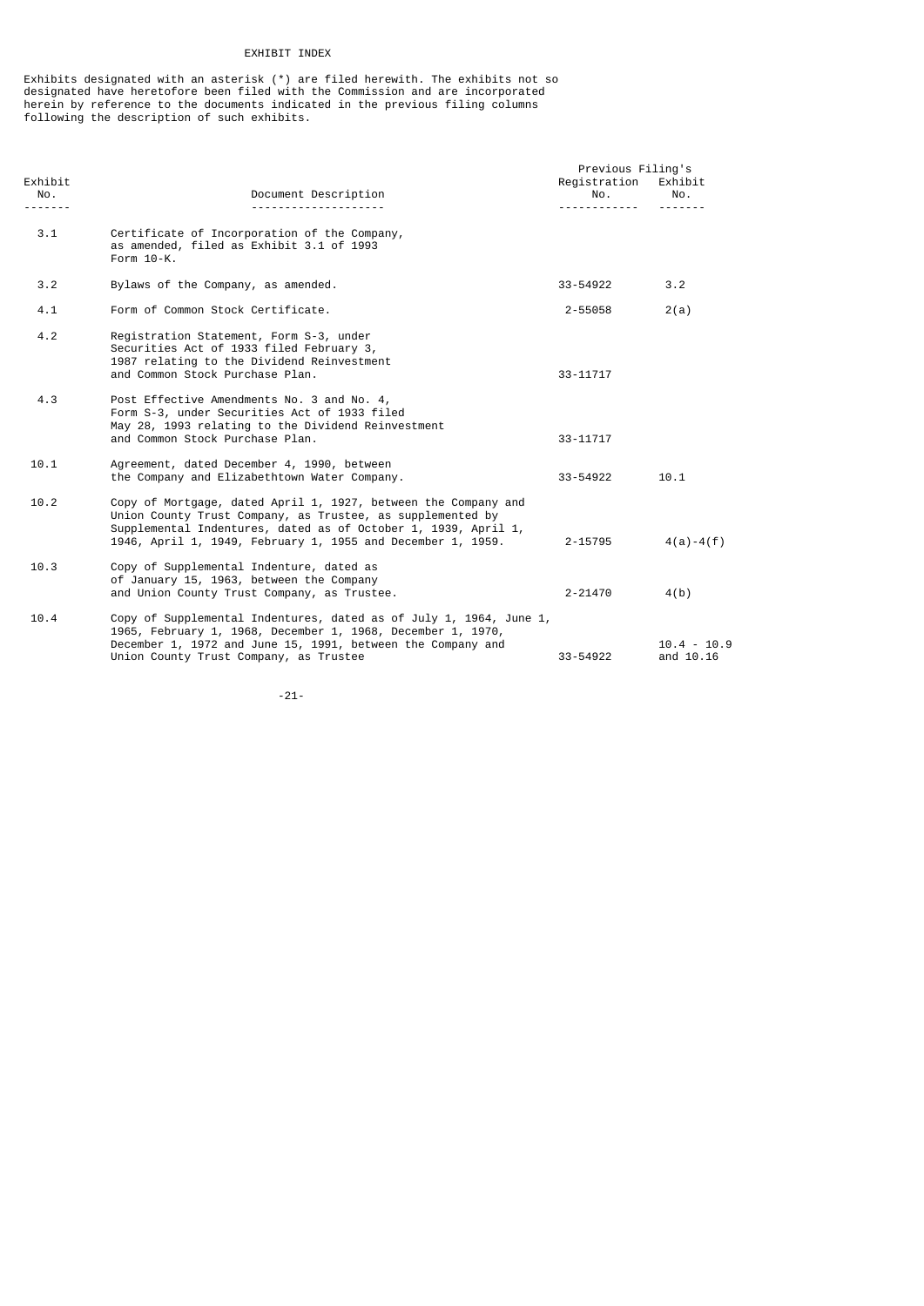## EXHIBIT INDEX

Exhibits designated with an asterisk (\*) are filed herewith. The exhibits not so designated have heretofore been filed with the Commission and are incorporated herein by reference to the documents indicated in the previous filing columns following the description of such exhibits.

|                |                                                                                                                                                                                                                                                               | Previous Filing's        |                            |  |  |  |
|----------------|---------------------------------------------------------------------------------------------------------------------------------------------------------------------------------------------------------------------------------------------------------------|--------------------------|----------------------------|--|--|--|
| Exhibit<br>No. | Document Description                                                                                                                                                                                                                                          | Registration<br>No.<br>. | Exhibit<br>No.             |  |  |  |
| 3.1            | Certificate of Incorporation of the Company,<br>as amended, filed as Exhibit 3.1 of 1993<br>Form 10-K.                                                                                                                                                        |                          |                            |  |  |  |
| 3.2            | Bylaws of the Company, as amended.                                                                                                                                                                                                                            | 33-54922                 | 3.2                        |  |  |  |
| 4.1            | Form of Common Stock Certificate.                                                                                                                                                                                                                             | 2-55058                  | 2(a)                       |  |  |  |
| 4.2            | Registration Statement, Form S-3, under<br>Securities Act of 1933 filed February 3,<br>1987 relating to the Dividend Reinvestment<br>and Common Stock Purchase Plan.                                                                                          | 33-11717                 |                            |  |  |  |
| 4.3            | Post Effective Amendments No. 3 and No. 4,<br>Form S-3, under Securities Act of 1933 filed<br>May 28, 1993 relating to the Dividend Reinvestment<br>and Common Stock Purchase Plan.                                                                           | 33-11717                 |                            |  |  |  |
| 10.1           | Agreement, dated December 4, 1990, between<br>the Company and Elizabethtown Water Company.                                                                                                                                                                    | 33-54922                 | 10.1                       |  |  |  |
| 10.2           | Copy of Mortgage, dated April 1, 1927, between the Company and<br>Union County Trust Company, as Trustee, as supplemented by<br>Supplemental Indentures, dated as of October 1, 1939, April 1,<br>1946, April 1, 1949, February 1, 1955 and December 1, 1959. | $2 - 15795$              | $4(a) - 4(f)$              |  |  |  |
| 10.3           | Copy of Supplemental Indenture, dated as<br>of January 15, 1963, between the Company<br>and Union County Trust Company, as Trustee.                                                                                                                           | $2 - 21470$              | 4(b)                       |  |  |  |
| 10.4           | Copy of Supplemental Indentures, dated as of July 1, 1964, June 1,<br>1965, February 1, 1968, December 1, 1968, December 1, 1970,<br>December 1, 1972 and June 15, 1991, between the Company and<br>Union County Trust Company, as Trustee                    | 33-54922                 | $10.4 - 10.9$<br>and 10.16 |  |  |  |

-21-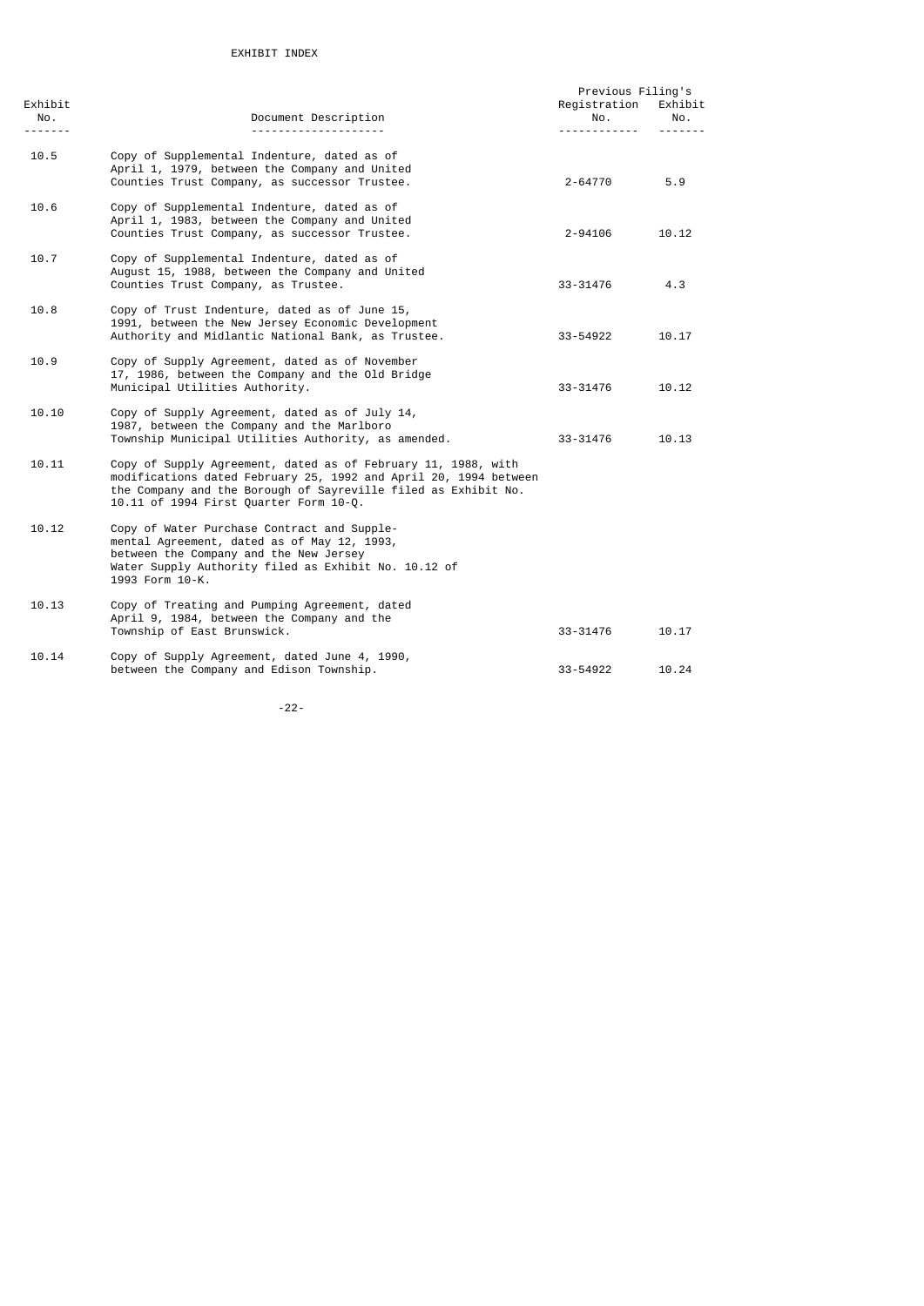| Exhibit                                                                                                                                                                                                                                                                                                                                                                                                                                                                                       |                                                                                                                                                                                                                                               | Previous Filing's<br>Registration | Exhibit         |
|-----------------------------------------------------------------------------------------------------------------------------------------------------------------------------------------------------------------------------------------------------------------------------------------------------------------------------------------------------------------------------------------------------------------------------------------------------------------------------------------------|-----------------------------------------------------------------------------------------------------------------------------------------------------------------------------------------------------------------------------------------------|-----------------------------------|-----------------|
| NO.<br>$\begin{array}{cccccccccccccc} \multicolumn{2}{c}{} & \multicolumn{2}{c}{} & \multicolumn{2}{c}{} & \multicolumn{2}{c}{} & \multicolumn{2}{c}{} & \multicolumn{2}{c}{} & \multicolumn{2}{c}{} & \multicolumn{2}{c}{} & \multicolumn{2}{c}{} & \multicolumn{2}{c}{} & \multicolumn{2}{c}{} & \multicolumn{2}{c}{} & \multicolumn{2}{c}{} & \multicolumn{2}{c}{} & \multicolumn{2}{c}{} & \multicolumn{2}{c}{} & \multicolumn{2}{c}{} & \multicolumn{2}{c}{} & \multicolumn{2}{c}{} & \$ | Document Description<br>.                                                                                                                                                                                                                     | No.                               | No.<br><u>.</u> |
| 10.5                                                                                                                                                                                                                                                                                                                                                                                                                                                                                          | Copy of Supplemental Indenture, dated as of<br>April 1, 1979, between the Company and United<br>Counties Trust Company, as successor Trustee.                                                                                                 | $2 - 64770$                       | 5.9             |
| 10.6                                                                                                                                                                                                                                                                                                                                                                                                                                                                                          | Copy of Supplemental Indenture, dated as of<br>April 1, 1983, between the Company and United<br>Counties Trust Company, as successor Trustee.                                                                                                 | 2-94106                           | 10.12           |
| 10.7                                                                                                                                                                                                                                                                                                                                                                                                                                                                                          | Copy of Supplemental Indenture, dated as of<br>August 15, 1988, between the Company and United<br>Counties Trust Company, as Trustee.                                                                                                         | 33-31476                          | 4.3             |
| 10.8                                                                                                                                                                                                                                                                                                                                                                                                                                                                                          | Copy of Trust Indenture, dated as of June 15,<br>1991, between the New Jersey Economic Development<br>Authority and Midlantic National Bank, as Trustee.                                                                                      | 33-54922                          | 10.17           |
| 10.9                                                                                                                                                                                                                                                                                                                                                                                                                                                                                          | Copy of Supply Agreement, dated as of November<br>17, 1986, between the Company and the Old Bridge<br>Municipal Utilities Authority.                                                                                                          | 33-31476                          | 10.12           |
| 10.10                                                                                                                                                                                                                                                                                                                                                                                                                                                                                         | Copy of Supply Agreement, dated as of July 14,<br>1987, between the Company and the Marlboro<br>Township Municipal Utilities Authority, as amended.                                                                                           | 33-31476                          | 10.13           |
| 10.11                                                                                                                                                                                                                                                                                                                                                                                                                                                                                         | Copy of Supply Agreement, dated as of February 11, 1988, with<br>modifications dated February 25, 1992 and April 20, 1994 between<br>the Company and the Borough of Sayreville filed as Exhibit No.<br>10.11 of 1994 First Quarter Form 10-Q. |                                   |                 |
| 10.12                                                                                                                                                                                                                                                                                                                                                                                                                                                                                         | Copy of Water Purchase Contract and Supple-<br>mental Agreement, dated as of May 12, 1993,<br>between the Company and the New Jersey<br>Water Supply Authority filed as Exhibit No. 10.12 of<br>1993 Form 10-K.                               |                                   |                 |
| 10.13                                                                                                                                                                                                                                                                                                                                                                                                                                                                                         | Copy of Treating and Pumping Agreement, dated<br>April 9, 1984, between the Company and the<br>Township of East Brunswick.                                                                                                                    | 33-31476                          | 10.17           |
| 10.14                                                                                                                                                                                                                                                                                                                                                                                                                                                                                         | Copy of Supply Agreement, dated June 4, 1990,<br>between the Company and Edison Township.                                                                                                                                                     | 33-54922                          | 10.24           |

-22-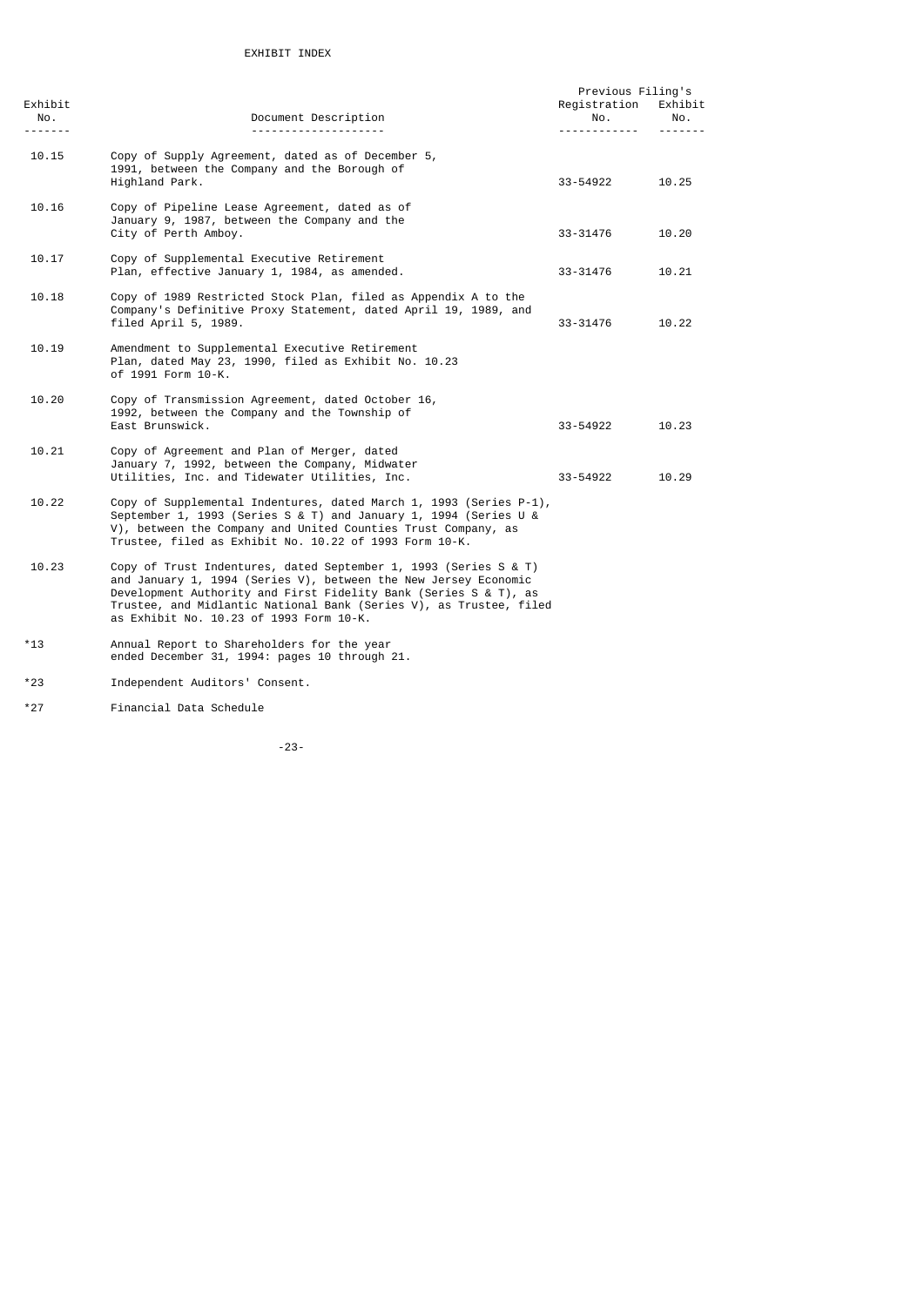| Exhibit<br>No.<br><u>.</u> | Document Description<br>--------------------                                                                                                                                                                                                                                                                             | Previous Filing's<br>Registration<br>No.<br><u>.</u> | Exhibit<br>No.<br><u>.</u> |
|----------------------------|--------------------------------------------------------------------------------------------------------------------------------------------------------------------------------------------------------------------------------------------------------------------------------------------------------------------------|------------------------------------------------------|----------------------------|
| 10.15                      | Copy of Supply Agreement, dated as of December 5,<br>1991, between the Company and the Borough of<br>Highland Park.                                                                                                                                                                                                      | 33-54922                                             | 10.25                      |
| 10.16                      | Copy of Pipeline Lease Agreement, dated as of<br>January 9, 1987, between the Company and the<br>City of Perth Amboy.                                                                                                                                                                                                    | 33-31476                                             | 10.20                      |
| 10.17                      | Copy of Supplemental Executive Retirement<br>Plan, effective January 1, 1984, as amended.                                                                                                                                                                                                                                | 33-31476                                             | 10.21                      |
| 10.18                      | Copy of 1989 Restricted Stock Plan, filed as Appendix A to the<br>Company's Definitive Proxy Statement, dated April 19, 1989, and<br>filed April 5, 1989.                                                                                                                                                                | 33-31476                                             | 10.22                      |
| 10.19                      | Amendment to Supplemental Executive Retirement<br>Plan, dated May 23, 1990, filed as Exhibit No. 10.23<br>of 1991 Form 10-K.                                                                                                                                                                                             |                                                      |                            |
| 10.20                      | Copy of Transmission Agreement, dated October 16,<br>1992, between the Company and the Township of<br>East Brunswick.                                                                                                                                                                                                    | 33-54922                                             | 10.23                      |
| 10.21                      | Copy of Agreement and Plan of Merger, dated<br>January 7, 1992, between the Company, Midwater<br>Utilities, Inc. and Tidewater Utilities, Inc.                                                                                                                                                                           | 33-54922                                             | 10.29                      |
| 10.22                      | Copy of Supplemental Indentures, dated March 1, 1993 (Series P-1),<br>September 1, 1993 (Series S & T) and January 1, 1994 (Series U &<br>V), between the Company and United Counties Trust Company, as<br>Trustee, filed as Exhibit No. 10.22 of 1993 Form 10-K.                                                        |                                                      |                            |
| 10.23                      | Copy of Trust Indentures, dated September 1, 1993 (Series S & T)<br>and January 1, 1994 (Series V), between the New Jersey Economic<br>Development Authority and First Fidelity Bank (Series S & T), as<br>Trustee, and Midlantic National Bank (Series V), as Trustee, filed<br>as Exhibit No. 10.23 of 1993 Form 10-K. |                                                      |                            |
| $*13$                      | Annual Report to Shareholders for the year<br>ended December 31, 1994: pages 10 through 21.                                                                                                                                                                                                                              |                                                      |                            |
| $*23$                      | Independent Auditors' Consent.                                                                                                                                                                                                                                                                                           |                                                      |                            |

\*27 Financial Data Schedule

-23-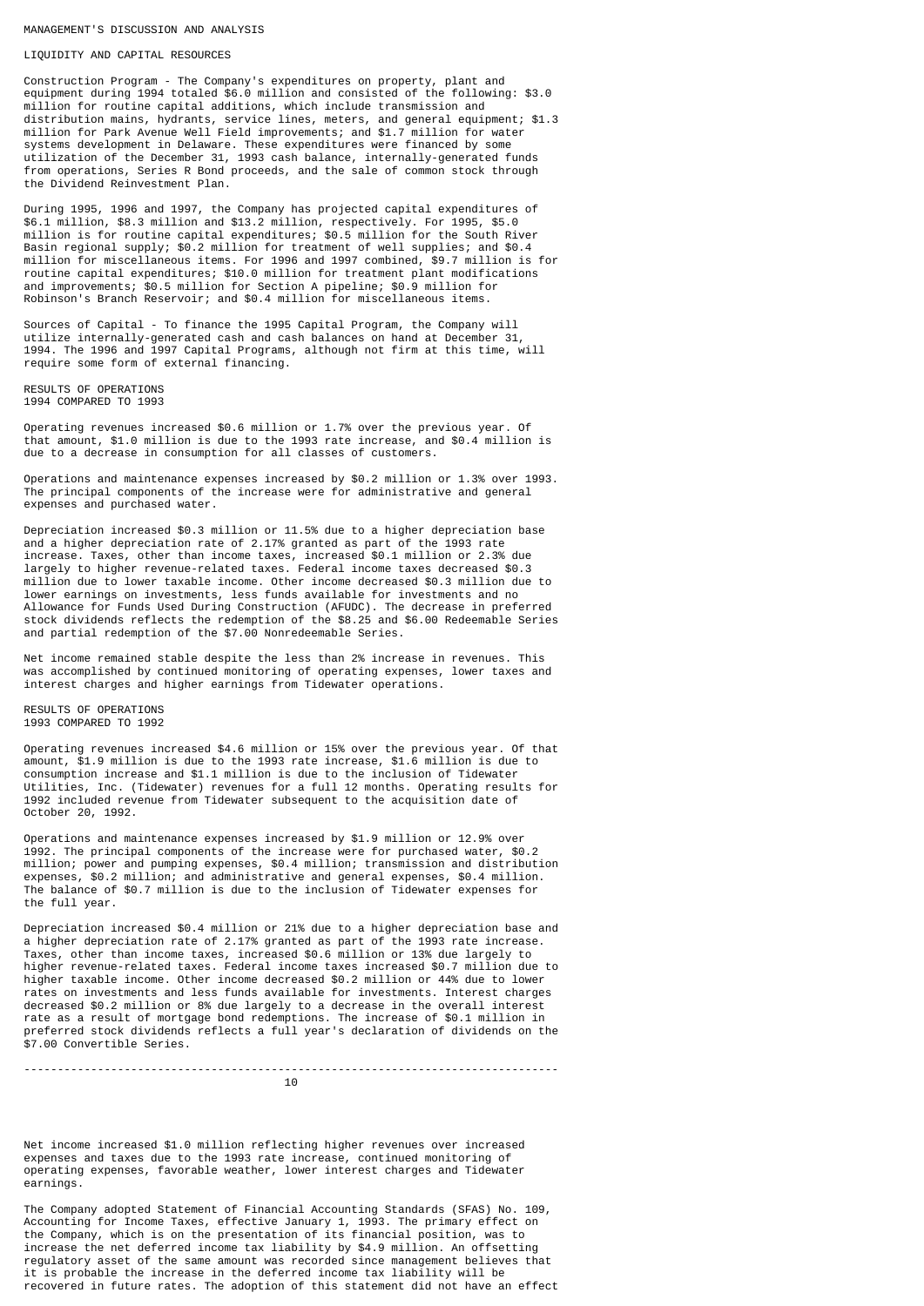MANAGEMENT'S DISCUSSION AND ANALYSIS

#### LIQUIDITY AND CAPITAL RESOURCES

Construction Program - The Company's expenditures on property, plant and equipment during 1994 totaled \$6.0 million and consisted of the following: \$3.0 million for routine capital additions, which include transmission and distribution mains, hydrants, service lines, meters, and general equipment; \$1.3 million for Park Avenue Well Field improvements; and \$1.7 million for water systems development in Delaware. These expenditures were financed by some utilization of the December 31, 1993 cash balance, internally-generated funds from operations, Series R Bond proceeds, and the sale of common stock through the Dividend Reinvestment Plan.

During 1995, 1996 and 1997, the Company has projected capital expenditures of \$6.1 million, \$8.3 million and \$13.2 million, respectively. For 1995, \$5.0 million is for routine capital expenditures; \$0.5 million for the South River Basin regional supply; \$0.2 million for treatment of well supplies; and \$0.4 million for miscellaneous items. For 1996 and 1997 combined, \$9.7 million is for routine capital expenditures; \$10.0 million for treatment plant modifications and improvements; \$0.5 million for Section A pipeline; \$0.9 million for Robinson's Branch Reservoir; and \$0.4 million for miscellaneous items.

Sources of Capital - To finance the 1995 Capital Program, the Company will utilize internally-generated cash and cash balances on hand at December 31, 1994. The 1996 and 1997 Capital Programs, although not firm at this time, will require some form of external financing.

RESULTS OF OPERATIONS 1994 COMPARED TO 1993

Operating revenues increased \$0.6 million or 1.7% over the previous year. Of that amount, \$1.0 million is due to the 1993 rate increase, and \$0.4 million is due to a decrease in consumption for all classes of customers.

Operations and maintenance expenses increased by \$0.2 million or 1.3% over 1993. The principal components of the increase were for administrative and general expenses and purchased water.

Depreciation increased \$0.3 million or 11.5% due to a higher depreciation base and a higher depreciation rate of 2.17% granted as part of the 1993 rate increase. Taxes, other than income taxes, increased \$0.1 million or 2.3% due largely to higher revenue-related taxes. Federal income taxes decreased \$0.3 million due to lower taxable income. Other income decreased \$0.3 million due to lower earnings on investments, less funds available for investments and no Allowance for Funds Used During Construction (AFUDC). The decrease in preferred stock dividends reflects the redemption of the \$8.25 and \$6.00 Redeemable Series and partial redemption of the \$7.00 Nonredeemable Series.

Net income remained stable despite the less than 2% increase in revenues. This was accomplished by continued monitoring of operating expenses, lower taxes and interest charges and higher earnings from Tidewater operations.

RESULTS OF OPERATIONS 1993 COMPARED TO 1992

Operating revenues increased \$4.6 million or 15% over the previous year. Of that amount, \$1.9 million is due to the 1993 rate increase, \$1.6 million is due to consumption increase and \$1.1 million is due to the inclusion of Tidewater Utilities, Inc. (Tidewater) revenues for a full 12 months. Operating results for 1992 included revenue from Tidewater subsequent to the acquisition date of October 20, 1992.

Operations and maintenance expenses increased by \$1.9 million or 12.9% over 1992. The principal components of the increase were for purchased water, \$0.2 million; power and pumping expenses, \$0.4 million; transmission and distribution expenses, \$0.2 million; and administrative and general expenses, \$0.4 million. The balance of \$0.7 million is due to the inclusion of Tidewater expenses for the full year.

Depreciation increased \$0.4 million or 21% due to a higher depreciation base and a higher depreciation rate of 2.17% granted as part of the 1993 rate increase. Taxes, other than income taxes, increased \$0.6 million or 13% due largely to higher revenue-related taxes. Federal income taxes increased \$0.7 million due to higher taxable income. Other income decreased \$0.2 million or 44% due to lower rates on investments and less funds available for investments. Interest charges decreased \$0.2 million or 8% due largely to a decrease in the overall interest rate as a result of mortgage bond redemptions. The increase of \$0.1 million in preferred stock dividends reflects a full year's declaration of dividends on the \$7.00 Convertible Series.

 $10$ 

--------------------------------------------------------------------------------

Net income increased \$1.0 million reflecting higher revenues over increased expenses and taxes due to the 1993 rate increase, continued monitoring of operating expenses, favorable weather, lower interest charges and Tidewater earnings.

The Company adopted Statement of Financial Accounting Standards (SFAS) No. 109, Accounting for Income Taxes, effective January 1, 1993. The primary effect on the Company, which is on the presentation of its financial position, was to increase the net deferred income tax liability by \$4.9 million. An offsetting regulatory asset of the same amount was recorded since management believes that it is probable the increase in the deferred income tax liability will be recovered in future rates. The adoption of this statement did not have an effect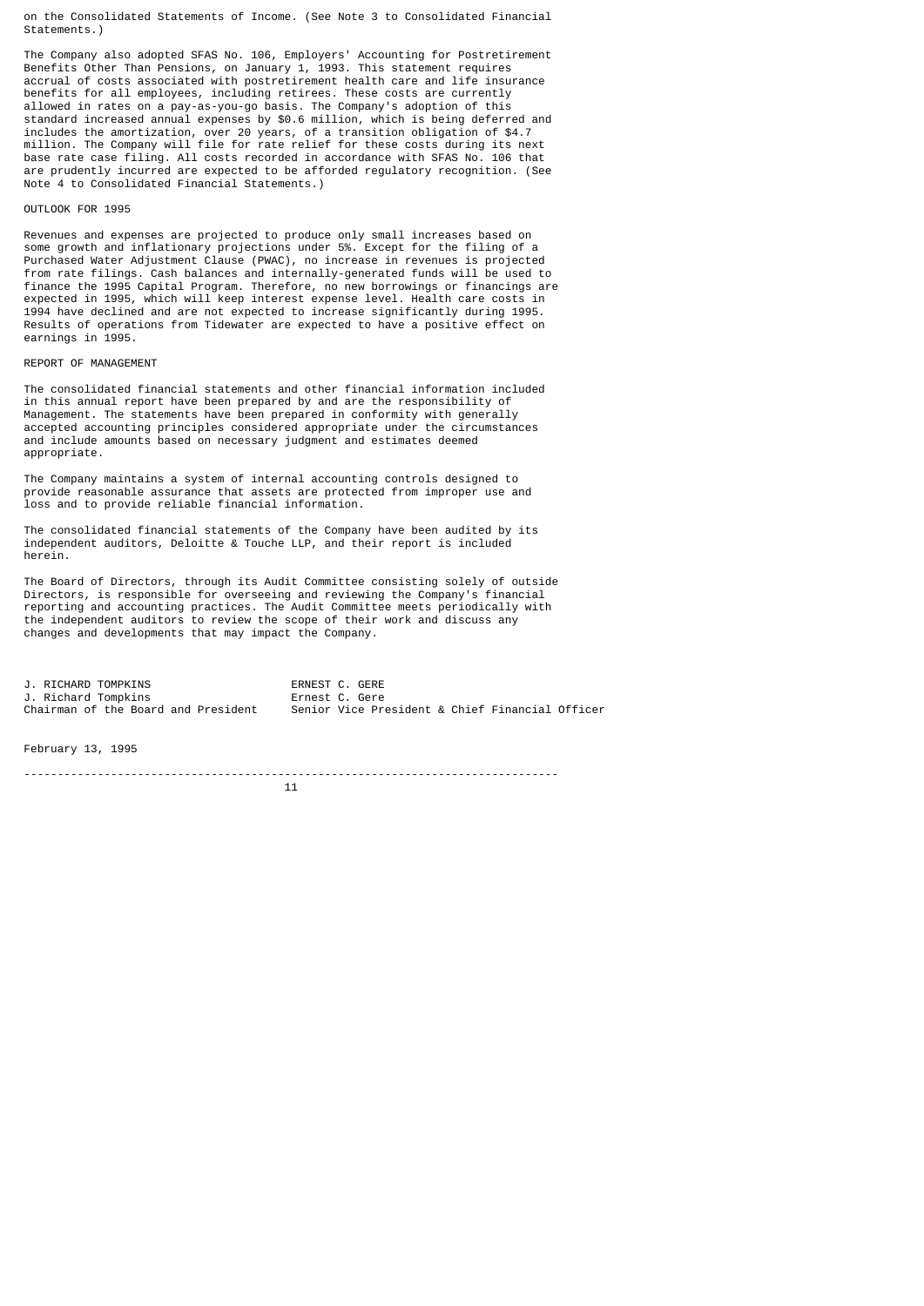on the Consolidated Statements of Income. (See Note 3 to Consolidated Financial Statements.)

The Company also adopted SFAS No. 106, Employers' Accounting for Postretirement Benefits Other Than Pensions, on January 1, 1993. This statement requires accrual of costs associated with postretirement health care and life insurance benefits for all employees, including retirees. These costs are currently allowed in rates on a pay-as-you-go basis. The Company's adoption of this standard increased annual expenses by \$0.6 million, which is being deferred and includes the amortization, over 20 years, of a transition obligation of \$4.7 million. The Company will file for rate relief for these costs during its next base rate case filing. All costs recorded in accordance with SFAS No. 106 that are prudently incurred are expected to be afforded regulatory recognition. (See Note 4 to Consolidated Financial Statements.)

#### OUTLOOK FOR 1995

Revenues and expenses are projected to produce only small increases based on some growth and inflationary projections under 5%. Except for the filing of a Purchased Water Adjustment Clause (PWAC), no increase in revenues is projected from rate filings. Cash balances and internally-generated funds will be used to finance the 1995 Capital Program. Therefore, no new borrowings or financings are expected in 1995, which will keep interest expense level. Health care costs in 1994 have declined and are not expected to increase significantly during 1995. Results of operations from Tidewater are expected to have a positive effect on earnings in 1995.

## REPORT OF MANAGEMENT

The consolidated financial statements and other financial information included in this annual report have been prepared by and are the responsibility of Management. The statements have been prepared in conformity with generally accepted accounting principles considered appropriate under the circumstances and include amounts based on necessary judgment and estimates deemed appropriate.

The Company maintains a system of internal accounting controls designed to provide reasonable assurance that assets are protected from improper use and loss and to provide reliable financial information.

The consolidated financial statements of the Company have been audited by its independent auditors, Deloitte & Touche LLP, and their report is included herein.

The Board of Directors, through its Audit Committee consisting solely of outside Directors, is responsible for overseeing and reviewing the Company's financial reporting and accounting practices. The Audit Committee meets periodically with the independent auditors to review the scope of their work and discuss any changes and developments that may impact the Company.

|  | J. RICHARD TOMPKINS                 | ERNEST C. GERE                                  |
|--|-------------------------------------|-------------------------------------------------|
|  | J. Richard Tompkins                 | Ernest C. Gere                                  |
|  | Chairman of the Board and President | Senior Vice President & Chief Financial Officer |

February 13, 1995

--------------------------------------------------------------------------------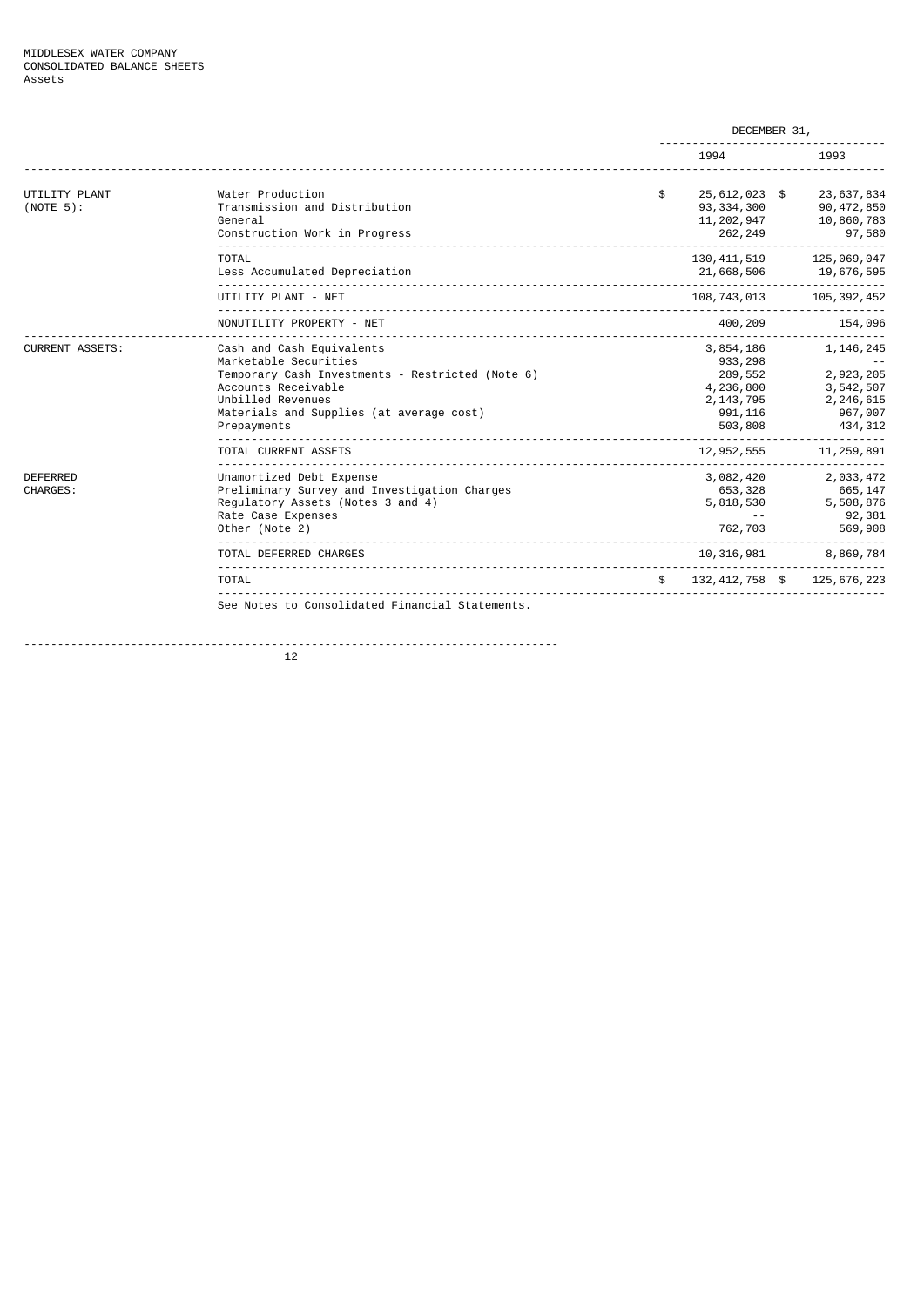|                                    |                                                                                                                                                                                                               | DECEMBER 31,                                                                        |  |                                                                          |  |
|------------------------------------|---------------------------------------------------------------------------------------------------------------------------------------------------------------------------------------------------------------|-------------------------------------------------------------------------------------|--|--------------------------------------------------------------------------|--|
|                                    |                                                                                                                                                                                                               | 1994                                                                                |  | 1993                                                                     |  |
| UTILITY PLANT<br>$(NOTE 5)$ :      | Water Production<br>Transmission and Distribution<br>General<br>Construction Work in Progress                                                                                                                 | \$<br>25,612,023 \$<br>93, 334, 300<br>11, 202, 947<br>262,249                      |  | 23,637,834<br>90,472,850<br>10,860,783<br>97,580<br>-----------          |  |
|                                    | <b>TOTAL</b><br>Less Accumulated Depreciation                                                                                                                                                                 | 130, 411, 519<br>21,668,506                                                         |  | 125,069,047<br>19,676,595                                                |  |
|                                    | UTILITY PLANT - NET                                                                                                                                                                                           | 108,743,013                                                                         |  | 105, 392, 452                                                            |  |
|                                    | NONUTILITY PROPERTY - NET                                                                                                                                                                                     | 400,209                                                                             |  | 154,096                                                                  |  |
| <b>CURRENT ASSETS:</b>             | Cash and Cash Equivalents<br>Marketable Securities<br>Temporary Cash Investments - Restricted (Note 6)<br>Accounts Receivable<br>Unbilled Revenues<br>Materials and Supplies (at average cost)<br>Prepayments | 3,854,186<br>933, 298<br>289,552<br>4,236,800<br>2, 143, 795<br>991, 116<br>503,808 |  | 1, 146, 245<br>2,923,205<br>3,542,507<br>2,246,615<br>967,007<br>434,312 |  |
|                                    | TOTAL CURRENT ASSETS                                                                                                                                                                                          | 12,952,555                                                                          |  | 11, 259, 891                                                             |  |
| <b>DEFERRED</b><br><b>CHARGES:</b> | Unamortized Debt Expense<br>Preliminary Survey and Investigation Charges<br>Regulatory Assets (Notes 3 and 4)<br>Rate Case Expenses<br>Other (Note 2)                                                         | 3,082,420<br>653,328<br>5,818,530<br>$\sim$ $\sim$<br>762,703                       |  | 2,033,472<br>665,147<br>5,508,876<br>92,381<br>569,908                   |  |
|                                    | TOTAL DEFERRED CHARGES                                                                                                                                                                                        | 10,316,981                                                                          |  | 8,869,784                                                                |  |
|                                    | TOTAL                                                                                                                                                                                                         | \$<br>132, 412, 758 \$                                                              |  | 125,676,223                                                              |  |
|                                    | See Notes to Consolidated Financial Statements.                                                                                                                                                               |                                                                                     |  |                                                                          |  |

--------------------------------------------------------------------------------  $12$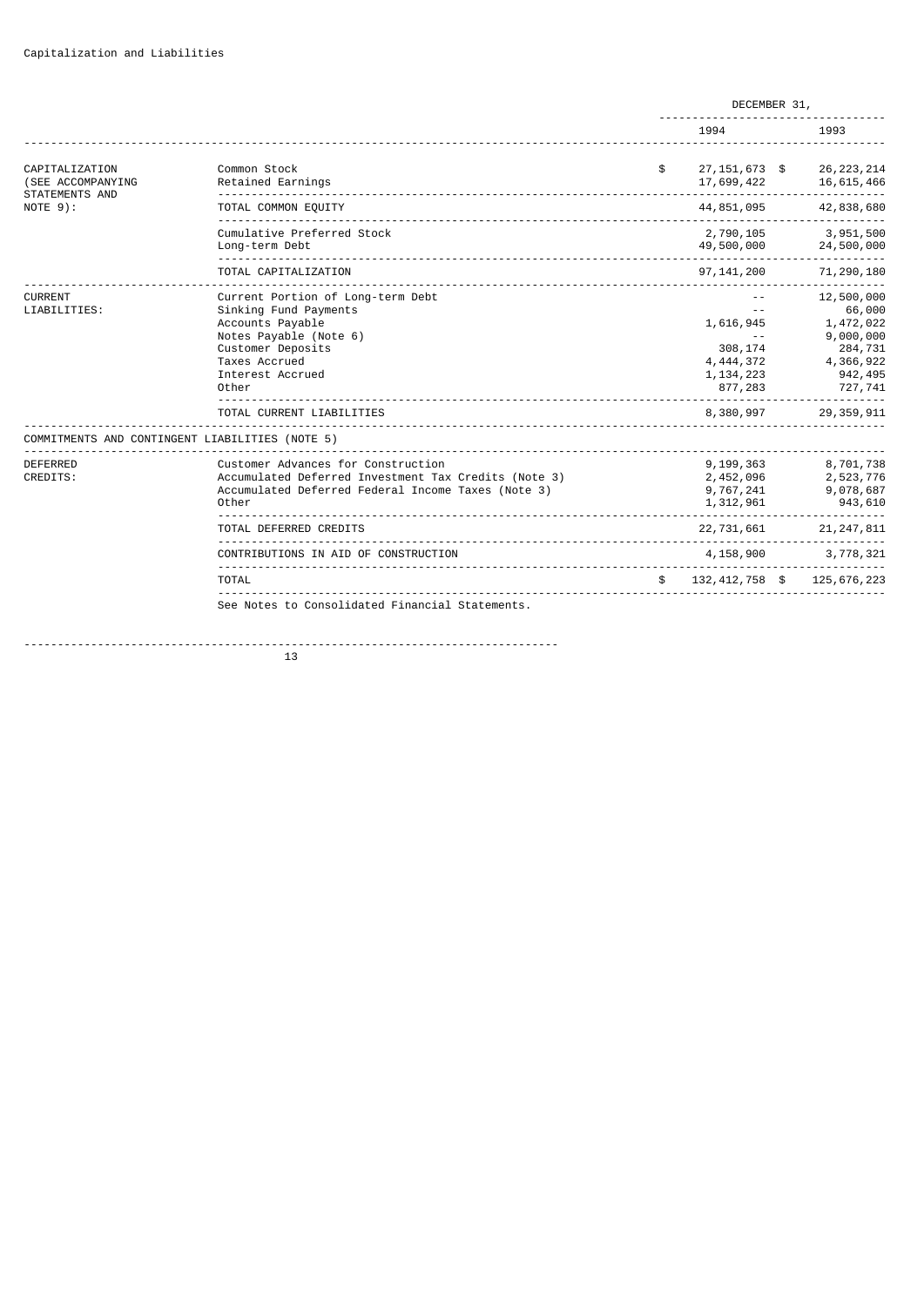|                                                              |                                                                                                                                                                             | DECEMBER 31, |                                                                              |  |                                                                                              |
|--------------------------------------------------------------|-----------------------------------------------------------------------------------------------------------------------------------------------------------------------------|--------------|------------------------------------------------------------------------------|--|----------------------------------------------------------------------------------------------|
|                                                              |                                                                                                                                                                             |              | 1994                                                                         |  | 1993                                                                                         |
| CAPITALIZATION<br>(SEE ACCOMPANYING<br><b>STATEMENTS AND</b> | Common Stock<br>Retained Earnings                                                                                                                                           | \$           | 27, 151, 673 \$<br>17,699,422                                                |  | 26, 223, 214<br>16,615,466<br>---------                                                      |
| $NOTE 9$ :                                                   | TOTAL COMMON EQUITY                                                                                                                                                         |              | 44,851,095                                                                   |  | 42,838,680                                                                                   |
|                                                              | Cumulative Preferred Stock<br>Long-term Debt                                                                                                                                |              | 2,790,105<br>49,500,000                                                      |  | 3,951,500<br>24,500,000                                                                      |
|                                                              | TOTAL CAPITALIZATION                                                                                                                                                        |              | 97, 141, 200                                                                 |  | 71,290,180                                                                                   |
| <b>CURRENT</b><br>LIABILITIES:                               | Current Portion of Long-term Debt<br>Sinking Fund Payments<br>Accounts Payable<br>Notes Payable (Note 6)<br>Customer Deposits<br>Taxes Accrued<br>Interest Accrued<br>Other |              | 1,616,945<br>$\sim$ $\sim$<br>308,174<br>4,444,372<br>1, 134, 223<br>877,283 |  | 12,500,000<br>66,000<br>1,472,022<br>9,000,000<br>284,731<br>4,366,922<br>942,495<br>727,741 |
|                                                              | TOTAL CURRENT LIABILITIES                                                                                                                                                   |              | 8,380,997                                                                    |  | 29, 359, 911                                                                                 |
|                                                              | COMMITMENTS AND CONTINGENT LIABILITIES (NOTE 5)                                                                                                                             |              |                                                                              |  |                                                                                              |
| <b>DEFERRED</b><br>CREDITS:                                  | Customer Advances for Construction<br>Accumulated Deferred Investment Tax Credits (Note 3)<br>Accumulated Deferred Federal Income Taxes (Note 3)<br>Other                   |              | 9,199,363<br>2,452,096<br>9,767,241<br>1,312,961                             |  | 8,701,738<br>2,523,776<br>9,078,687<br>943,610                                               |
|                                                              | TOTAL DEFERRED CREDITS                                                                                                                                                      |              | 22,731,661                                                                   |  | 21, 247, 811                                                                                 |
|                                                              | CONTRIBUTIONS IN AID OF CONSTRUCTION<br>_______________________________                                                                                                     |              | 4,158,900                                                                    |  | 3,778,321                                                                                    |
|                                                              | TOTAL                                                                                                                                                                       |              | 132,412,758 \$                                                               |  | 125,676,223                                                                                  |
|                                                              | See Notes to Consolidated Financial Statements.                                                                                                                             |              |                                                                              |  |                                                                                              |

-------------------------------------------------------------------------------- 13 and 13 and 13 and 13 and 13 and 13 and 13 and 13 and 13 and 13 and 13 and 13 and 13 and 13 and 13 and 13 an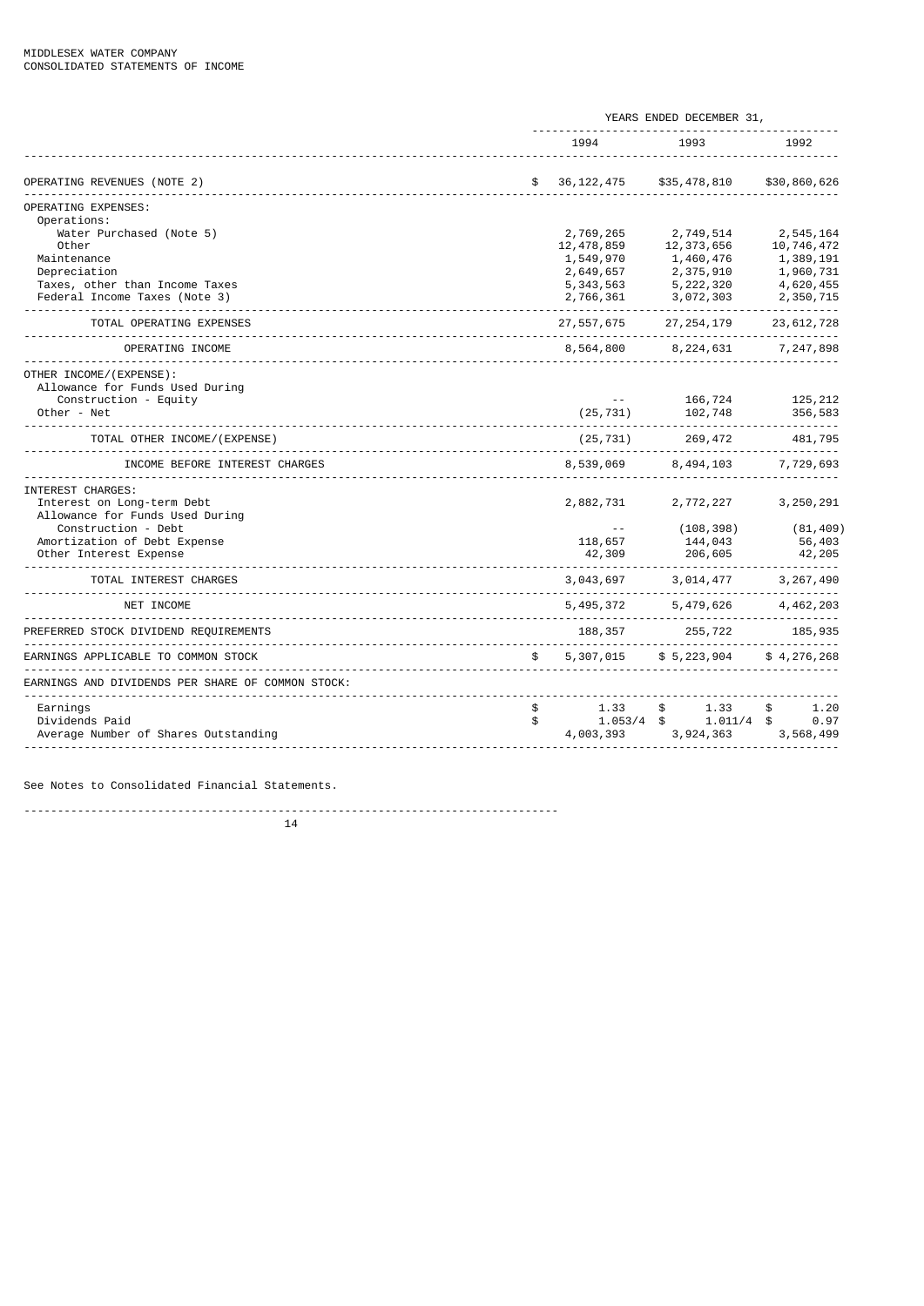|                                                   | YEARS ENDED DECEMBER 31, |                           |                         |  |  |
|---------------------------------------------------|--------------------------|---------------------------|-------------------------|--|--|
|                                                   | 1994                     | 1993                      | 1992                    |  |  |
| OPERATING REVENUES (NOTE 2)                       | \$<br>36, 122, 475       | \$35,478,810              | \$30,860,626            |  |  |
| OPERATING EXPENSES:                               |                          |                           |                         |  |  |
| Operations:                                       |                          |                           |                         |  |  |
| Water Purchased (Note 5)<br>Other                 | 2,769,265<br>12,478,859  | 2,749,514<br>12, 373, 656 | 2,545,164<br>10,746,472 |  |  |
| Maintenance                                       | 1,549,970                | 1,460,476                 | 1,389,191               |  |  |
| Depreciation                                      | 2,649,657                | 2,375,910                 | 1,960,731               |  |  |
| Taxes, other than Income Taxes                    | 5, 343, 563              | 5,222,320                 | 4,620,455               |  |  |
| Federal Income Taxes (Note 3)                     | 2,766,361                | 3,072,303                 | 2,350,715               |  |  |
| TOTAL OPERATING EXPENSES                          | 27, 557, 675             | 27, 254, 179              | 23, 612, 728            |  |  |
| OPERATING INCOME                                  | 8,564,800                | 8, 224, 631               | 7,247,898               |  |  |
| OTHER INCOME/(EXPENSE):                           |                          |                           |                         |  |  |
| Allowance for Funds Used During                   |                          |                           |                         |  |  |
| Construction - Equity                             |                          | 166,724                   | 125, 212                |  |  |
| Other - Net                                       | (25, 731)                | 102,748                   | 356,583                 |  |  |
| TOTAL OTHER INCOME/(EXPENSE)                      | (25, 731)                | 269,472                   | 481,795                 |  |  |
| INCOME BEFORE INTEREST CHARGES                    | 8,539,069                | 8, 494, 103               | 7,729,693               |  |  |
| INTEREST CHARGES:                                 |                          |                           |                         |  |  |
| Interest on Long-term Debt                        | 2,882,731                | 2,772,227                 | 3,250,291               |  |  |
| Allowance for Funds Used During                   |                          |                           |                         |  |  |
| Construction - Debt                               |                          | (108, 398)                | (81, 409)               |  |  |
| Amortization of Debt Expense                      | 118,657                  | 144,043                   | 56,403                  |  |  |
| Other Interest Expense                            | 42,309                   | 206,605                   | 42, 205                 |  |  |
| TOTAL INTEREST CHARGES                            | 3,043,697                | 3,014,477                 | 3, 267, 490             |  |  |
| NET INCOME                                        | 5, 495, 372              | 5, 479, 626               | 4, 462, 203             |  |  |
| PREFERRED STOCK DIVIDEND REQUIREMENTS             | 188,357                  | 255,722                   | 185,935                 |  |  |
| EARNINGS APPLICABLE TO COMMON STOCK               | \$<br>5,307,015          | \$5,223,904               | \$4, 276, 268           |  |  |
| EARNINGS AND DIVIDENDS PER SHARE OF COMMON STOCK: |                          |                           |                         |  |  |
| Earnings                                          | \$<br>1.33               | 1.33<br>\$                | \$<br>1.20              |  |  |
| Dividends Paid                                    | \$<br>1.053/4            | 1.011/4<br>\$             | \$<br>0.97              |  |  |
| Average Number of Shares Outstanding              | 4,003,393                | 3,924,363                 | 3,568,499               |  |  |
|                                                   |                          |                           |                         |  |  |

See Notes to Consolidated Financial Statements.

--------------------------------------------------------------------------------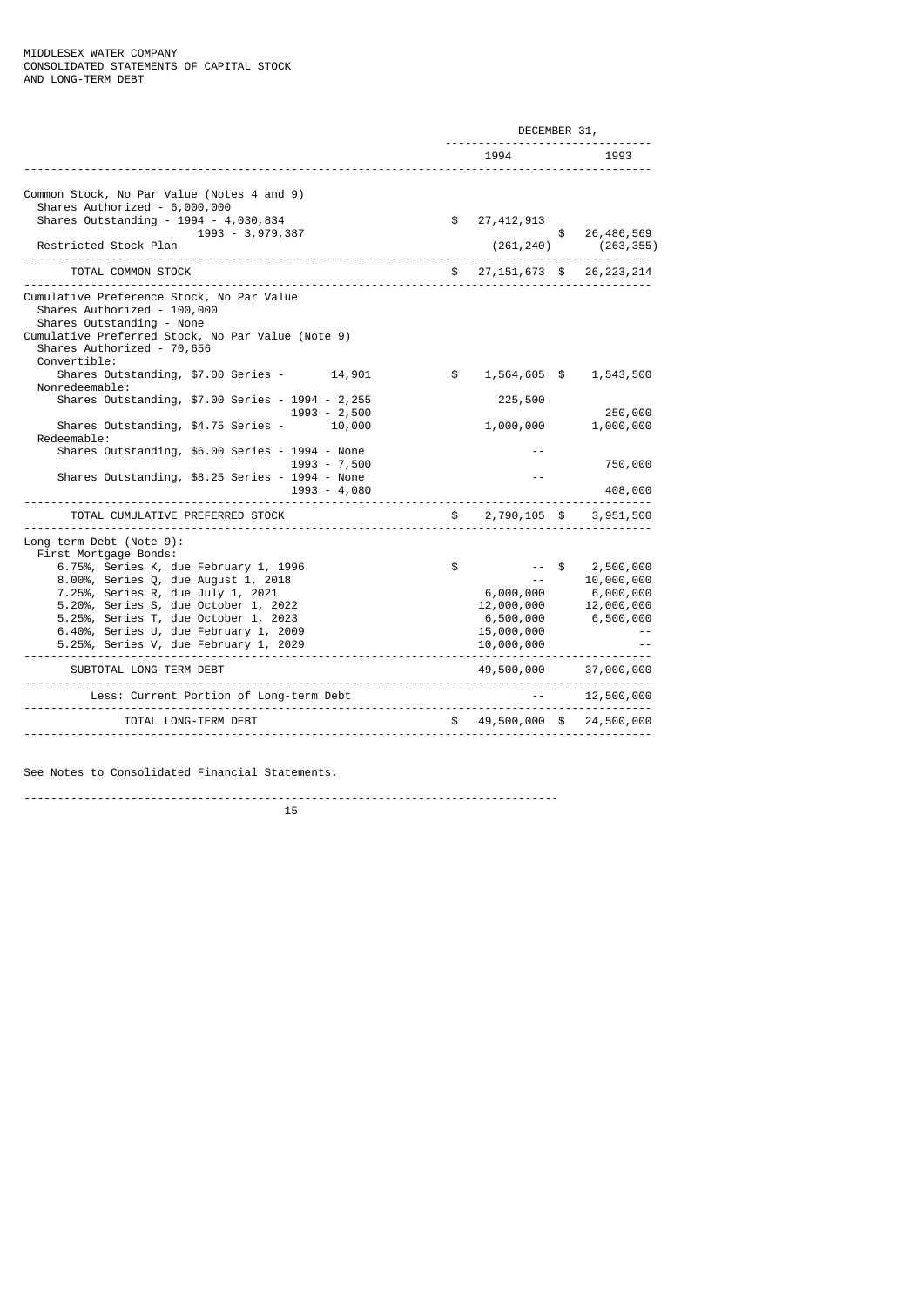|                                                                                                                                                                                                          | DECEMBER 31,             |               |                                                      |  |  |
|----------------------------------------------------------------------------------------------------------------------------------------------------------------------------------------------------------|--------------------------|---------------|------------------------------------------------------|--|--|
|                                                                                                                                                                                                          | 1994                     |               | 1993                                                 |  |  |
| Common Stock, No Par Value (Notes 4 and 9)<br>Shares Authorized - 6,000,000                                                                                                                              |                          |               |                                                      |  |  |
| Shares Outstanding - 1994 - 4,030,834<br>1993 - 3,979,387<br>Restricted Stock Plan                                                                                                                       | \$<br>27, 412, 913       | $\frac{1}{2}$ | 26, 486, 569<br>$(261, 240)$ $(263, 355)$            |  |  |
| TOTAL COMMON STOCK                                                                                                                                                                                       |                          |               | $$27,151,673$$ \$ 26,223,214                         |  |  |
| Cumulative Preference Stock, No Par Value<br>Shares Authorized - 100,000<br>Shares Outstanding - None<br>Cumulative Preferred Stock, No Par Value (Note 9)<br>Shares Authorized - 70,656<br>Convertible: |                          |               |                                                      |  |  |
| Shares Outstanding, \$7.00 Series - 14,901<br>Nonredeemable:                                                                                                                                             | \$                       |               | 1,564,605 \$ 1,543,500                               |  |  |
| Shares Outstanding, \$7.00 Series - 1994 - 2,255<br>$1993 - 2,500$                                                                                                                                       | 225,500                  |               | 250,000                                              |  |  |
| Shares Outstanding, \$4.75 Series -<br>10,000<br>Redeemable:                                                                                                                                             |                          | 1,000,000     | 1,000,000                                            |  |  |
| Shares Outstanding, \$6.00 Series - 1994 - None<br>1993 - 7,500                                                                                                                                          |                          |               | 750,000                                              |  |  |
| Shares Outstanding, \$8.25 Series - 1994 - None<br>1993 - 4,080                                                                                                                                          |                          |               | 408,000                                              |  |  |
| TOTAL CUMULATIVE PREFERRED STOCK                                                                                                                                                                         |                          |               | \$2,790,105 \$3,951,500                              |  |  |
| Long-term Debt (Note 9):<br>First Mortgage Bonds:                                                                                                                                                        |                          |               |                                                      |  |  |
| 6.75%, Series K, due February 1, 1996<br>8.00%, Series Q, due August 1, 2018                                                                                                                             | \$                       | \$            | 2,500,000<br>10,000,000                              |  |  |
| 7.25%, Series R, due July 1, 2021                                                                                                                                                                        |                          |               |                                                      |  |  |
| 5.20%, Series S, due October 1, 2022                                                                                                                                                                     |                          |               | $6,000,000$ $6,000,000$<br>$12,000,000$ $12,000,000$ |  |  |
| 5.25%, Series T, due October 1, 2023                                                                                                                                                                     |                          |               | 6,500,000 6,500,000                                  |  |  |
| 6.40%, Series U, due February 1, 2009<br>5.25%, Series V, due February 1, 2029                                                                                                                           | 15,000,000<br>10,000,000 |               |                                                      |  |  |
|                                                                                                                                                                                                          |                          |               |                                                      |  |  |
| SUBTOTAL LONG-TERM DEBT                                                                                                                                                                                  |                          |               | 49,500,000 37,000,000                                |  |  |
| Less: Current Portion of Long-term Debt                                                                                                                                                                  |                          |               | 12,500,000                                           |  |  |
| TOTAL LONG-TERM DEBT                                                                                                                                                                                     |                          |               | $$49,500,000$$ \$ 24,500,000                         |  |  |

See Notes to Consolidated Financial Statements.

--------------------------------------------------------------------------------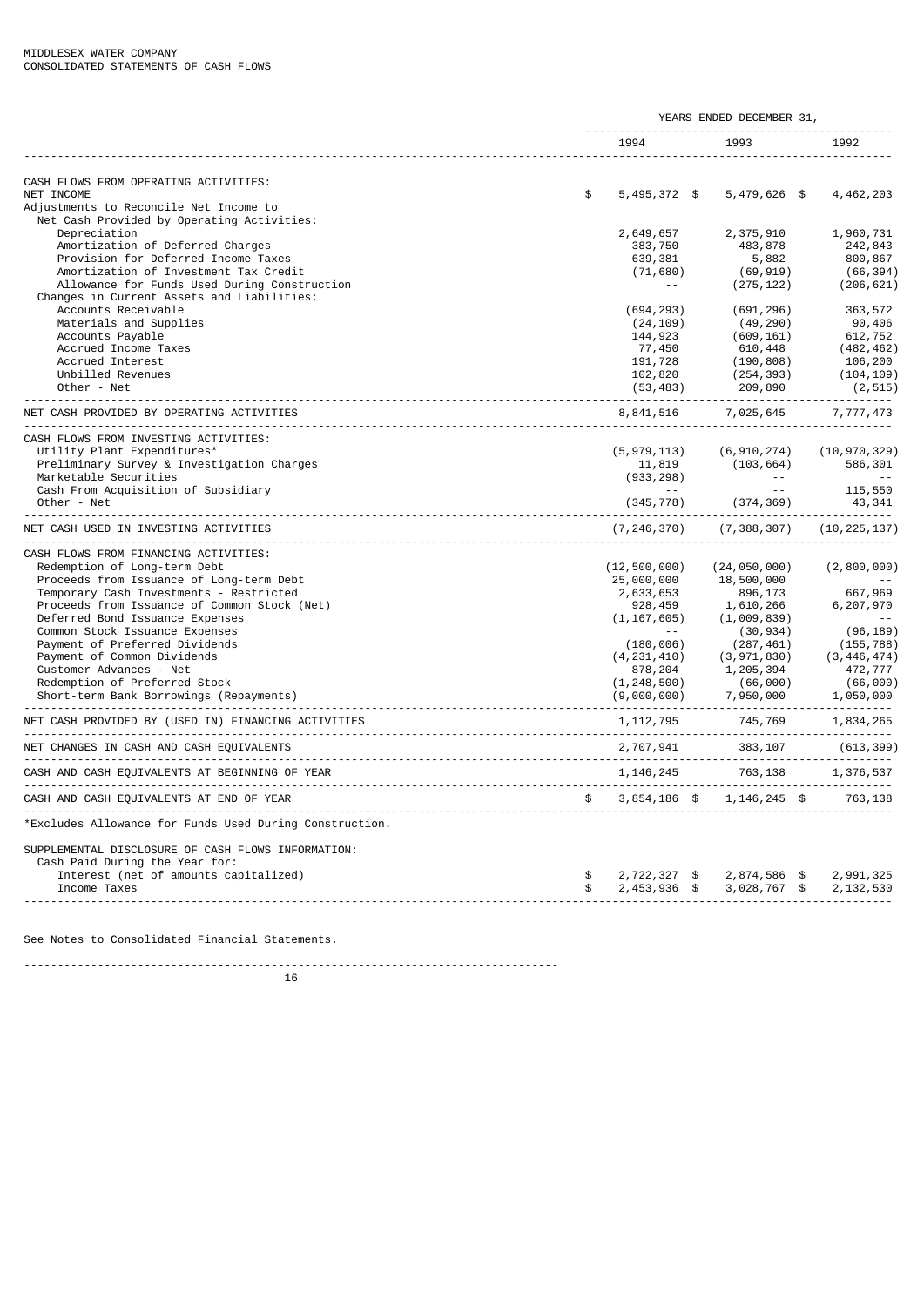|               | 1994           |                                                                                                                                  | 1993                                                                                                                                                                                                                     |                                                                                                                  | 1992                                                                                                                                                                                                                                                                                                                                                                         |
|---------------|----------------|----------------------------------------------------------------------------------------------------------------------------------|--------------------------------------------------------------------------------------------------------------------------------------------------------------------------------------------------------------------------|------------------------------------------------------------------------------------------------------------------|------------------------------------------------------------------------------------------------------------------------------------------------------------------------------------------------------------------------------------------------------------------------------------------------------------------------------------------------------------------------------|
|               |                |                                                                                                                                  |                                                                                                                                                                                                                          |                                                                                                                  |                                                                                                                                                                                                                                                                                                                                                                              |
|               |                |                                                                                                                                  |                                                                                                                                                                                                                          |                                                                                                                  |                                                                                                                                                                                                                                                                                                                                                                              |
|               |                |                                                                                                                                  |                                                                                                                                                                                                                          |                                                                                                                  |                                                                                                                                                                                                                                                                                                                                                                              |
| \$            | $5,495,372$ \$ |                                                                                                                                  | $5,479,626$ \$                                                                                                                                                                                                           |                                                                                                                  | 4,462,203                                                                                                                                                                                                                                                                                                                                                                    |
|               |                |                                                                                                                                  |                                                                                                                                                                                                                          |                                                                                                                  |                                                                                                                                                                                                                                                                                                                                                                              |
|               |                |                                                                                                                                  |                                                                                                                                                                                                                          |                                                                                                                  |                                                                                                                                                                                                                                                                                                                                                                              |
|               |                |                                                                                                                                  |                                                                                                                                                                                                                          |                                                                                                                  | 1,960,731                                                                                                                                                                                                                                                                                                                                                                    |
|               |                |                                                                                                                                  |                                                                                                                                                                                                                          |                                                                                                                  | 242,843                                                                                                                                                                                                                                                                                                                                                                      |
|               |                |                                                                                                                                  |                                                                                                                                                                                                                          |                                                                                                                  | 800,867                                                                                                                                                                                                                                                                                                                                                                      |
|               |                |                                                                                                                                  |                                                                                                                                                                                                                          |                                                                                                                  | (66, 394)<br>(206, 621)                                                                                                                                                                                                                                                                                                                                                      |
|               |                |                                                                                                                                  |                                                                                                                                                                                                                          |                                                                                                                  |                                                                                                                                                                                                                                                                                                                                                                              |
|               |                |                                                                                                                                  |                                                                                                                                                                                                                          |                                                                                                                  | 363,572                                                                                                                                                                                                                                                                                                                                                                      |
|               |                |                                                                                                                                  |                                                                                                                                                                                                                          |                                                                                                                  | 90,406                                                                                                                                                                                                                                                                                                                                                                       |
|               |                |                                                                                                                                  |                                                                                                                                                                                                                          |                                                                                                                  | 612,752                                                                                                                                                                                                                                                                                                                                                                      |
|               |                |                                                                                                                                  |                                                                                                                                                                                                                          |                                                                                                                  | (482, 462)                                                                                                                                                                                                                                                                                                                                                                   |
|               |                |                                                                                                                                  |                                                                                                                                                                                                                          |                                                                                                                  | 106,200                                                                                                                                                                                                                                                                                                                                                                      |
|               |                |                                                                                                                                  |                                                                                                                                                                                                                          |                                                                                                                  | (104, 109)                                                                                                                                                                                                                                                                                                                                                                   |
|               |                |                                                                                                                                  |                                                                                                                                                                                                                          |                                                                                                                  | (2, 515)                                                                                                                                                                                                                                                                                                                                                                     |
|               |                |                                                                                                                                  |                                                                                                                                                                                                                          |                                                                                                                  |                                                                                                                                                                                                                                                                                                                                                                              |
|               | 8,841,516      |                                                                                                                                  | 7,025,645                                                                                                                                                                                                                |                                                                                                                  | 7,777,473                                                                                                                                                                                                                                                                                                                                                                    |
|               |                |                                                                                                                                  |                                                                                                                                                                                                                          |                                                                                                                  |                                                                                                                                                                                                                                                                                                                                                                              |
|               |                |                                                                                                                                  |                                                                                                                                                                                                                          |                                                                                                                  | (10, 970, 329)                                                                                                                                                                                                                                                                                                                                                               |
|               |                |                                                                                                                                  |                                                                                                                                                                                                                          |                                                                                                                  | 586,301                                                                                                                                                                                                                                                                                                                                                                      |
|               |                |                                                                                                                                  | $\sim 10^{-11}$                                                                                                                                                                                                          |                                                                                                                  | $\sim$ $\sim$                                                                                                                                                                                                                                                                                                                                                                |
|               |                |                                                                                                                                  |                                                                                                                                                                                                                          |                                                                                                                  | 115,550                                                                                                                                                                                                                                                                                                                                                                      |
|               |                |                                                                                                                                  |                                                                                                                                                                                                                          |                                                                                                                  | 43,341                                                                                                                                                                                                                                                                                                                                                                       |
|               |                |                                                                                                                                  |                                                                                                                                                                                                                          |                                                                                                                  | (10, 225, 137)                                                                                                                                                                                                                                                                                                                                                               |
|               |                |                                                                                                                                  |                                                                                                                                                                                                                          |                                                                                                                  |                                                                                                                                                                                                                                                                                                                                                                              |
|               |                |                                                                                                                                  |                                                                                                                                                                                                                          |                                                                                                                  | (2,800,000)                                                                                                                                                                                                                                                                                                                                                                  |
|               | 25,000,000     |                                                                                                                                  | 18,500,000                                                                                                                                                                                                               |                                                                                                                  |                                                                                                                                                                                                                                                                                                                                                                              |
|               | 2,633,653      |                                                                                                                                  | 896,173                                                                                                                                                                                                                  |                                                                                                                  | 667,969                                                                                                                                                                                                                                                                                                                                                                      |
|               | 928,459        |                                                                                                                                  | 1,610,266                                                                                                                                                                                                                |                                                                                                                  | 6,207,970                                                                                                                                                                                                                                                                                                                                                                    |
|               |                |                                                                                                                                  |                                                                                                                                                                                                                          |                                                                                                                  |                                                                                                                                                                                                                                                                                                                                                                              |
|               | $\sim$ $\sim$  |                                                                                                                                  |                                                                                                                                                                                                                          |                                                                                                                  | (96, 189)                                                                                                                                                                                                                                                                                                                                                                    |
|               |                |                                                                                                                                  |                                                                                                                                                                                                                          |                                                                                                                  | (155, 788)                                                                                                                                                                                                                                                                                                                                                                   |
|               | (4, 231, 410)  |                                                                                                                                  |                                                                                                                                                                                                                          |                                                                                                                  | (3, 446, 474)                                                                                                                                                                                                                                                                                                                                                                |
|               | 878,204        |                                                                                                                                  | 1,205,394                                                                                                                                                                                                                |                                                                                                                  | 472,777                                                                                                                                                                                                                                                                                                                                                                      |
|               |                |                                                                                                                                  |                                                                                                                                                                                                                          |                                                                                                                  | (66,000)                                                                                                                                                                                                                                                                                                                                                                     |
|               |                |                                                                                                                                  | 7,950,000                                                                                                                                                                                                                |                                                                                                                  | 1,050,000                                                                                                                                                                                                                                                                                                                                                                    |
|               |                |                                                                                                                                  |                                                                                                                                                                                                                          |                                                                                                                  | 1,834,265                                                                                                                                                                                                                                                                                                                                                                    |
|               |                |                                                                                                                                  | 383,107                                                                                                                                                                                                                  |                                                                                                                  | . <u>.</u><br>(613, 399)                                                                                                                                                                                                                                                                                                                                                     |
|               |                |                                                                                                                                  |                                                                                                                                                                                                                          |                                                                                                                  | 1,376,537                                                                                                                                                                                                                                                                                                                                                                    |
| $\mathfrak s$ |                |                                                                                                                                  |                                                                                                                                                                                                                          |                                                                                                                  |                                                                                                                                                                                                                                                                                                                                                                              |
|               |                |                                                                                                                                  |                                                                                                                                                                                                                          |                                                                                                                  |                                                                                                                                                                                                                                                                                                                                                                              |
|               |                |                                                                                                                                  |                                                                                                                                                                                                                          |                                                                                                                  |                                                                                                                                                                                                                                                                                                                                                                              |
|               |                |                                                                                                                                  |                                                                                                                                                                                                                          |                                                                                                                  |                                                                                                                                                                                                                                                                                                                                                                              |
| \$            |                |                                                                                                                                  |                                                                                                                                                                                                                          |                                                                                                                  | 2,991,325                                                                                                                                                                                                                                                                                                                                                                    |
| \$            |                |                                                                                                                                  |                                                                                                                                                                                                                          |                                                                                                                  | 2, 132, 530                                                                                                                                                                                                                                                                                                                                                                  |
|               |                | 2,649,657<br>383,750<br>639,381<br>$\sim$ $\sim$<br>(694, 293)<br>(24, 109)<br>144,923<br>77,450<br>191,728<br>102,820<br>11,819 | (71, 680)<br>(53, 483)<br>(5, 979, 113)<br>(933, 298)<br>(345, 778)<br>(7, 246, 370)<br>(12, 500, 000)<br>(1, 167, 605)<br>(180, 006)<br>(1, 248, 500)<br>(9,000,000)<br>1, 112, 795<br>$2,722,327$ \$<br>$2,453,936$ \$ | 2,375,910<br>483,878<br>5,882<br>(609, 161)<br>610,448<br>209,890<br>$\sim$ $\sim$ .<br>2,707,941<br>1, 146, 245 | (69, 919)<br>(275, 122)<br>(691, 296)<br>(49, 290)<br>(190, 808)<br>(254, 393)<br>(6, 910, 274)<br>(103, 664)<br>(374,369)<br>(7, 388, 307)<br>(24, 050, 000)<br>(1,009,839)<br>(30, 934)<br>(287, 461)<br>(3, 971, 830)<br>(66,000)<br>745,769<br>----------------------------------<br>.<br>763,138<br>3,854,186 \$ 1,146,245 \$ 763,138<br>2,874,586 \$<br>$3,028,767$ \$ |

See Notes to Consolidated Financial Statements.

--------------------------------------------------------------------------------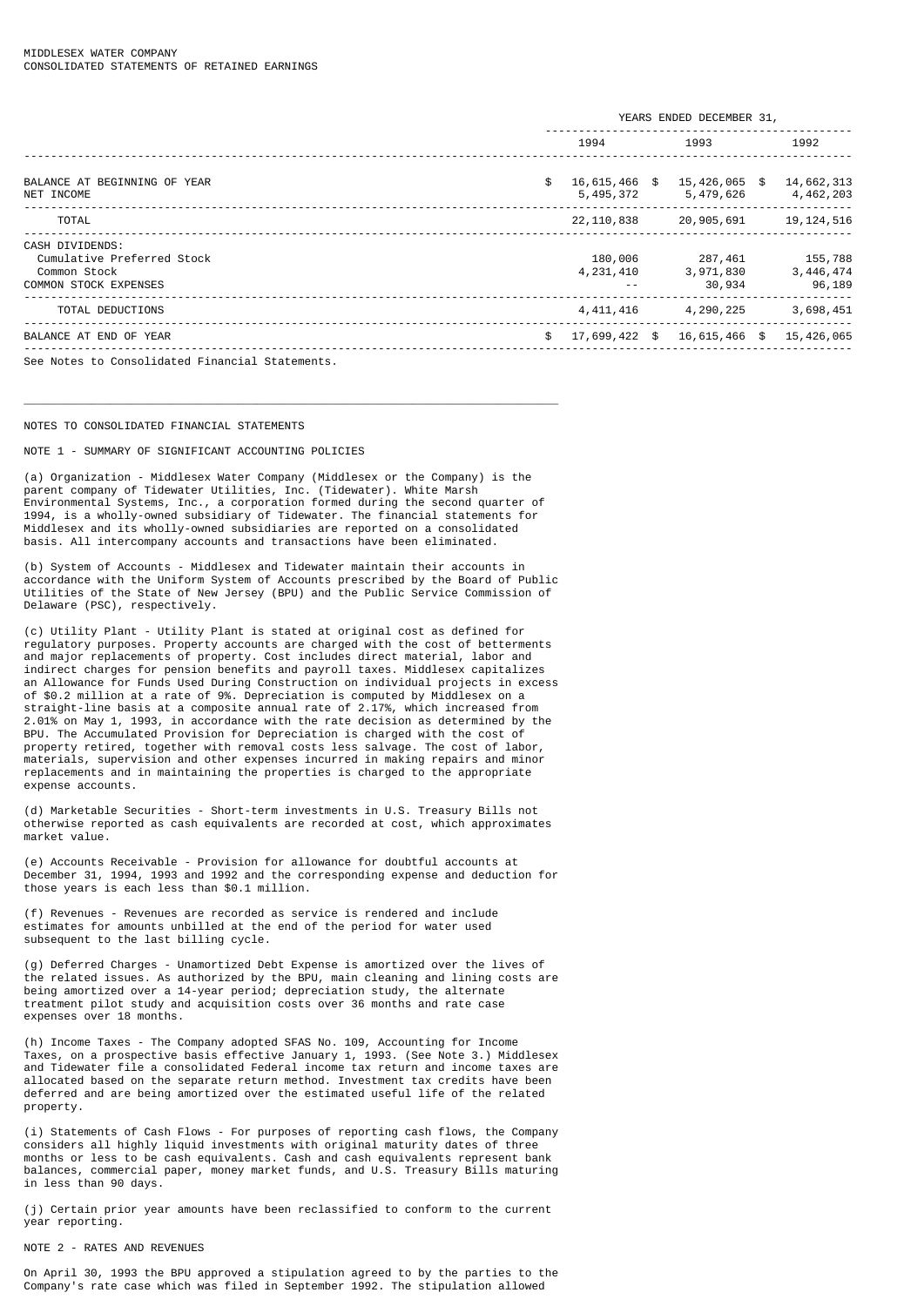|                                                                                               | YEARS ENDED DECEMBER 31,         |  |                                |  |                                  |
|-----------------------------------------------------------------------------------------------|----------------------------------|--|--------------------------------|--|----------------------------------|
|                                                                                               | 1994                             |  | 1993                           |  | 1992                             |
| BALANCE AT BEGINNING OF YEAR<br>NET INCOME                                                    | \$<br>16,615,466 \$<br>5,495,372 |  | 15,426,065 \$<br>5,479,626     |  | 14,662,313<br>4,462,203          |
| <b>TOTAL</b>                                                                                  | 22,110,838                       |  | 20,905,691                     |  | 19, 124, 516                     |
| CASH DIVIDENDS:<br>Cumulative Preferred Stock<br>Common Stock<br><b>COMMON STOCK EXPENSES</b> | 180,006<br>4,231,410             |  | 287,461<br>3,971,830<br>30,934 |  | 155,788<br>3, 446, 474<br>96,189 |
| TOTAL DEDUCTIONS                                                                              | 4, 411, 416                      |  | 4,290,225                      |  | 3,698,451                        |
| BALANCE AT END OF YEAR                                                                        | \$<br>17,699,422 \$              |  | 16,615,466 \$                  |  | 15,426,065                       |
| See Notes to Consolidated Financial Statements.                                               |                                  |  |                                |  |                                  |

#### NOTES TO CONSOLIDATED FINANCIAL STATEMENTS

NOTE 1 - SUMMARY OF SIGNIFICANT ACCOUNTING POLICIES

(a) Organization - Middlesex Water Company (Middlesex or the Company) is the parent company of Tidewater Utilities, Inc. (Tidewater). White Marsh Environmental Systems, Inc., a corporation formed during the second quarter of 1994, is a wholly-owned subsidiary of Tidewater. The financial statements for Middlesex and its wholly-owned subsidiaries are reported on a consolidated basis. All intercompany accounts and transactions have been eliminated.

\_\_\_\_\_\_\_\_\_\_\_\_\_\_\_\_\_\_\_\_\_\_\_\_\_\_\_\_\_\_\_\_\_\_\_\_\_\_\_\_\_\_\_\_\_\_\_\_\_\_\_\_\_\_\_\_\_\_\_\_\_\_\_\_\_\_\_\_\_\_\_\_\_\_\_\_\_\_\_\_

(b) System of Accounts - Middlesex and Tidewater maintain their accounts in accordance with the Uniform System of Accounts prescribed by the Board of Public Utilities of the State of New Jersey (BPU) and the Public Service Commission of Delaware (PSC), respectively.

(c) Utility Plant - Utility Plant is stated at original cost as defined for regulatory purposes. Property accounts are charged with the cost of betterments and major replacements of property. Cost includes direct material, labor and indirect charges for pension benefits and payroll taxes. Middlesex capitalizes an Allowance for Funds Used During Construction on individual projects in excess of \$0.2 million at a rate of 9%. Depreciation is computed by Middlesex on a straight-line basis at a composite annual rate of 2.17%, which increased from 2.01% on May 1, 1993, in accordance with the rate decision as determined by the BPU. The Accumulated Provision for Depreciation is charged with the cost of property retired, together with removal costs less salvage. The cost of labor, materials, supervision and other expenses incurred in making repairs and minor replacements and in maintaining the properties is charged to the appropriate expense accounts.

(d) Marketable Securities - Short-term investments in U.S. Treasury Bills not otherwise reported as cash equivalents are recorded at cost, which approximates market value.

(e) Accounts Receivable - Provision for allowance for doubtful accounts at December 31, 1994, 1993 and 1992 and the corresponding expense and deduction for those years is each less than \$0.1 million.

(f) Revenues - Revenues are recorded as service is rendered and include estimates for amounts unbilled at the end of the period for water used subsequent to the last billing cycle.

(g) Deferred Charges - Unamortized Debt Expense is amortized over the lives of the related issues. As authorized by the BPU, main cleaning and lining costs are being amortized over a 14-year period; depreciation study, the alternate treatment pilot study and acquisition costs over 36 months and rate case expenses over 18 months.

(h) Income Taxes - The Company adopted SFAS No. 109, Accounting for Income Taxes, on a prospective basis effective January 1, 1993. (See Note 3.) Middlesex and Tidewater file a consolidated Federal income tax return and income taxes are allocated based on the separate return method. Investment tax credits have been deferred and are being amortized over the estimated useful life of the related property.

(i) Statements of Cash Flows - For purposes of reporting cash flows, the Company considers all highly liquid investments with original maturity dates of three months or less to be cash equivalents. Cash and cash equivalents represent bank balances, commercial paper, money market funds, and U.S. Treasury Bills maturing in less than 90 days.

(j) Certain prior year amounts have been reclassified to conform to the current year reporting.

## NOTE 2 - RATES AND REVENUES

On April 30, 1993 the BPU approved a stipulation agreed to by the parties to the Company's rate case which was filed in September 1992. The stipulation allowed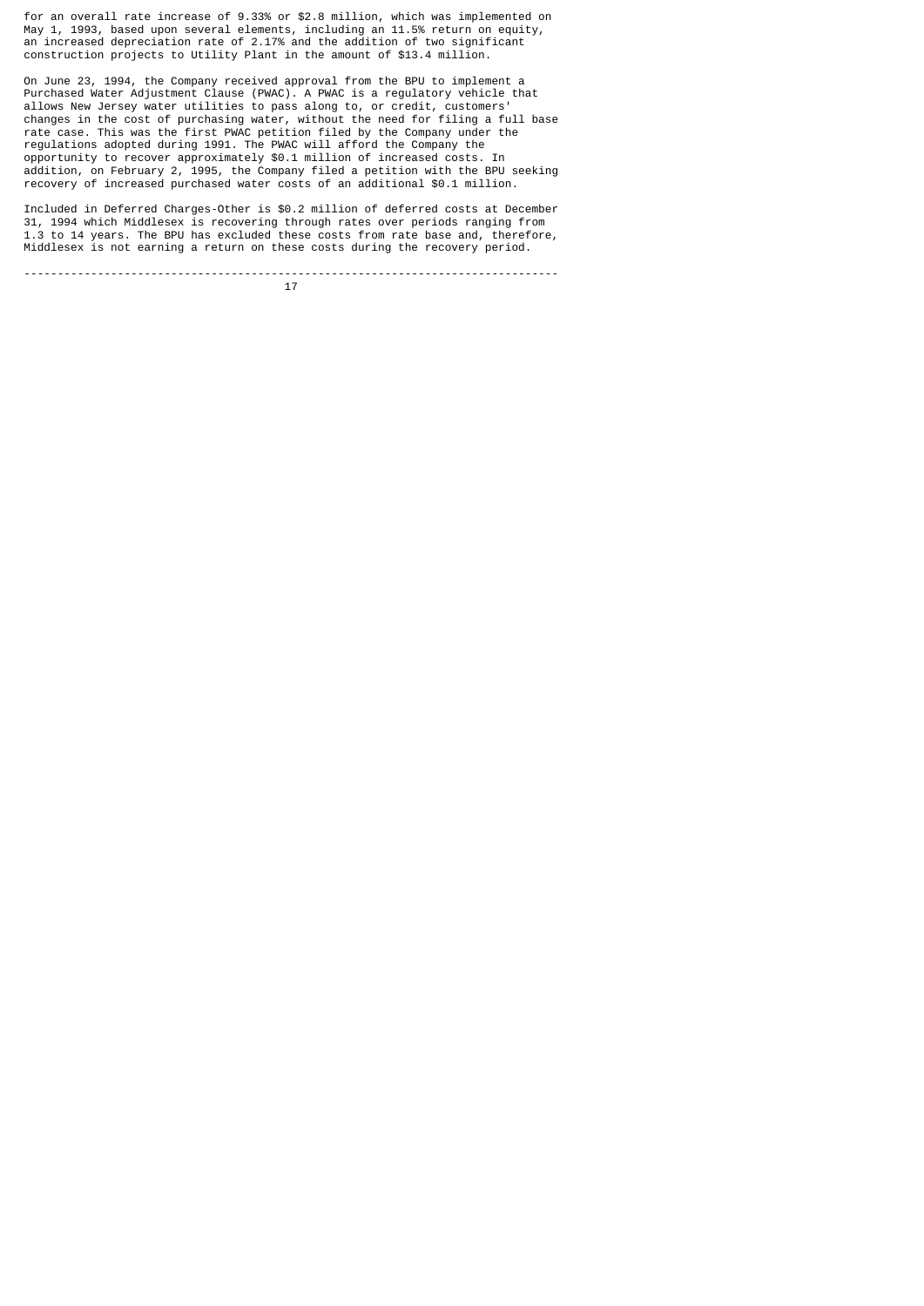for an overall rate increase of 9.33% or \$2.8 million, which was implemented on May 1, 1993, based upon several elements, including an 11.5% return on equity, an increased depreciation rate of 2.17% and the addition of two significant construction projects to Utility Plant in the amount of \$13.4 million.

On June 23, 1994, the Company received approval from the BPU to implement a Purchased Water Adjustment Clause (PWAC). A PWAC is a regulatory vehicle that allows New Jersey water utilities to pass along to, or credit, customers' changes in the cost of purchasing water, without the need for filing a full base rate case. This was the first PWAC petition filed by the Company under the regulations adopted during 1991. The PWAC will afford the Company the opportunity to recover approximately \$0.1 million of increased costs. In addition, on February 2, 1995, the Company filed a petition with the BPU seeking recovery of increased purchased water costs of an additional \$0.1 million.

Included in Deferred Charges-Other is \$0.2 million of deferred costs at December 31, 1994 which Middlesex is recovering through rates over periods ranging from 1.3 to 14 years. The BPU has excluded these costs from rate base and, therefore, Middlesex is not earning a return on these costs during the recovery period.

-------------------------------------------------------------------------------- 17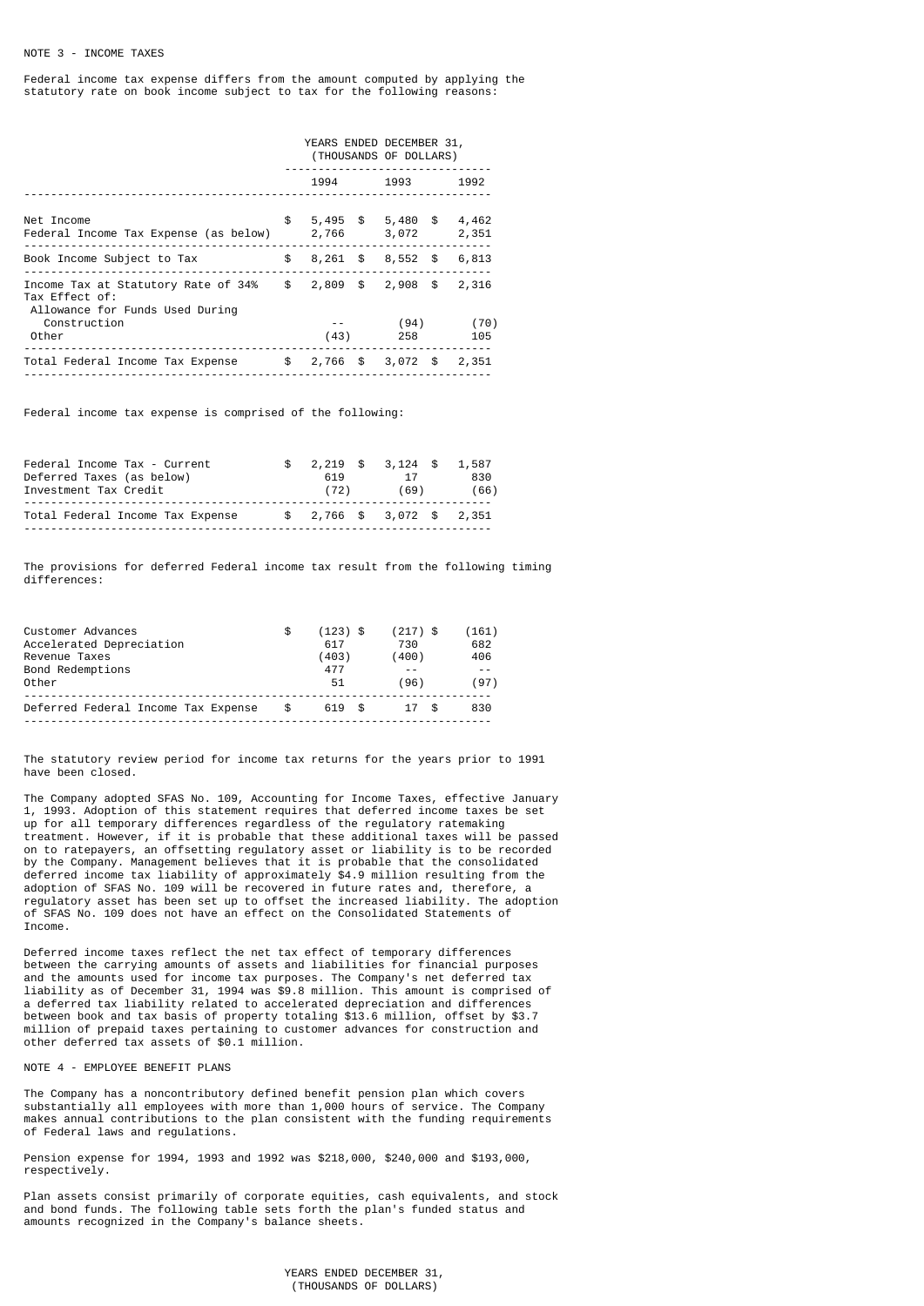Federal income tax expense differs from the amount computed by applying the statutory rate on book income subject to tax for the following reasons:

|                                                                                                                  | YEARS ENDED DECEMBER 31,<br>(THOUSANDS OF DOLLARS) |      |             |  |                |
|------------------------------------------------------------------------------------------------------------------|----------------------------------------------------|------|-------------|--|----------------|
|                                                                                                                  | 1994                                               | 1993 | 1992        |  |                |
| Net Income<br>Federal Income Tax Expense (as below)                                                              | \$<br>$5,495$ \$ $5,480$ \$<br>2,766 3,072         |      |             |  | 4,462<br>2,351 |
| Book Income Subject to Tax                                                                                       | $$8,261$ \$ 8,552 \$                               |      |             |  | 6,813          |
| Income Tax at Statutory Rate of $34\%$ \$ 2,809 \$ 2,908 \$<br>Tax Effect of:<br>Allowance for Funds Used During |                                                    |      |             |  | 2,316          |
| Construction<br>Other                                                                                            | (43)                                               |      | (94)<br>258 |  | (70)<br>105    |
| Total Federal Income Tax Expense                                                                                 | $$2,766$ \$ 3,072 \$                               |      |             |  | 2,351          |

Federal income tax expense is comprised of the following:

| Federal Income Tax - Current     |      |    | $$2,219$ \$ 3,124 \$ 1,587 |      |  |  |  |
|----------------------------------|------|----|----------------------------|------|--|--|--|
| Deferred Taxes (as below)        | 619  | 17 |                            |      |  |  |  |
| Investment Tax Credit            | (72) |    | (69)                       | (66) |  |  |  |
| Total Federal Income Tax Expense |      |    | $$2,766$ \$ 3,072 \$ 2,351 |      |  |  |  |
|                                  |      |    |                            |      |  |  |  |

The provisions for deferred Federal income tax result from the following timing differences:

| Customer Advances<br>Accelerated Depreciation<br>Revenue Taxes<br>Bond Redemptions<br>Other | \$        | $(123)$ \$<br>617<br>(403)<br>477<br>51 | $(217)$ \$<br>730<br>(400)<br>(96) | (161)<br>682<br>406<br>$ -$<br>(97) |
|---------------------------------------------------------------------------------------------|-----------|-----------------------------------------|------------------------------------|-------------------------------------|
| Deferred Federal Income Tax Expense                                                         | <b>.S</b> | 619 \$                                  | 17 S                               | 830                                 |

The statutory review period for income tax returns for the years prior to 1991 have been closed.

The Company adopted SFAS No. 109, Accounting for Income Taxes, effective January 1, 1993. Adoption of this statement requires that deferred income taxes be set up for all temporary differences regardless of the regulatory ratemaking treatment. However, if it is probable that these additional taxes will be passed on to ratepayers, an offsetting regulatory asset or liability is to be recorded by the Company. Management believes that it is probable that the consolidated deferred income tax liability of approximately \$4.9 million resulting from the adoption of SFAS No. 109 will be recovered in future rates and, therefore, a regulatory asset has been set up to offset the increased liability. The adoption of SFAS No. 109 does not have an effect on the Consolidated Statements of Income.

Deferred income taxes reflect the net tax effect of temporary differences between the carrying amounts of assets and liabilities for financial purposes and the amounts used for income tax purposes. The Company's net deferred tax liability as of December 31, 1994 was \$9.8 million. This amount is comprised of a deferred tax liability related to accelerated depreciation and differences between book and tax basis of property totaling \$13.6 million, offset by \$3.7 million of prepaid taxes pertaining to customer advances for construction and other deferred tax assets of \$0.1 million.

NOTE 4 - EMPLOYEE BENEFIT PLANS

The Company has a noncontributory defined benefit pension plan which covers substantially all employees with more than 1,000 hours of service. The Company makes annual contributions to the plan consistent with the funding requirements of Federal laws and regulations.

Pension expense for 1994, 1993 and 1992 was \$218,000, \$240,000 and \$193,000, respectively.

Plan assets consist primarily of corporate equities, cash equivalents, and stock and bond funds. The following table sets forth the plan's funded status and amounts recognized in the Company's balance sheets.

> YEARS ENDED DECEMBER 31, (THOUSANDS OF DOLLARS)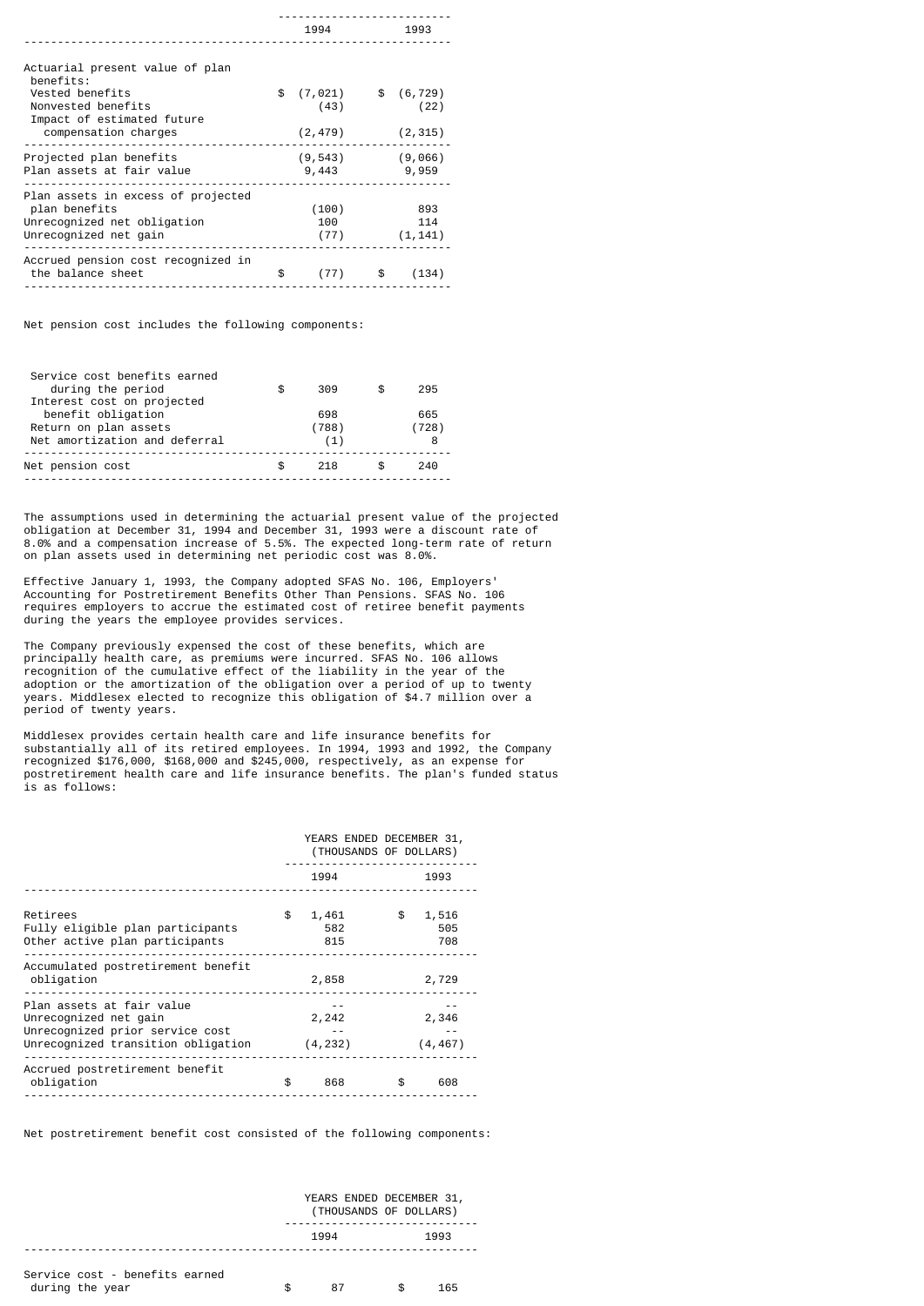|                                                  | 1994       |      | 1993        |
|--------------------------------------------------|------------|------|-------------|
|                                                  |            |      |             |
| Actuarial present value of plan<br>benefits:     |            |      |             |
| Vested benefits                                  | \$(7, 021) |      | \$ (6, 729) |
| Nonvested benefits<br>Impact of estimated future | (43)       |      | (22)        |
| compensation charges                             | (2, 479)   |      | (2, 315)    |
| Projected plan benefits                          | (9, 543)   |      | (9,066)     |
| Plan assets at fair value                        | 9,443      |      | 9,959       |
| Plan assets in excess of projected               |            |      |             |
| plan benefits                                    | (100)      |      | 893         |
| Unrecognized net obligation                      | 100        |      | 114         |
| Unrecognized net gain                            | (77)       |      | (1, 141)    |
| Accrued pension cost recognized in               |            |      |             |
| the balance sheet                                | \$<br>(77) | - \$ | (134)       |
|                                                  |            |      |             |

Net pension cost includes the following components:

|                     |     | 295          |
|---------------------|-----|--------------|
| 698<br>(788)<br>(1) |     | 665<br>(728) |
| \$<br>218           |     | 240          |
| \$                  | 309 |              |

The assumptions used in determining the actuarial present value of the projected obligation at December 31, 1994 and December 31, 1993 were a discount rate of 8.0% and a compensation increase of 5.5%. The expected long-term rate of return on plan assets used in determining net periodic cost was 8.0%.

Effective January 1, 1993, the Company adopted SFAS No. 106, Employers' Accounting for Postretirement Benefits Other Than Pensions. SFAS No. 106 requires employers to accrue the estimated cost of retiree benefit payments during the years the employee provides services.

The Company previously expensed the cost of these benefits, which are principally health care, as premiums were incurred. SFAS No. 106 allows recognition of the cumulative effect of the liability in the year of the adoption or the amortization of the obligation over a period of up to twenty years. Middlesex elected to recognize this obligation of \$4.7 million over a period of twenty years.

Middlesex provides certain health care and life insurance benefits for substantially all of its retired employees. In 1994, 1993 and 1992, the Company recognized \$176,000, \$168,000 and \$245,000, respectively, as an expense for postretirement health care and life insurance benefits. The plan's funded status is as follows:

|                                                                                                                             | YEARS ENDED DECEMBER 31,<br>(THOUSANDS OF DOLLARS) |                     |    |                     |  |  |
|-----------------------------------------------------------------------------------------------------------------------------|----------------------------------------------------|---------------------|----|---------------------|--|--|
|                                                                                                                             |                                                    | 1994                |    | 1993                |  |  |
| Retirees<br>Fully eligible plan participants<br>Other active plan participants                                              | \$                                                 | 1,461<br>582<br>815 | \$ | 1,516<br>505<br>708 |  |  |
| Accumulated postretirement benefit<br>obligation                                                                            |                                                    | 2,858               |    | 2,729               |  |  |
| Plan assets at fair value<br>Unrecognized net gain<br>Unrecognized prior service cost<br>Unrecognized transition obligation |                                                    | 2,242<br>(4, 232)   |    | 2,346<br>(4, 467)   |  |  |
| Accrued postretirement benefit<br>obligation                                                                                | \$                                                 | 868                 | \$ | 608                 |  |  |

Net postretirement benefit cost consisted of the following components:

|                                                   |    | YEARS ENDED DECEMBER 31,<br>(THOUSANDS OF DOLLARS) |     |      |  |  |  |  |
|---------------------------------------------------|----|----------------------------------------------------|-----|------|--|--|--|--|
|                                                   |    | 1994                                               |     | 1993 |  |  |  |  |
| Service cost - benefits earned<br>during the year | £. | 87                                                 | \$. | 165  |  |  |  |  |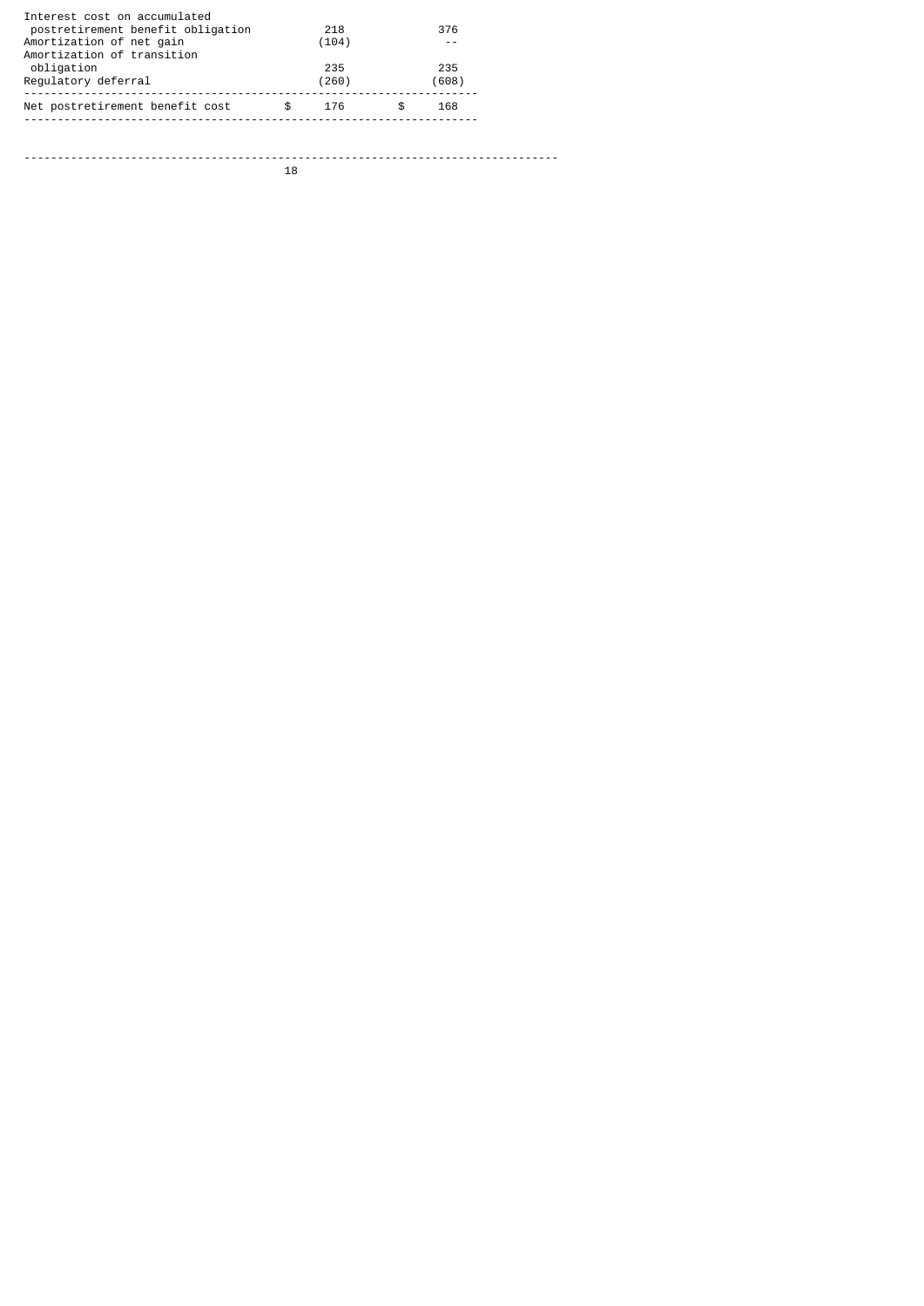| Interest cost on accumulated<br>postretirement benefit obligation<br>Amortization of net gain<br>Amortization of transition | 218<br>(104) | 376          |  |
|-----------------------------------------------------------------------------------------------------------------------------|--------------|--------------|--|
| obligation<br>Requlatory deferral                                                                                           | 235<br>(260) | 235<br>(608) |  |
| Net postretirement benefit cost                                                                                             | \$<br>176    | \$<br>168    |  |
|                                                                                                                             |              |              |  |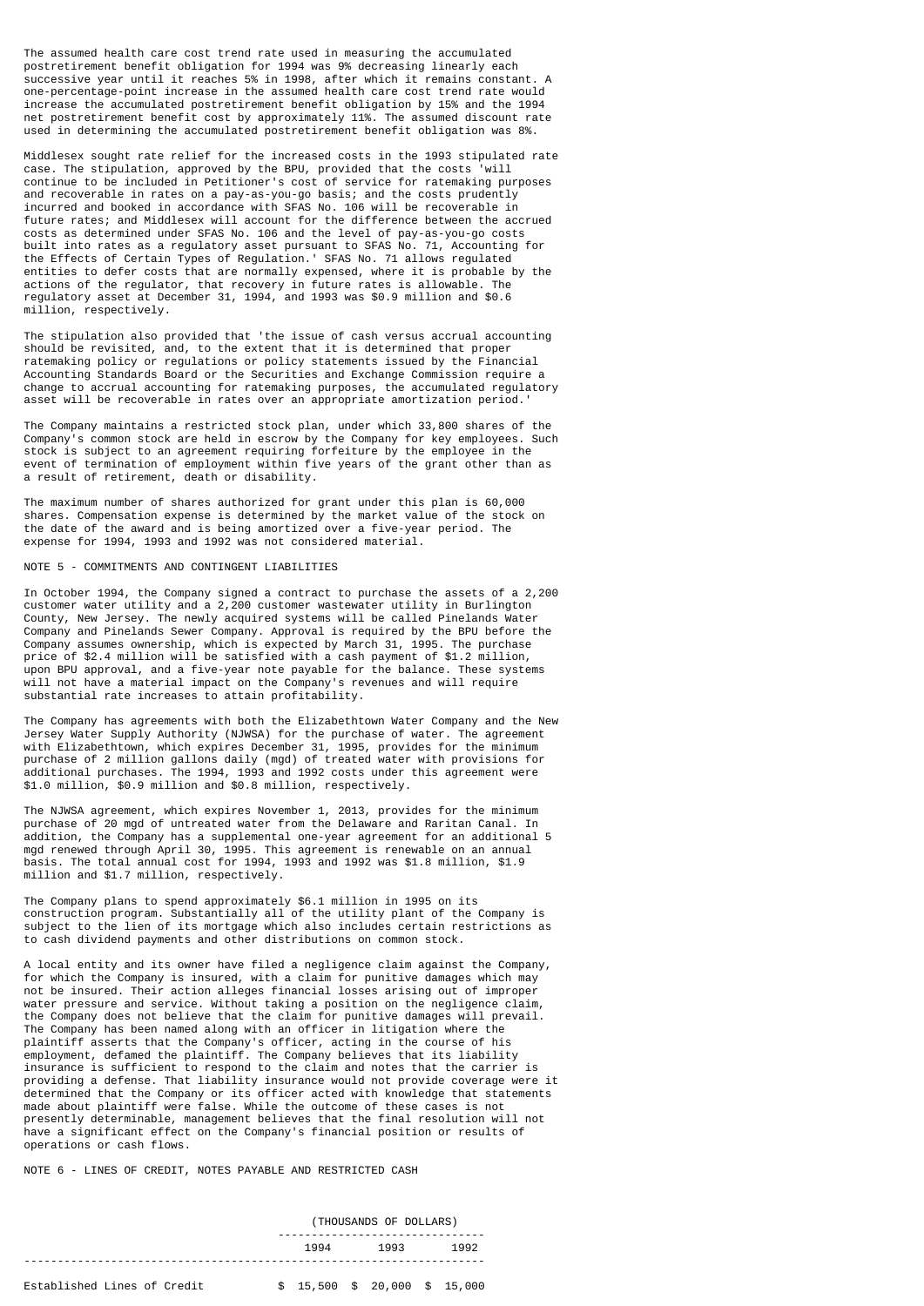The assumed health care cost trend rate used in measuring the accumulated postretirement benefit obligation for 1994 was 9% decreasing linearly each successive year until it reaches 5% in 1998, after which it remains constant. A one-percentage-point increase in the assumed health care cost trend rate would increase the accumulated postretirement benefit obligation by 15% and the 1994 net postretirement benefit cost by approximately 11%. The assumed discount rate used in determining the accumulated postretirement benefit obligation was 8%.

Middlesex sought rate relief for the increased costs in the 1993 stipulated rate case. The stipulation, approved by the BPU, provided that the costs 'will continue to be included in Petitioner's cost of service for ratemaking purposes and recoverable in rates on a pay-as-you-go basis; and the costs prudently incurred and booked in accordance with SFAS No. 106 will be recoverable in future rates; and Middlesex will account for the difference between the accrued costs as determined under SFAS No. 106 and the level of pay-as-you-go costs built into rates as a regulatory asset pursuant to SFAS No. 71, Accounting for the Effects of Certain Types of Regulation.' SFAS No. 71 allows regulated entities to defer costs that are normally expensed, where it is probable by the actions of the regulator, that recovery in future rates is allowable. The regulatory asset at December 31, 1994, and 1993 was \$0.9 million and \$0.6 million, respectively.

The stipulation also provided that 'the issue of cash versus accrual accounting should be revisited, and, to the extent that it is determined that proper ratemaking policy or regulations or policy statements issued by the Financial Accounting Standards Board or the Securities and Exchange Commission require a change to accrual accounting for ratemaking purposes, the accumulated regulatory asset will be recoverable in rates over an appropriate amortization period.'

The Company maintains a restricted stock plan, under which 33,800 shares of the Company's common stock are held in escrow by the Company for key employees. Such stock is subject to an agreement requiring forfeiture by the employee in the event of termination of employment within five years of the grant other than as a result of retirement, death or disability.

The maximum number of shares authorized for grant under this plan is 60,000 shares. Compensation expense is determined by the market value of the stock on the date of the award and is being amortized over a five-year period. The expense for 1994, 1993 and 1992 was not considered material.

## NOTE 5 - COMMITMENTS AND CONTINGENT LIABILITIES

In October 1994, the Company signed a contract to purchase the assets of a 2,200 customer water utility and a 2,200 customer wastewater utility in Burlington County, New Jersey. The newly acquired systems will be called Pinelands Water Company and Pinelands Sewer Company. Approval is required by the BPU before the Company assumes ownership, which is expected by March 31, 1995. The purchase price of \$2.4 million will be satisfied with a cash payment of \$1.2 million, upon BPU approval, and a five-year note payable for the balance. These systems will not have a material impact on the Company's revenues and will require substantial rate increases to attain profitability.

The Company has agreements with both the Elizabethtown Water Company and the New Jersey Water Supply Authority (NJWSA) for the purchase of water. The agreement with Elizabethtown, which expires December 31, 1995, provides for the minimum purchase of 2 million gallons daily (mgd) of treated water with provisions for additional purchases. The 1994, 1993 and 1992 costs under this agreement were \$1.0 million, \$0.9 million and \$0.8 million, respectively.

The NJWSA agreement, which expires November 1, 2013, provides for the minimum purchase of 20 mgd of untreated water from the Delaware and Raritan Canal. In addition, the Company has a supplemental one-year agreement for an additional 5 mgd renewed through April 30, 1995. This agreement is renewable on an annual basis. The total annual cost for 1994, 1993 and 1992 was \$1.8 million, \$1.9 million and \$1.7 million, respectively.

The Company plans to spend approximately \$6.1 million in 1995 on its construction program. Substantially all of the utility plant of the Company is subject to the lien of its mortgage which also includes certain restrictions as to cash dividend payments and other distributions on common stock.

A local entity and its owner have filed a negligence claim against the Company, for which the Company is insured, with a claim for punitive damages which may not be insured. Their action alleges financial losses arising out of improper water pressure and service. Without taking a position on the negligence claim, the Company does not believe that the claim for punitive damages will prevail. The Company has been named along with an officer in litigation where the plaintiff asserts that the Company's officer, acting in the course of his employment, defamed the plaintiff. The Company believes that its liability insurance is sufficient to respond to the claim and notes that the carrier is providing a defense. That liability insurance would not provide coverage were it determined that the Company or its officer acted with knowledge that statements made about plaintiff were false. While the outcome of these cases is not presently determinable, management believes that the final resolution will not have a significant effect on the Company's financial position or results of operations or cash flows.

NOTE 6 - LINES OF CREDIT, NOTES PAYABLE AND RESTRICTED CASH

|                             | (THOUSANDS OF DOLLARS) |      |  |                                       |  |      |  |  |
|-----------------------------|------------------------|------|--|---------------------------------------|--|------|--|--|
|                             |                        | 1994 |  | 1993                                  |  | 1992 |  |  |
| Established Lines of Credit |                        |      |  | $$15,500 \quad $20,000 \quad $15,000$ |  |      |  |  |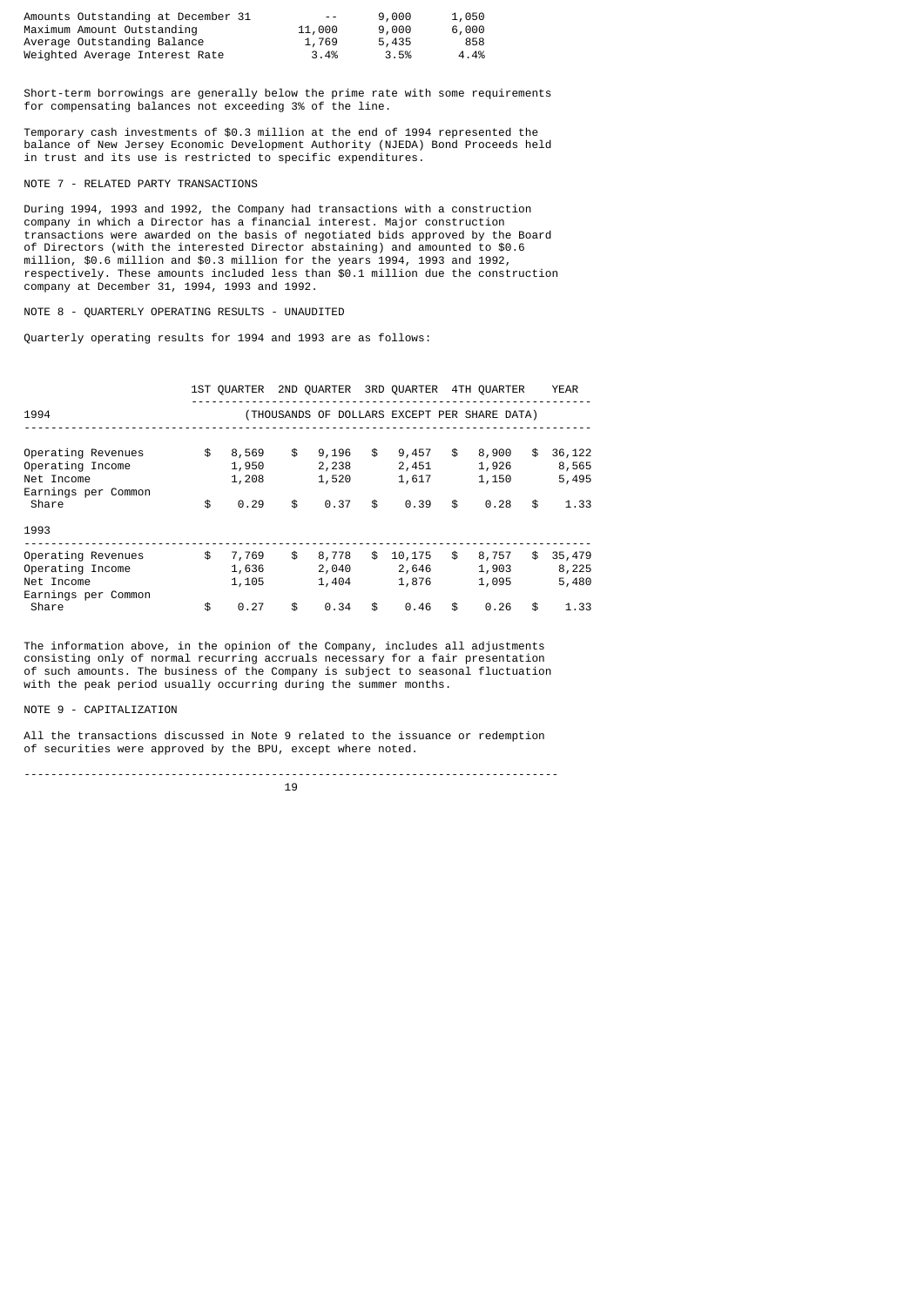| Amounts Outstanding at December 31 | $- -$  | 9,000 | 1,050 |
|------------------------------------|--------|-------|-------|
| Maximum Amount Outstanding         | 11,000 | 9,000 | 6,000 |
| Average Outstanding Balance        | 1,769  | 5,435 | 858   |
| Weighted Average Interest Rate     | 3.4%   | 3.5%  | 4.4%  |

Short-term borrowings are generally below the prime rate with some requirements for compensating balances not exceeding 3% of the line.

Temporary cash investments of \$0.3 million at the end of 1994 represented the balance of New Jersey Economic Development Authority (NJEDA) Bond Proceeds held in trust and its use is restricted to specific expenditures.

## NOTE 7 - RELATED PARTY TRANSACTIONS

During 1994, 1993 and 1992, the Company had transactions with a construction company in which a Director has a financial interest. Major construction transactions were awarded on the basis of negotiated bids approved by the Board of Directors (with the interested Director abstaining) and amounted to \$0.6 million, \$0.6 million and \$0.3 million for the years 1994, 1993 and 1992, respectively. These amounts included less than \$0.1 million due the construction company at December 31, 1994, 1993 and 1992.

NOTE 8 - QUARTERLY OPERATING RESULTS - UNAUDITED

Quarterly operating results for 1994 and 1993 are as follows:

|                                                                             |                               |                               |     |                          | 1ST OUARTER 2ND OUARTER 3RD OUARTER 4TH OUARTER | <b>YEAR</b>                    |
|-----------------------------------------------------------------------------|-------------------------------|-------------------------------|-----|--------------------------|-------------------------------------------------|--------------------------------|
| 1994                                                                        |                               |                               |     |                          | (THOUSANDS OF DOLLARS EXCEPT PER SHARE DATA)    |                                |
| Operating Revenues<br>Operating Income<br>Net Income<br>Earnings per Common | \$<br>8,569<br>1,950<br>1,208 | \$<br>9,196<br>2,238<br>1,520 | \$  | 9,457<br>2,451<br>1,617  | \$<br>8,900<br>1,926<br>1,150                   | \$<br>36,122<br>8,565<br>5,495 |
| Share                                                                       | \$<br>0.29                    | \$<br>0.37                    | \$  | 0.39                     | \$<br>0.28                                      | \$<br>1.33                     |
| 1993                                                                        |                               |                               |     |                          |                                                 |                                |
| Operating Revenues<br>Operating Income<br>Net Income<br>Earnings per Common | \$<br>7,769<br>1,636<br>1,105 | \$<br>8,778<br>2,040<br>1,404 | SS. | 10,175<br>2,646<br>1,876 | \$<br>8,757<br>1,903<br>1,095                   | \$<br>35,479<br>8,225<br>5,480 |
| Share                                                                       | \$<br>0.27                    | \$<br>0.34                    | \$  | 0.46                     | \$<br>0.26                                      | \$<br>1.33                     |

The information above, in the opinion of the Company, includes all adjustments consisting only of normal recurring accruals necessary for a fair presentation of such amounts. The business of the Company is subject to seasonal fluctuation with the peak period usually occurring during the summer months.

NOTE 9 - CAPITALIZATION

All the transactions discussed in Note 9 related to the issuance or redemption of securities were approved by the BPU, except where noted.

-------------------------------------------------------------------------------- 19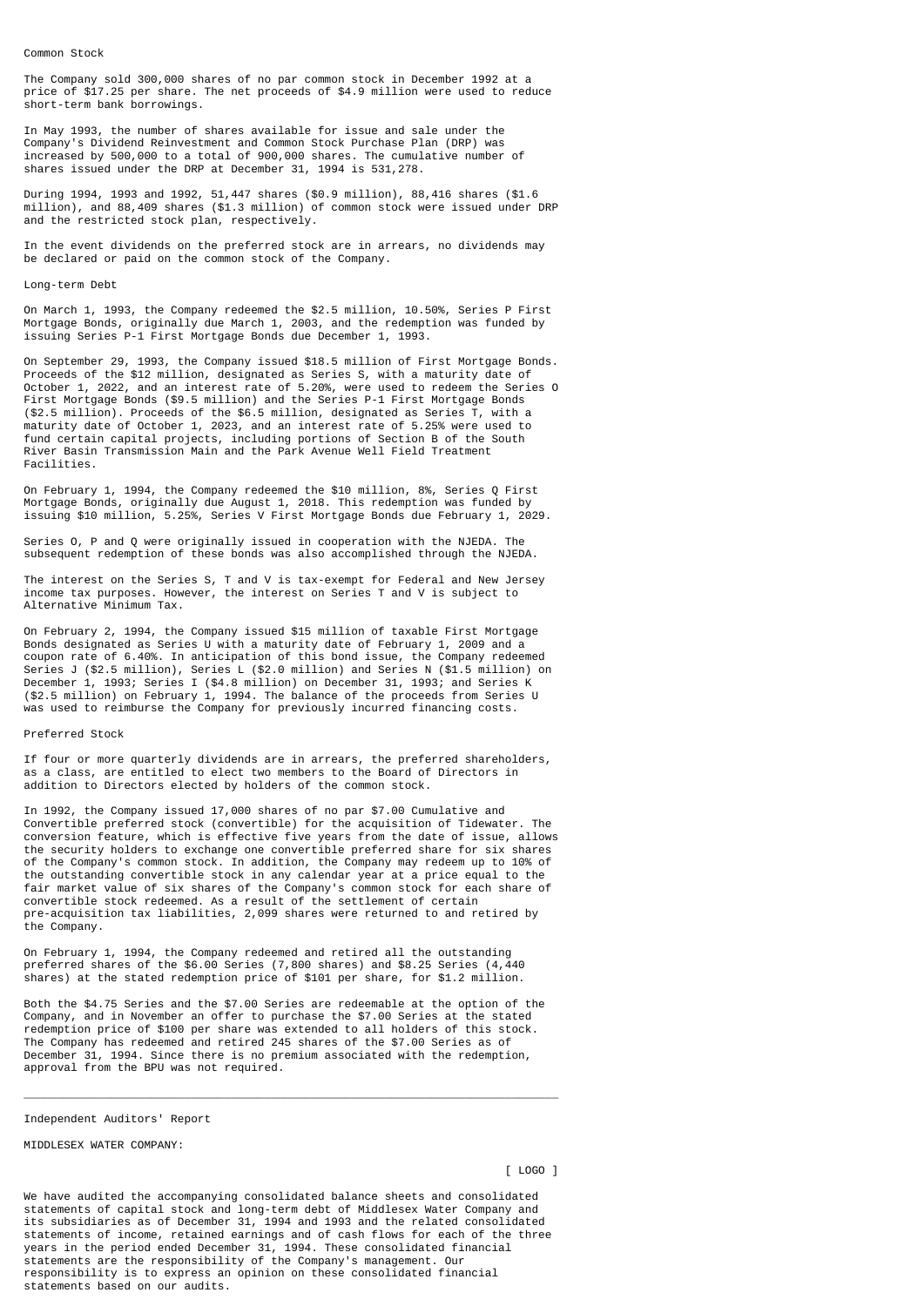Common Stock

The Company sold 300,000 shares of no par common stock in December 1992 at a price of \$17.25 per share. The net proceeds of \$4.9 million were used to reduce short-term bank borrowings.

In May 1993, the number of shares available for issue and sale under the Company's Dividend Reinvestment and Common Stock Purchase Plan (DRP) was increased by 500,000 to a total of 900,000 shares. The cumulative number of shares issued under the DRP at December 31, 1994 is 531,278.

During 1994, 1993 and 1992, 51,447 shares (\$0.9 million), 88,416 shares (\$1.6 million), and 88,409 shares (\$1.3 million) of common stock were issued under DRP and the restricted stock plan, respectively.

In the event dividends on the preferred stock are in arrears, no dividends may be declared or paid on the common stock of the Company.

#### Long-term Debt

On March 1, 1993, the Company redeemed the \$2.5 million, 10.50%, Series P First Mortgage Bonds, originally due March 1, 2003, and the redemption was funded by issuing Series P-1 First Mortgage Bonds due December 1, 1993.

On September 29, 1993, the Company issued \$18.5 million of First Mortgage Bonds. Proceeds of the \$12 million, designated as Series S, with a maturity date of October 1, 2022, and an interest rate of 5.20%, were used to redeem the Series O First Mortgage Bonds (\$9.5 million) and the Series P-1 First Mortgage Bonds (\$2.5 million). Proceeds of the \$6.5 million, designated as Series T, with a maturity date of October 1, 2023, and an interest rate of 5.25% were used to fund certain capital projects, including portions of Section B of the South River Basin Transmission Main and the Park Avenue Well Field Treatment Facilities.

On February 1, 1994, the Company redeemed the \$10 million, 8%, Series Q First Mortgage Bonds, originally due August 1, 2018. This redemption was funded by issuing \$10 million, 5.25%, Series V First Mortgage Bonds due February 1, 2029.

Series O, P and Q were originally issued in cooperation with the NJEDA. The subsequent redemption of these bonds was also accomplished through the NJEDA.

The interest on the Series S, T and V is tax-exempt for Federal and New Jersey income tax purposes. However, the interest on Series T and V is subject to Alternative Minimum Tax.

On February 2, 1994, the Company issued \$15 million of taxable First Mortgage Bonds designated as Series U with a maturity date of February 1, 2009 and a coupon rate of 6.40%. In anticipation of this bond issue, the Company redeemed Series J (\$2.5 million), Series L (\$2.0 million) and Series N (\$1.5 million) on December 1, 1993; Series I (\$4.8 million) on December 31, 1993; and Series K (\$2.5 million) on February 1, 1994. The balance of the proceeds from Series U was used to reimburse the Company for previously incurred financing costs.

#### Preferred Stock

If four or more quarterly dividends are in arrears, the preferred shareholders, as a class, are entitled to elect two members to the Board of Directors in addition to Directors elected by holders of the common stock.

In 1992, the Company issued 17,000 shares of no par \$7.00 Cumulative and Convertible preferred stock (convertible) for the acquisition of Tidewater. The conversion feature, which is effective five years from the date of issue, allows the security holders to exchange one convertible preferred share for six shares of the Company's common stock. In addition, the Company may redeem up to 10% of the outstanding convertible stock in any calendar year at a price equal to the fair market value of six shares of the Company's common stock for each share of convertible stock redeemed. As a result of the settlement of certain pre-acquisition tax liabilities, 2,099 shares were returned to and retired by the Company.

On February 1, 1994, the Company redeemed and retired all the outstanding preferred shares of the \$6.00 Series (7,800 shares) and \$8.25 Series (4,440 shares) at the stated redemption price of \$101 per share, for \$1.2 million.

Both the \$4.75 Series and the \$7.00 Series are redeemable at the option of the Company, and in November an offer to purchase the \$7.00 Series at the stated redemption price of \$100 per share was extended to all holders of this stock. The Company has redeemed and retired 245 shares of the \$7.00 Series as of December 31, 1994. Since there is no premium associated with the redemption, approval from the BPU was not required.

\_\_\_\_\_\_\_\_\_\_\_\_\_\_\_\_\_\_\_\_\_\_\_\_\_\_\_\_\_\_\_\_\_\_\_\_\_\_\_\_\_\_\_\_\_\_\_\_\_\_\_\_\_\_\_\_\_\_\_\_\_\_\_\_\_\_\_\_\_\_\_\_\_\_\_\_\_\_\_\_

#### Independent Auditors' Report

MIDDLESEX WATER COMPANY:

[ LOGO ]

We have audited the accompanying consolidated balance sheets and consolidated statements of capital stock and long-term debt of Middlesex Water Company and its subsidiaries as of December 31, 1994 and 1993 and the related consolidated statements of income, retained earnings and of cash flows for each of the three years in the period ended December 31, 1994. These consolidated financial statements are the responsibility of the Company's management. Our responsibility is to express an opinion on these consolidated financial statements based on our audits.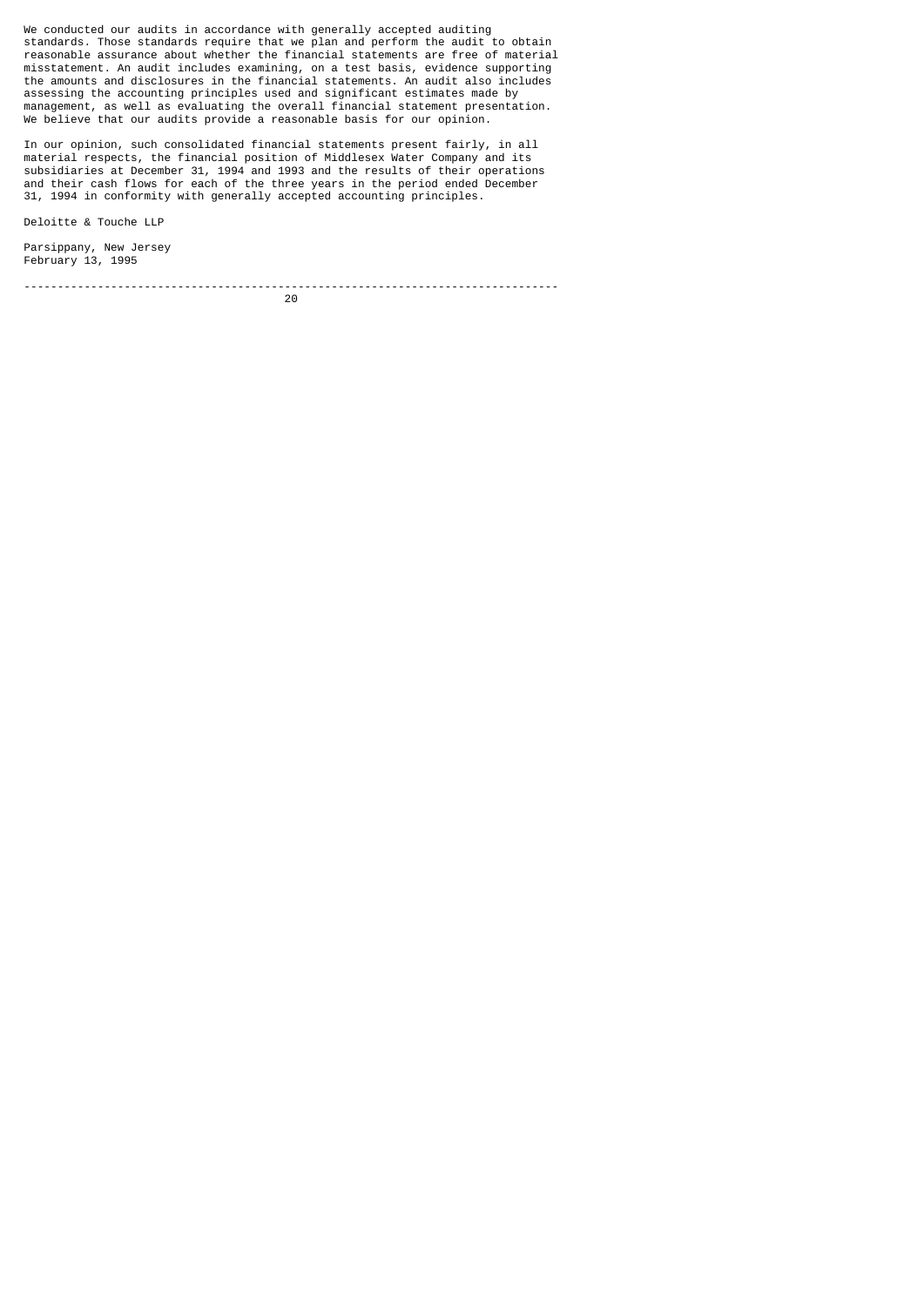We conducted our audits in accordance with generally accepted auditing standards. Those standards require that we plan and perform the audit to obtain reasonable assurance about whether the financial statements are free of material misstatement. An audit includes examining, on a test basis, evidence supporting the amounts and disclosures in the financial statements. An audit also includes assessing the accounting principles used and significant estimates made by management, as well as evaluating the overall financial statement presentation. We believe that our audits provide a reasonable basis for our opinion.

In our opinion, such consolidated financial statements present fairly, in all material respects, the financial position of Middlesex Water Company and its subsidiaries at December 31, 1994 and 1993 and the results of their operations and their cash flows for each of the three years in the period ended December 31, 1994 in conformity with generally accepted accounting principles.

Deloitte & Touche LLP

Parsippany, New Jersey February 13, 1995

<u>20</u>

--------------------------------------------------------------------------------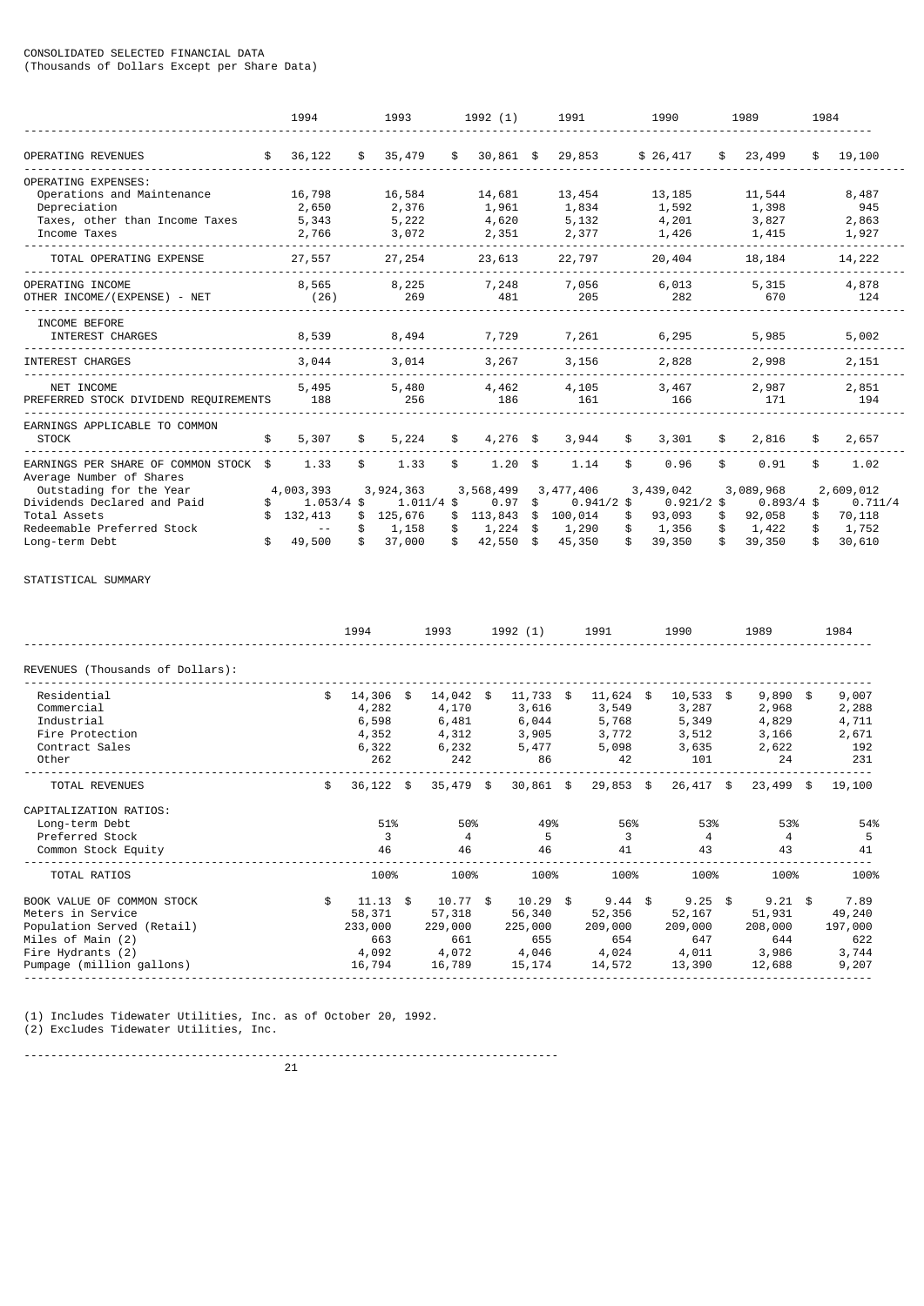# CONSOLIDATED SELECTED FINANCIAL DATA

(Thousands of Dollars Except per Share Data)

|                                                     |     | 1994          |      | 1993         | 1992 (1)          | 1991               | 1990         | 1989         | 1984 |           |
|-----------------------------------------------------|-----|---------------|------|--------------|-------------------|--------------------|--------------|--------------|------|-----------|
| OPERATING REVENUES                                  | S.  | 36,122        | \$.  | 35,479       | \$<br>$30,861$ \$ | 29,853             | \$26,417     | \$<br>23,499 | \$   | 19,100    |
| OPERATING EXPENSES:                                 |     |               |      |              |                   |                    |              |              |      |           |
| Operations and Maintenance                          |     | 16,798        |      | 16,584       | 14,681            | 13,454             | 13,185       | 11,544       |      | 8,487     |
| Depreciation                                        |     | 2,650         |      | 2,376        | 1,961             | 1,834              | 1,592        | 1,398        |      | 945       |
| Taxes, other than Income Taxes                      |     | 5,343         |      | 5,222        | 4,620             | 5,132              | 4,201        | 3,827        |      | 2,863     |
| Income Taxes                                        |     | 2,766         |      | 3,072        | 2,351             | 2,377              | 1,426        | 1,415        |      | 1,927     |
| TOTAL OPERATING EXPENSE                             |     | 27,557        |      | 27,254       | 23,613            | 22,797             | 20,404       | 18,184       |      | 14,222    |
| OPERATING INCOME                                    |     | 8,565         |      | 8,225        | 7,248             | 7,056              | 6,013        | 5,315        |      | 4,878     |
| OTHER INCOME/(EXPENSE) - NET                        |     | (26)          |      | 269          | 481               | 205                | 282          | 670          |      | 124       |
| INCOME BEFORE                                       |     |               |      |              |                   |                    |              |              |      |           |
| INTEREST CHARGES                                    |     | 8,539         |      | 8,494        | 7,729             | 7,261              | 6,295        | 5,985        |      | 5,002     |
| INTEREST CHARGES                                    |     | 3,044         |      | 3,014        | 3,267             | 3,156              | 2,828        | 2,998        |      | 2,151     |
| NET INCOME                                          |     | 5,495         |      | 5,480        |                   |                    |              | 2,987        |      | 2,851     |
| PREFERRED STOCK DIVIDEND REQUIREMENTS               |     | 188           |      | 256          | 4,462<br>186      | 4,105<br>161       | 3,467<br>166 | 171          |      | 194       |
| EARNINGS APPLICABLE TO COMMON                       |     |               |      |              |                   |                    |              |              |      |           |
| <b>STOCK</b>                                        | \$  | 5,307         | \$   | 5,224        | \$<br>$4,276$ \$  | 3,944              | \$<br>3,301  | \$<br>2,816  | \$   | 2,657     |
| EARNINGS PER SHARE OF COMMON STOCK \$               |     | 1.33          | \$   | 1.33         | \$<br>1.20        | \$<br>1.14         | \$<br>0.96   | \$<br>0.91   | \$   | 1.02      |
| Average Number of Shares<br>Outstading for the Year |     | 4,003,393     |      | 3,924,363    | 3,568,499         | 3, 477, 406        | 3,439,042    | 3,089,968    |      | 2,609,012 |
| Dividends Declared and Paid                         | \$. | $1.053/4$ \$  |      | $1.011/4$ \$ | 0.97              | \$<br>$0.941/2$ \$ | $0.921/2$ \$ | $0.893/4$ \$ |      | 0.711/4   |
| Total Assets                                        |     | 132,413       | \$   | 125,676      | \$<br>113,843     | \$<br>100,014      | \$<br>93,093 | \$<br>92,058 | \$   | 70,118    |
| Redeemable Preferred Stock                          |     | $\sim$ $\sim$ | \$   | 1,158        | 1,224             | \$<br>1,290        | \$<br>1,356  | \$<br>1,422  | \$   | 1,752     |
| Long-term Debt                                      | \$  | 49,500        | \$   | 37,000       | 42,550<br>\$      | \$<br>45,350       | \$<br>39,350 | \$<br>39,350 | \$   | 30,610    |
| STATISTICAL SUMMARY                                 |     |               |      |              |                   |                    |              |              |      |           |
|                                                     |     |               |      |              |                   |                    |              |              |      |           |
|                                                     |     |               | 1994 | 1993         | 1992 (1)          | 1991               | 1990         | 1989         |      | 1984      |
| REVENUES (Thousands of Dollars):                    |     |               |      |              |                   |                    |              |              |      |           |

| \$<br>14,306<br>4,282<br>6,598<br>4,352<br>6,322<br>262 | \$ | 4,170<br>6,481<br>4,312<br>6,232<br>242     | - \$ | 11,733<br>3,616<br>6,044<br>3,905<br>5,477<br>86 | -\$ | 11,624<br>3,549<br>5,768<br>3,772<br>5,098<br>42 |  | 3,287<br>5,349<br>3,512<br>3,635<br>101     | - \$ | 2,968<br>4,829<br>3,166<br>2,622<br>24      | \$ | 9,007<br>2,288<br>4,711<br>2,671<br>192<br>231     |  |
|---------------------------------------------------------|----|---------------------------------------------|------|--------------------------------------------------|-----|--------------------------------------------------|--|---------------------------------------------|------|---------------------------------------------|----|----------------------------------------------------|--|
| \$                                                      |    |                                             |      |                                                  |     |                                                  |  |                                             |      |                                             |    | 19,100                                             |  |
| 51%<br>3<br>46                                          |    | 50%<br>4<br>46                              |      | 49%<br>5<br>46                                   |     | 56%<br>3<br>41                                   |  | 53%<br>$\overline{4}$<br>43                 |      | 53%<br>$\overline{4}$<br>43                 |    | 54%<br>5<br>41                                     |  |
| 100%                                                    |    | 100%                                        |      | 100%                                             |     | 100%                                             |  | 100%                                        |      | 100%                                        |    | 100%                                               |  |
| \$<br>58,371<br>233,000<br>663<br>4,092<br>16,794       |    | 57,318<br>229,000<br>661<br>4,072<br>16,789 |      | 56,340<br>225,000<br>655<br>4,046<br>15,174      |     | 52,356<br>209,000<br>654<br>4,024<br>14,572      |  | 52,167<br>209,000<br>647<br>4,011<br>13,390 |      | 51,931<br>208,000<br>644<br>3,986<br>12,688 |    | 7.89<br>49,240<br>197,000<br>622<br>3,744<br>9,207 |  |
|                                                         |    | $36,122$ \$<br>$11.13$ \$                   |      | 14,042<br>$35,479$ \$<br>$10.77$ \$              |     | $30,861$ \$<br>$10.29$ \$                        |  | \$<br>$29,853$ \$<br>$9.44$ \$              |      | 10,533<br>26,417 \$<br>$9.25$ \$            |    | 9,890<br>$23,499$ \$<br>$9.21$ \$                  |  |

(1) Includes Tidewater Utilities, Inc. as of October 20, 1992.

(2) Excludes Tidewater Utilities, Inc.

--------------------------------------------------------------------------------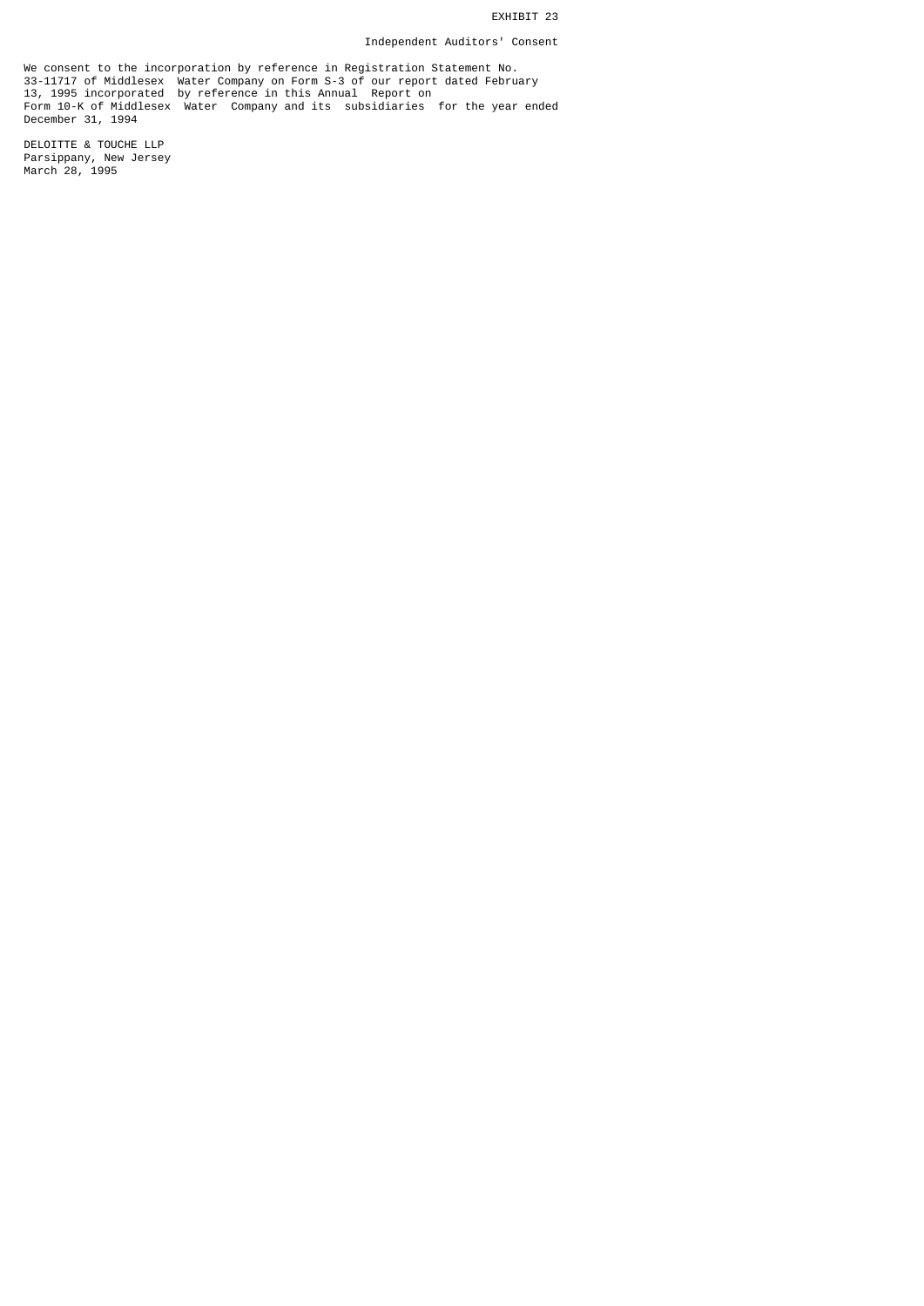## EXHIBIT 23

## Independent Auditors' Consent

We consent to the incorporation by reference in Registration Statement No. 33-11717 of Middlesex Water Company on Form S-3 of our report dated February 13, 1995 incorporated by reference in this Annual Report on Form 10-K of Middlesex Water Company and its subsidiaries for the year ended December 31, 1994

DELOITTE & TOUCHE LLP Parsippany, New Jersey March 28, 1995